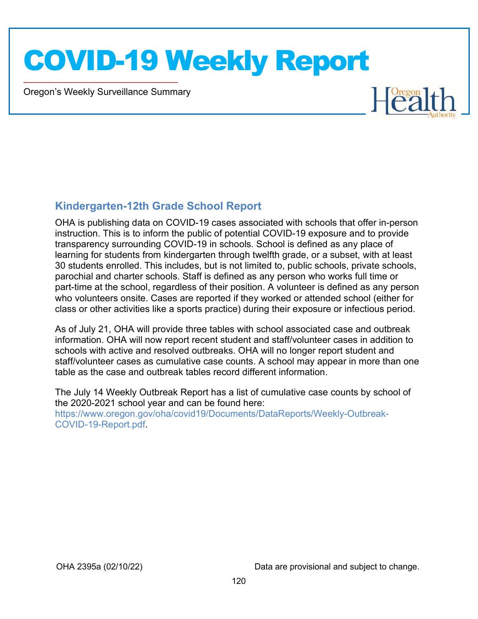Oregon's Weekly Surveillance Summary



#### Kindergarten-12th Grade School Report

OHA is publishing data on COVID-19 cases associated with schools that offer in-person instruction. This is to inform the public of potential COVID-19 exposure and to provide transparency surrounding COVID-19 in schools. School is defined as any place of learning for students from kindergarten through twelfth grade, or a subset, with at least 30 students enrolled. This includes, but is not limited to, public schools, private schools, parochial and charter schools. Staff is defined as any person who works full time or part-time at the school, regardless of their position. A volunteer is defined as any person who volunteers onsite. Cases are reported if they worked or attended school (either for class or other activities like a sports practice) during their exposure or infectious period.

As of July 21, OHA will provide three tables with school associated case and outbreak information. OHA will now report recent student and staff/volunteer cases in addition to schools with active and resolved outbreaks. OHA will no longer report student and staff/volunteer cases as cumulative case counts. A school may appear in more than one table as the case and outbreak tables record different information.

The July 14 Weekly Outbreak Report has a list of cumulative case counts by school of the 2020-2021 school year and can be found here: https://www.oregon.gov/oha/covid19/Documents/DataReports/Weekly-Outbreak-COVID-19-Report.pdf.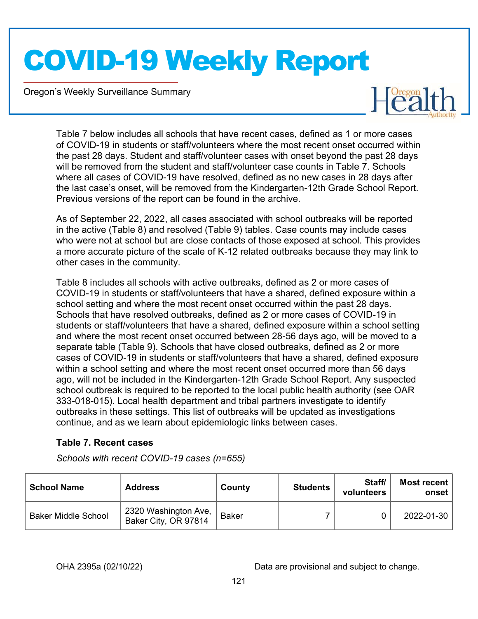Oregon's Weekly Surveillance Summary



Table 7 below includes all schools that have recent cases, defined as 1 or more cases of COVID-19 in students or staff/volunteers where the most recent onset occurred within the past 28 days. Student and staff/volunteer cases with onset beyond the past 28 days will be removed from the student and staff/volunteer case counts in Table 7. Schools where all cases of COVID-19 have resolved, defined as no new cases in 28 days after the last case's onset, will be removed from the Kindergarten-12th Grade School Report. Previous versions of the report can be found in the archive.

As of September 22, 2022, all cases associated with school outbreaks will be reported in the active (Table 8) and resolved (Table 9) tables. Case counts may include cases who were not at school but are close contacts of those exposed at school. This provides a more accurate picture of the scale of K-12 related outbreaks because they may link to other cases in the community.

Table 8 includes all schools with active outbreaks, defined as 2 or more cases of COVID-19 in students or staff/volunteers that have a shared, defined exposure within a school setting and where the most recent onset occurred within the past 28 days. Schools that have resolved outbreaks, defined as 2 or more cases of COVID-19 in students or staff/volunteers that have a shared, defined exposure within a school setting and where the most recent onset occurred between 28-56 days ago, will be moved to a separate table (Table 9). Schools that have closed outbreaks, defined as 2 or more cases of COVID-19 in students or staff/volunteers that have a shared, defined exposure within a school setting and where the most recent onset occurred more than 56 days ago, will not be included in the Kindergarten-12th Grade School Report. Any suspected school outbreak is required to be reported to the local public health authority (see OAR 333-018-015). Local health department and tribal partners investigate to identify outbreaks in these settings. This list of outbreaks will be updated as investigations continue, and as we learn about epidemiologic links between cases.

#### Table 7. Recent cases

Schools with recent COVID-19 cases (n=655)

| <b>School Name</b>         | <b>Address</b>                               | County       | <b>Students</b> | Staff/<br>volunteers | Most recent<br>onset |
|----------------------------|----------------------------------------------|--------------|-----------------|----------------------|----------------------|
| <b>Baker Middle School</b> | 2320 Washington Ave,<br>Baker City, OR 97814 | <b>Baker</b> |                 |                      | 2022-01-30           |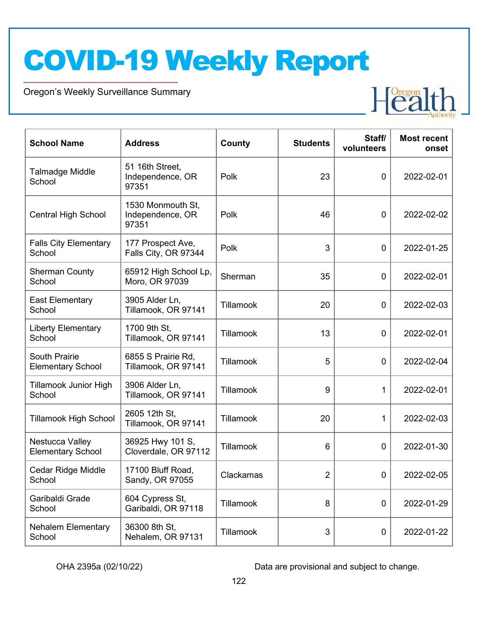Oregon's Weekly Surveillance Summary



| <b>School Name</b>                               | <b>Address</b>                                 | County    | <b>Students</b> | Staff/<br>volunteers | <b>Most recent</b><br>onset |
|--------------------------------------------------|------------------------------------------------|-----------|-----------------|----------------------|-----------------------------|
| Talmadge Middle<br>School                        | 51 16th Street,<br>Independence, OR<br>97351   | Polk      | 23              | $\mathbf 0$          | 2022-02-01                  |
| <b>Central High School</b>                       | 1530 Monmouth St,<br>Independence, OR<br>97351 | Polk      | 46              | $\mathbf 0$          | 2022-02-02                  |
| <b>Falls City Elementary</b><br>School           | 177 Prospect Ave,<br>Falls City, OR 97344      | Polk      | 3               | $\mathbf 0$          | 2022-01-25                  |
| <b>Sherman County</b><br>School                  | 65912 High School Lp,<br>Moro, OR 97039        | Sherman   | 35              | $\mathbf 0$          | 2022-02-01                  |
| <b>East Elementary</b><br>School                 | 3905 Alder Ln,<br>Tillamook, OR 97141          | Tillamook | 20              | $\mathbf 0$          | 2022-02-03                  |
| <b>Liberty Elementary</b><br>School              | 1700 9th St,<br>Tillamook, OR 97141            | Tillamook | 13              | $\mathbf 0$          | 2022-02-01                  |
| <b>South Prairie</b><br><b>Elementary School</b> | 6855 S Prairie Rd,<br>Tillamook, OR 97141      | Tillamook | 5               | $\mathbf 0$          | 2022-02-04                  |
| <b>Tillamook Junior High</b><br>School           | 3906 Alder Ln,<br>Tillamook, OR 97141          | Tillamook | 9               | 1                    | 2022-02-01                  |
| <b>Tillamook High School</b>                     | 2605 12th St,<br>Tillamook, OR 97141           | Tillamook | 20              | 1                    | 2022-02-03                  |
| Nestucca Valley<br><b>Elementary School</b>      | 36925 Hwy 101 S,<br>Cloverdale, OR 97112       | Tillamook | 6               | $\mathbf 0$          | 2022-01-30                  |
| Cedar Ridge Middle<br>School                     | 17100 Bluff Road,<br>Sandy, OR 97055           | Clackamas | $\overline{2}$  | $\mathbf{0}$         | 2022-02-05                  |
| Garibaldi Grade<br>School                        | 604 Cypress St,<br>Garibaldi, OR 97118         | Tillamook | 8               | 0                    | 2022-01-29                  |
| <b>Nehalem Elementary</b><br>School              | 36300 8th St,<br>Nehalem, OR 97131             | Tillamook | 3               | 0                    | 2022-01-22                  |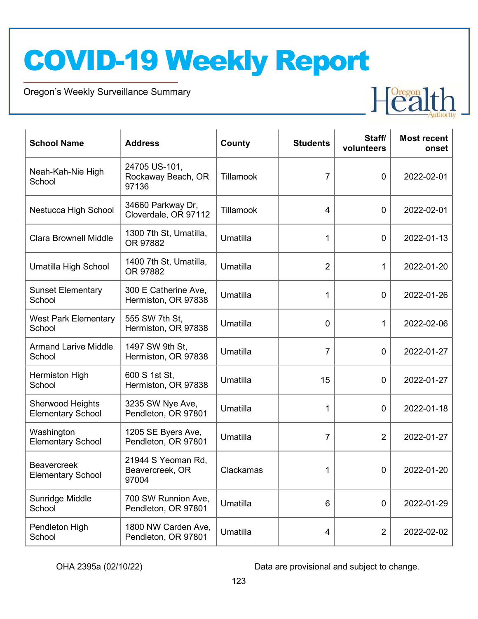Oregon's Weekly Surveillance Summary



| <b>School Name</b>                             | <b>Address</b>                                 | County    | <b>Students</b> | Staff/<br>volunteers | <b>Most recent</b><br>onset |
|------------------------------------------------|------------------------------------------------|-----------|-----------------|----------------------|-----------------------------|
| Neah-Kah-Nie High<br>School                    | 24705 US-101,<br>Rockaway Beach, OR<br>97136   | Tillamook | 7               | $\mathbf 0$          | 2022-02-01                  |
| Nestucca High School                           | 34660 Parkway Dr,<br>Cloverdale, OR 97112      | Tillamook | $\overline{4}$  | $\mathbf 0$          | 2022-02-01                  |
| <b>Clara Brownell Middle</b>                   | 1300 7th St, Umatilla,<br>OR 97882             | Umatilla  | 1               | $\mathbf 0$          | 2022-01-13                  |
| Umatilla High School                           | 1400 7th St, Umatilla,<br>OR 97882             | Umatilla  | $\overline{2}$  | 1                    | 2022-01-20                  |
| <b>Sunset Elementary</b><br>School             | 300 E Catherine Ave,<br>Hermiston, OR 97838    | Umatilla  | 1               | $\mathbf 0$          | 2022-01-26                  |
| <b>West Park Elementary</b><br>School          | 555 SW 7th St,<br>Hermiston, OR 97838          | Umatilla  | $\mathbf 0$     | 1                    | 2022-02-06                  |
| <b>Armand Larive Middle</b><br>School          | 1497 SW 9th St,<br>Hermiston, OR 97838         | Umatilla  | $\overline{7}$  | $\mathbf 0$          | 2022-01-27                  |
| Hermiston High<br>School                       | 600 S 1st St,<br>Hermiston, OR 97838           | Umatilla  | 15              | $\mathbf 0$          | 2022-01-27                  |
| Sherwood Heights<br><b>Elementary School</b>   | 3235 SW Nye Ave,<br>Pendleton, OR 97801        | Umatilla  | 1               | $\mathbf 0$          | 2022-01-18                  |
| Washington<br><b>Elementary School</b>         | 1205 SE Byers Ave,<br>Pendleton, OR 97801      | Umatilla  | 7               | 2                    | 2022-01-27                  |
| <b>Beavercreek</b><br><b>Elementary School</b> | 21944 S Yeoman Rd,<br>Beavercreek, OR<br>97004 | Clackamas | 1               | $\mathbf 0$          | 2022-01-20                  |
| Sunridge Middle<br>School                      | 700 SW Runnion Ave,<br>Pendleton, OR 97801     | Umatilla  | 6               | $\mathbf 0$          | 2022-01-29                  |
| Pendleton High<br>School                       | 1800 NW Carden Ave,<br>Pendleton, OR 97801     | Umatilla  | 4               | $\overline{2}$       | 2022-02-02                  |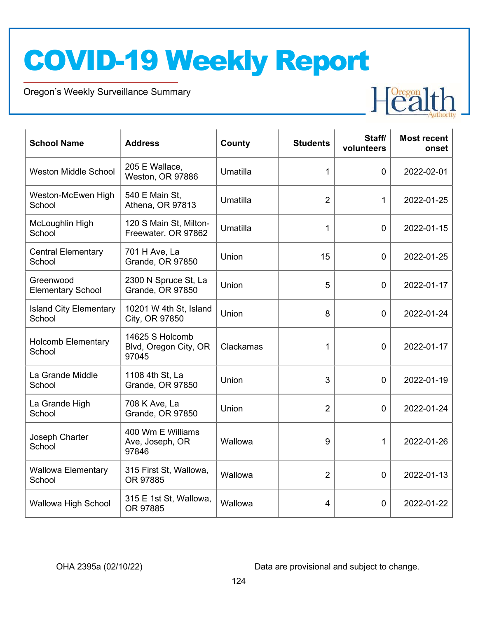Oregon's Weekly Surveillance Summary



| <b>School Name</b>                      | <b>Address</b>                                    | County    | <b>Students</b> | Staff/<br>volunteers | <b>Most recent</b><br>onset |
|-----------------------------------------|---------------------------------------------------|-----------|-----------------|----------------------|-----------------------------|
| <b>Weston Middle School</b>             | 205 E Wallace,<br>Weston, OR 97886                | Umatilla  | 1               | $\mathbf{0}$         | 2022-02-01                  |
| Weston-McEwen High<br>School            | 540 E Main St,<br>Athena, OR 97813                | Umatilla  | $\overline{2}$  | 1                    | 2022-01-25                  |
| McLoughlin High<br>School               | 120 S Main St, Milton-<br>Freewater, OR 97862     | Umatilla  | $\mathbf 1$     | $\mathbf 0$          | 2022-01-15                  |
| <b>Central Elementary</b><br>School     | 701 H Ave, La<br>Grande, OR 97850                 | Union     | 15              | $\overline{0}$       | 2022-01-25                  |
| Greenwood<br><b>Elementary School</b>   | 2300 N Spruce St, La<br><b>Grande, OR 97850</b>   | Union     | 5               | $\mathbf 0$          | 2022-01-17                  |
| <b>Island City Elementary</b><br>School | 10201 W 4th St, Island<br>City, OR 97850          | Union     | 8               | $\overline{0}$       | 2022-01-24                  |
| <b>Holcomb Elementary</b><br>School     | 14625 S Holcomb<br>Blvd, Oregon City, OR<br>97045 | Clackamas | 1               | $\mathbf 0$          | 2022-01-17                  |
| La Grande Middle<br>School              | 1108 4th St, La<br>Grande, OR 97850               | Union     | 3               | $\overline{0}$       | 2022-01-19                  |
| La Grande High<br>School                | 708 K Ave, La<br>Grande, OR 97850                 | Union     | $\overline{2}$  | $\overline{0}$       | 2022-01-24                  |
| Joseph Charter<br>School                | 400 Wm E Williams<br>Ave, Joseph, OR<br>97846     | Wallowa   | 9               | 1                    | 2022-01-26                  |
| <b>Wallowa Elementary</b><br>School     | 315 First St, Wallowa,<br>OR 97885                | Wallowa   | $\overline{2}$  | $\Omega$             | 2022-01-13                  |
| Wallowa High School                     | 315 E 1st St, Wallowa,<br>OR 97885                | Wallowa   | 4               | $\mathbf 0$          | 2022-01-22                  |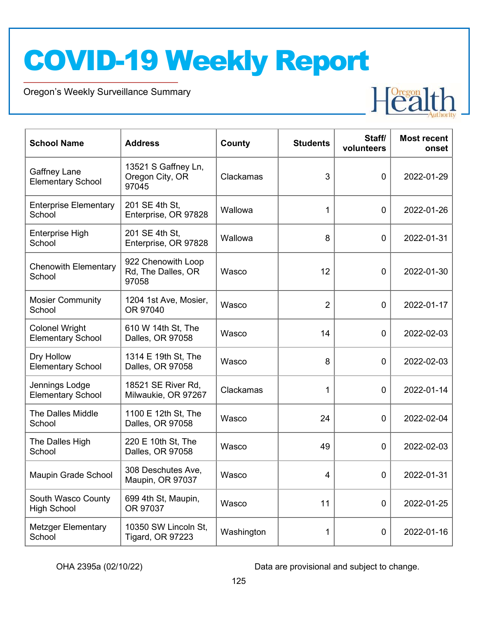Oregon's Weekly Surveillance Summary



| <b>School Name</b>                                | <b>Address</b>                                    | County     | <b>Students</b> | Staff/<br>volunteers | <b>Most recent</b><br>onset |
|---------------------------------------------------|---------------------------------------------------|------------|-----------------|----------------------|-----------------------------|
| Gaffney Lane<br><b>Elementary School</b>          | 13521 S Gaffney Ln,<br>Oregon City, OR<br>97045   | Clackamas  | 3               | $\mathbf 0$          | 2022-01-29                  |
| <b>Enterprise Elementary</b><br>School            | 201 SE 4th St,<br>Enterprise, OR 97828            | Wallowa    | $\mathbf 1$     | $\mathbf 0$          | 2022-01-26                  |
| Enterprise High<br>School                         | 201 SE 4th St,<br>Enterprise, OR 97828            | Wallowa    | 8               | $\mathbf 0$          | 2022-01-31                  |
| <b>Chenowith Elementary</b><br>School             | 922 Chenowith Loop<br>Rd, The Dalles, OR<br>97058 | Wasco      | 12              | $\mathbf 0$          | 2022-01-30                  |
| <b>Mosier Community</b><br>School                 | 1204 1st Ave, Mosier,<br>OR 97040                 | Wasco      | $\overline{2}$  | $\mathbf 0$          | 2022-01-17                  |
| <b>Colonel Wright</b><br><b>Elementary School</b> | 610 W 14th St, The<br>Dalles, OR 97058            | Wasco      | 14              | $\mathbf 0$          | 2022-02-03                  |
| Dry Hollow<br><b>Elementary School</b>            | 1314 E 19th St, The<br>Dalles, OR 97058           | Wasco      | 8               | $\mathbf 0$          | 2022-02-03                  |
| Jennings Lodge<br><b>Elementary School</b>        | 18521 SE River Rd,<br>Milwaukie, OR 97267         | Clackamas  | 1               | $\mathbf 0$          | 2022-01-14                  |
| <b>The Dalles Middle</b><br>School                | 1100 E 12th St, The<br>Dalles, OR 97058           | Wasco      | 24              | $\mathbf 0$          | 2022-02-04                  |
| The Dalles High<br>School                         | 220 E 10th St, The<br>Dalles, OR 97058            | Wasco      | 49              | $\mathbf 0$          | 2022-02-03                  |
| Maupin Grade School                               | 308 Deschutes Ave,<br>Maupin, OR 97037            | Wasco      | 4               | $\mathbf 0$          | 2022-01-31                  |
| South Wasco County<br><b>High School</b>          | 699 4th St, Maupin,<br>OR 97037                   | Wasco      | 11              | $\mathbf 0$          | 2022-01-25                  |
| <b>Metzger Elementary</b><br>School               | 10350 SW Lincoln St,<br><b>Tigard, OR 97223</b>   | Washington | 1               | $\pmb{0}$            | 2022-01-16                  |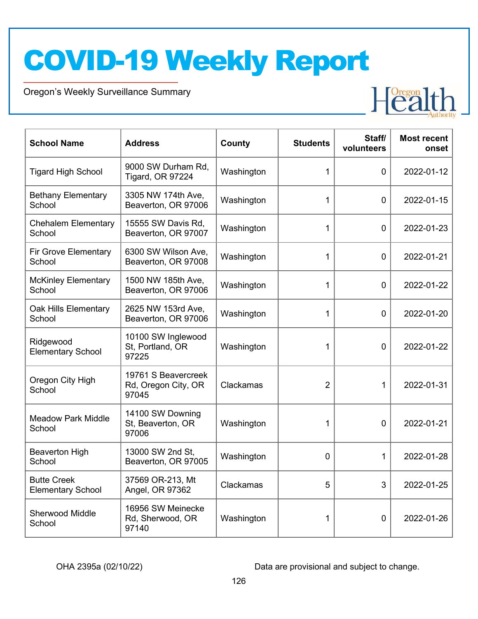Oregon's Weekly Surveillance Summary



| <b>School Name</b>                             | <b>Address</b>                                      | County     | <b>Students</b> | Staff/<br>volunteers | <b>Most recent</b><br>onset |
|------------------------------------------------|-----------------------------------------------------|------------|-----------------|----------------------|-----------------------------|
| <b>Tigard High School</b>                      | 9000 SW Durham Rd,<br><b>Tigard, OR 97224</b>       | Washington | 1               | $\overline{0}$       | 2022-01-12                  |
| <b>Bethany Elementary</b><br>School            | 3305 NW 174th Ave,<br>Beaverton, OR 97006           | Washington | 1               | 0                    | 2022-01-15                  |
| <b>Chehalem Elementary</b><br>School           | 15555 SW Davis Rd.<br>Beaverton, OR 97007           | Washington | 1               | $\overline{0}$       | 2022-01-23                  |
| <b>Fir Grove Elementary</b><br>School          | 6300 SW Wilson Ave,<br>Beaverton, OR 97008          | Washington | 1               | $\overline{0}$       | 2022-01-21                  |
| <b>McKinley Elementary</b><br>School           | 1500 NW 185th Ave,<br>Beaverton, OR 97006           | Washington | 1               | 0                    | 2022-01-22                  |
| Oak Hills Elementary<br>School                 | 2625 NW 153rd Ave,<br>Beaverton, OR 97006           | Washington | 1               | $\mathbf 0$          | 2022-01-20                  |
| Ridgewood<br><b>Elementary School</b>          | 10100 SW Inglewood<br>St, Portland, OR<br>97225     | Washington | 1               | $\mathbf 0$          | 2022-01-22                  |
| Oregon City High<br>School                     | 19761 S Beavercreek<br>Rd, Oregon City, OR<br>97045 | Clackamas  | $\overline{2}$  | 1                    | 2022-01-31                  |
| <b>Meadow Park Middle</b><br>School            | 14100 SW Downing<br>St, Beaverton, OR<br>97006      | Washington | 1               | 0                    | 2022-01-21                  |
| <b>Beaverton High</b><br>School                | 13000 SW 2nd St,<br>Beaverton, OR 97005             | Washington | 0               | 1                    | 2022-01-28                  |
| <b>Butte Creek</b><br><b>Elementary School</b> | 37569 OR-213, Mt<br>Angel, OR 97362                 | Clackamas  | 5               | 3                    | 2022-01-25                  |
| <b>Sherwood Middle</b><br>School               | 16956 SW Meinecke<br>Rd, Sherwood, OR<br>97140      | Washington | 1               | $\mathbf 0$          | 2022-01-26                  |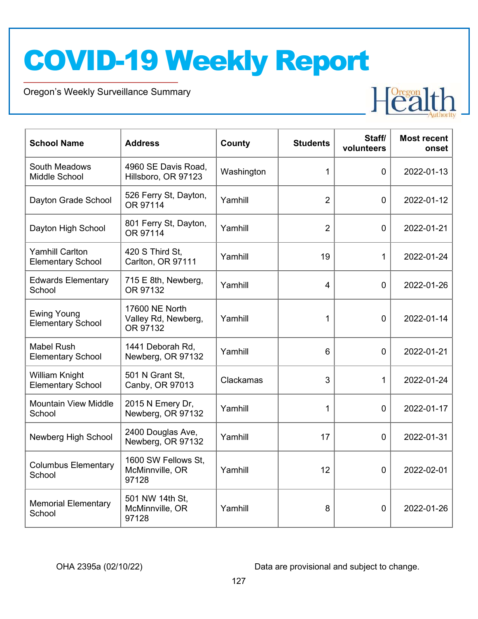Oregon's Weekly Surveillance Summary



| <b>School Name</b>                                 | <b>Address</b>                                    | County     | <b>Students</b> | Staff/<br>volunteers | <b>Most recent</b><br>onset |
|----------------------------------------------------|---------------------------------------------------|------------|-----------------|----------------------|-----------------------------|
| South Meadows<br>Middle School                     | 4960 SE Davis Road,<br>Hillsboro, OR 97123        | Washington | 1               | $\overline{0}$       | 2022-01-13                  |
| Dayton Grade School                                | 526 Ferry St, Dayton,<br>OR 97114                 | Yamhill    | $\overline{2}$  | $\overline{0}$       | 2022-01-12                  |
| Dayton High School                                 | 801 Ferry St, Dayton,<br>OR 97114                 | Yamhill    | $\overline{2}$  | $\overline{0}$       | 2022-01-21                  |
| <b>Yamhill Carlton</b><br><b>Elementary School</b> | 420 S Third St.<br>Carlton, OR 97111              | Yamhill    | 19              | 1                    | 2022-01-24                  |
| <b>Edwards Elementary</b><br>School                | 715 E 8th, Newberg,<br>OR 97132                   | Yamhill    | $\overline{4}$  | $\overline{0}$       | 2022-01-26                  |
| <b>Ewing Young</b><br><b>Elementary School</b>     | 17600 NE North<br>Valley Rd, Newberg,<br>OR 97132 | Yamhill    | 1               | $\overline{0}$       | 2022-01-14                  |
| <b>Mabel Rush</b><br><b>Elementary School</b>      | 1441 Deborah Rd,<br>Newberg, OR 97132             | Yamhill    | 6               | $\overline{0}$       | 2022-01-21                  |
| William Knight<br><b>Elementary School</b>         | 501 N Grant St,<br>Canby, OR 97013                | Clackamas  | 3               | 1                    | 2022-01-24                  |
| <b>Mountain View Middle</b><br>School              | 2015 N Emery Dr,<br>Newberg, OR 97132             | Yamhill    | 1               | $\overline{0}$       | 2022-01-17                  |
| Newberg High School                                | 2400 Douglas Ave,<br>Newberg, OR 97132            | Yamhill    | 17              | $\overline{0}$       | 2022-01-31                  |
| <b>Columbus Elementary</b><br>School               | 1600 SW Fellows St,<br>McMinnville, OR<br>97128   | Yamhill    | 12              | $\overline{0}$       | 2022-02-01                  |
| <b>Memorial Elementary</b><br>School               | 501 NW 14th St,<br>McMinnville, OR<br>97128       | Yamhill    | 8               | $\mathbf 0$          | 2022-01-26                  |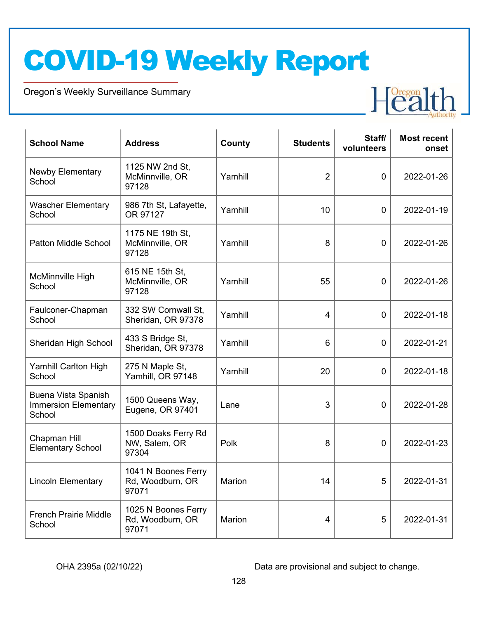Oregon's Weekly Surveillance Summary



| <b>School Name</b>                                           | <b>Address</b>                                   | County  | <b>Students</b> | Staff/<br>volunteers | <b>Most recent</b><br>onset |
|--------------------------------------------------------------|--------------------------------------------------|---------|-----------------|----------------------|-----------------------------|
| <b>Newby Elementary</b><br>School                            | 1125 NW 2nd St,<br>McMinnville, OR<br>97128      | Yamhill | $\overline{2}$  | $\mathbf 0$          | 2022-01-26                  |
| <b>Wascher Elementary</b><br>School                          | 986 7th St, Lafayette,<br>OR 97127               | Yamhill | 10              | $\mathbf 0$          | 2022-01-19                  |
| Patton Middle School                                         | 1175 NE 19th St,<br>McMinnville, OR<br>97128     | Yamhill | 8               | $\mathbf 0$          | 2022-01-26                  |
| McMinnville High<br>School                                   | 615 NE 15th St,<br>McMinnville, OR<br>97128      | Yamhill | 55              | $\mathbf 0$          | 2022-01-26                  |
| Faulconer-Chapman<br>School                                  | 332 SW Cornwall St,<br>Sheridan, OR 97378        | Yamhill | $\overline{4}$  | $\mathbf 0$          | 2022-01-18                  |
| Sheridan High School                                         | 433 S Bridge St,<br>Sheridan, OR 97378           | Yamhill | 6               | $\mathbf 0$          | 2022-01-21                  |
| Yamhill Carlton High<br>School                               | 275 N Maple St,<br>Yamhill, OR 97148             | Yamhill | 20              | $\mathbf 0$          | 2022-01-18                  |
| Buena Vista Spanish<br><b>Immersion Elementary</b><br>School | 1500 Queens Way,<br>Eugene, OR 97401             | Lane    | 3               | $\mathbf 0$          | 2022-01-28                  |
| Chapman Hill<br><b>Elementary School</b>                     | 1500 Doaks Ferry Rd<br>NW, Salem, OR<br>97304    | Polk    | 8               | 0                    | 2022-01-23                  |
| <b>Lincoln Elementary</b>                                    | 1041 N Boones Ferry<br>Rd, Woodburn, OR<br>97071 | Marion  | 14              | 5                    | 2022-01-31                  |
| <b>French Prairie Middle</b><br>School                       | 1025 N Boones Ferry<br>Rd, Woodburn, OR<br>97071 | Marion  | 4               | 5                    | 2022-01-31                  |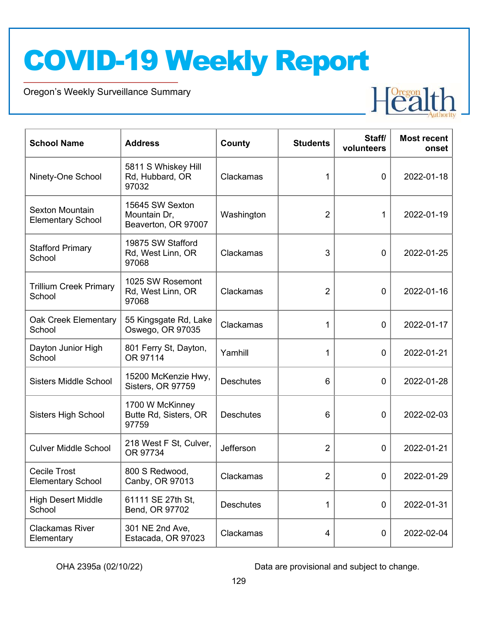Oregon's Weekly Surveillance Summary



| <b>School Name</b>                                 | <b>Address</b>                                         | County           | <b>Students</b> | Staff/<br>volunteers | <b>Most recent</b><br>onset |
|----------------------------------------------------|--------------------------------------------------------|------------------|-----------------|----------------------|-----------------------------|
| Ninety-One School                                  | 5811 S Whiskey Hill<br>Rd, Hubbard, OR<br>97032        | Clackamas        | 1               | $\mathbf 0$          | 2022-01-18                  |
| <b>Sexton Mountain</b><br><b>Elementary School</b> | 15645 SW Sexton<br>Mountain Dr,<br>Beaverton, OR 97007 | Washington       | $\overline{2}$  | 1                    | 2022-01-19                  |
| <b>Stafford Primary</b><br>School                  | 19875 SW Stafford<br>Rd, West Linn, OR<br>97068        | Clackamas        | 3               | 0                    | 2022-01-25                  |
| <b>Trillium Creek Primary</b><br>School            | 1025 SW Rosemont<br>Rd, West Linn, OR<br>97068         | Clackamas        | $\overline{2}$  | $\mathbf 0$          | 2022-01-16                  |
| Oak Creek Elementary<br>School                     | 55 Kingsgate Rd, Lake<br>Oswego, OR 97035              | Clackamas        | 1               | $\mathbf 0$          | 2022-01-17                  |
| Dayton Junior High<br>School                       | 801 Ferry St, Dayton,<br>OR 97114                      | Yamhill          | 1               | $\mathbf 0$          | 2022-01-21                  |
| <b>Sisters Middle School</b>                       | 15200 McKenzie Hwy,<br>Sisters, OR 97759               | <b>Deschutes</b> | 6               | $\mathbf 0$          | 2022-01-28                  |
| <b>Sisters High School</b>                         | 1700 W McKinney<br>Butte Rd, Sisters, OR<br>97759      | <b>Deschutes</b> | 6               | $\mathbf 0$          | 2022-02-03                  |
| <b>Culver Middle School</b>                        | 218 West F St, Culver,<br>OR 97734                     | Jefferson        | $\overline{2}$  | $\mathbf 0$          | 2022-01-21                  |
| <b>Cecile Trost</b><br><b>Elementary School</b>    | 800 S Redwood,<br>Canby, OR 97013                      | Clackamas        | $\overline{2}$  | 0                    | 2022-01-29                  |
| <b>High Desert Middle</b><br>School                | 61111 SE 27th St,<br>Bend, OR 97702                    | <b>Deschutes</b> | 1               | $\mathbf 0$          | 2022-01-31                  |
| <b>Clackamas River</b><br>Elementary               | 301 NE 2nd Ave,<br>Estacada, OR 97023                  | Clackamas        | 4               | $\mathbf 0$          | 2022-02-04                  |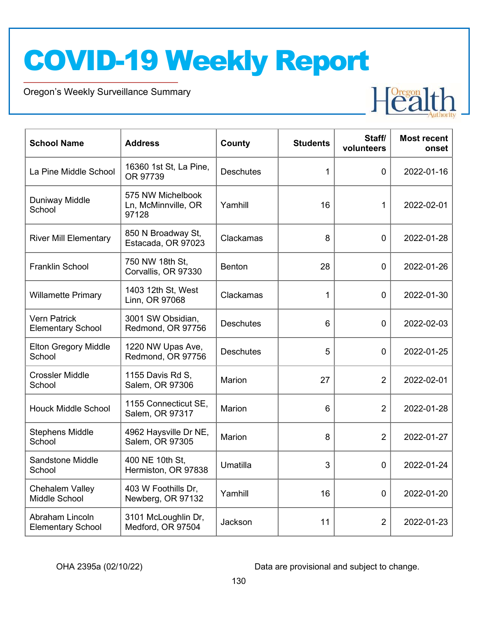Oregon's Weekly Surveillance Summary



| <b>School Name</b>                              | <b>Address</b>                                    | County           | <b>Students</b> | Staff/<br>volunteers | <b>Most recent</b><br>onset |
|-------------------------------------------------|---------------------------------------------------|------------------|-----------------|----------------------|-----------------------------|
| La Pine Middle School                           | 16360 1st St, La Pine,<br>OR 97739                | <b>Deschutes</b> | $\mathbf{1}$    | $\overline{0}$       | 2022-01-16                  |
| <b>Duniway Middle</b><br>School                 | 575 NW Michelbook<br>Ln, McMinnville, OR<br>97128 | Yamhill          | 16              | 1                    | 2022-02-01                  |
| <b>River Mill Elementary</b>                    | 850 N Broadway St,<br>Estacada, OR 97023          | Clackamas        | 8               | $\mathbf 0$          | 2022-01-28                  |
| <b>Franklin School</b>                          | 750 NW 18th St,<br>Corvallis, OR 97330            | Benton           | 28              | $\overline{0}$       | 2022-01-26                  |
| <b>Willamette Primary</b>                       | 1403 12th St, West<br>Linn, OR 97068              | Clackamas        | $\mathbf{1}$    | $\overline{0}$       | 2022-01-30                  |
| <b>Vern Patrick</b><br><b>Elementary School</b> | 3001 SW Obsidian,<br>Redmond, OR 97756            | <b>Deschutes</b> | 6               | $\mathbf 0$          | 2022-02-03                  |
| <b>Elton Gregory Middle</b><br>School           | 1220 NW Upas Ave,<br>Redmond, OR 97756            | <b>Deschutes</b> | 5               | 0                    | 2022-01-25                  |
| <b>Crossler Middle</b><br>School                | 1155 Davis Rd S,<br>Salem, OR 97306               | Marion           | 27              | $\overline{2}$       | 2022-02-01                  |
| <b>Houck Middle School</b>                      | 1155 Connecticut SE,<br>Salem, OR 97317           | Marion           | 6               | $\overline{2}$       | 2022-01-28                  |
| <b>Stephens Middle</b><br>School                | 4962 Haysville Dr NE,<br>Salem, OR 97305          | Marion           | 8               | $\overline{2}$       | 2022-01-27                  |
| <b>Sandstone Middle</b><br>School               | 400 NE 10th St,<br>Hermiston, OR 97838            | Umatilla         | 3               | 0                    | 2022-01-24                  |
| Chehalem Valley<br>Middle School                | 403 W Foothills Dr,<br>Newberg, OR 97132          | Yamhill          | 16              | 0                    | 2022-01-20                  |
| Abraham Lincoln<br><b>Elementary School</b>     | 3101 McLoughlin Dr,<br>Medford, OR 97504          | Jackson          | 11              | $\overline{2}$       | 2022-01-23                  |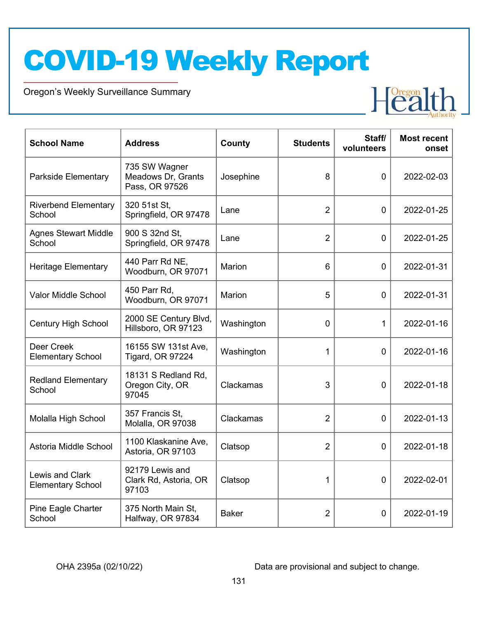Oregon's Weekly Surveillance Summary



| <b>School Name</b>                          | <b>Address</b>                                        | County       | <b>Students</b> | Staff/<br>volunteers | <b>Most recent</b><br>onset |
|---------------------------------------------|-------------------------------------------------------|--------------|-----------------|----------------------|-----------------------------|
| <b>Parkside Elementary</b>                  | 735 SW Wagner<br>Meadows Dr, Grants<br>Pass, OR 97526 | Josephine    | 8               | $\overline{0}$       | 2022-02-03                  |
| <b>Riverbend Elementary</b><br>School       | 320 51st St,<br>Springfield, OR 97478                 | Lane         | $\overline{2}$  | $\overline{0}$       | 2022-01-25                  |
| <b>Agnes Stewart Middle</b><br>School       | 900 S 32nd St,<br>Springfield, OR 97478               | Lane         | $\overline{2}$  | $\mathbf 0$          | 2022-01-25                  |
| <b>Heritage Elementary</b>                  | 440 Parr Rd NE,<br>Woodburn, OR 97071                 | Marion       | 6               | 0                    | 2022-01-31                  |
| Valor Middle School                         | 450 Parr Rd,<br>Woodburn, OR 97071                    | Marion       | 5               | $\Omega$             | 2022-01-31                  |
| <b>Century High School</b>                  | 2000 SE Century Blvd,<br>Hillsboro, OR 97123          | Washington   | 0               | 1                    | 2022-01-16                  |
| Deer Creek<br><b>Elementary School</b>      | 16155 SW 131st Ave,<br><b>Tigard, OR 97224</b>        | Washington   | 1               | $\mathbf 0$          | 2022-01-16                  |
| <b>Redland Elementary</b><br>School         | 18131 S Redland Rd,<br>Oregon City, OR<br>97045       | Clackamas    | 3               | $\mathbf 0$          | 2022-01-18                  |
| Molalla High School                         | 357 Francis St.<br>Molalla, OR 97038                  | Clackamas    | 2               | $\overline{0}$       | 2022-01-13                  |
| Astoria Middle School                       | 1100 Klaskanine Ave,<br>Astoria, OR 97103             | Clatsop      | $\overline{2}$  | $\mathbf 0$          | 2022-01-18                  |
| Lewis and Clark<br><b>Elementary School</b> | 92179 Lewis and<br>Clark Rd, Astoria, OR<br>97103     | Clatsop      | 1               | $\mathbf 0$          | 2022-02-01                  |
| Pine Eagle Charter<br>School                | 375 North Main St,<br>Halfway, OR 97834               | <b>Baker</b> | $\overline{2}$  | 0                    | 2022-01-19                  |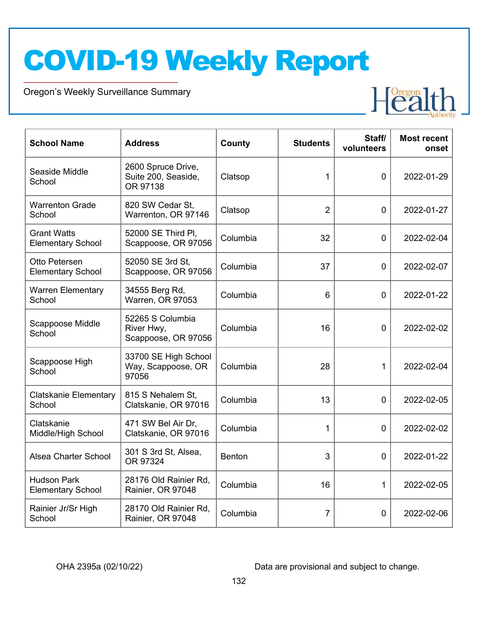Oregon's Weekly Surveillance Summary



| <b>School Name</b>                             | <b>Address</b>                                        | <b>County</b> | <b>Students</b> | Staff/<br>volunteers | <b>Most recent</b><br>onset |
|------------------------------------------------|-------------------------------------------------------|---------------|-----------------|----------------------|-----------------------------|
| Seaside Middle<br>School                       | 2600 Spruce Drive,<br>Suite 200, Seaside,<br>OR 97138 | Clatsop       | 1               | $\Omega$             | 2022-01-29                  |
| <b>Warrenton Grade</b><br>School               | 820 SW Cedar St,<br>Warrenton, OR 97146               | Clatsop       | $\overline{2}$  | $\mathbf 0$          | 2022-01-27                  |
| <b>Grant Watts</b><br><b>Elementary School</b> | 52000 SE Third PI,<br>Scappoose, OR 97056             | Columbia      | 32              | $\mathbf 0$          | 2022-02-04                  |
| Otto Petersen<br><b>Elementary School</b>      | 52050 SE 3rd St,<br>Scappoose, OR 97056               | Columbia      | 37              | $\mathbf 0$          | 2022-02-07                  |
| <b>Warren Elementary</b><br>School             | 34555 Berg Rd,<br><b>Warren, OR 97053</b>             | Columbia      | 6               | $\mathbf 0$          | 2022-01-22                  |
| Scappoose Middle<br>School                     | 52265 S Columbia<br>River Hwy,<br>Scappoose, OR 97056 | Columbia      | 16              | $\overline{0}$       | 2022-02-02                  |
| Scappoose High<br>School                       | 33700 SE High School<br>Way, Scappoose, OR<br>97056   | Columbia      | 28              | 1                    | 2022-02-04                  |
| <b>Clatskanie Elementary</b><br>School         | 815 S Nehalem St,<br>Clatskanie, OR 97016             | Columbia      | 13              | $\mathbf 0$          | 2022-02-05                  |
| Clatskanie<br>Middle/High School               | 471 SW Bel Air Dr,<br>Clatskanie, OR 97016            | Columbia      | 1               | $\mathbf 0$          | 2022-02-02                  |
| Alsea Charter School                           | 301 S 3rd St, Alsea,<br>OR 97324                      | <b>Benton</b> | 3               | $\mathbf 0$          | 2022-01-22                  |
| <b>Hudson Park</b><br><b>Elementary School</b> | 28176 Old Rainier Rd,<br>Rainier, OR 97048            | Columbia      | 16              | 1                    | 2022-02-05                  |
| Rainier Jr/Sr High<br>School                   | 28170 Old Rainier Rd,<br>Rainier, OR 97048            | Columbia      | 7               | $\overline{0}$       | 2022-02-06                  |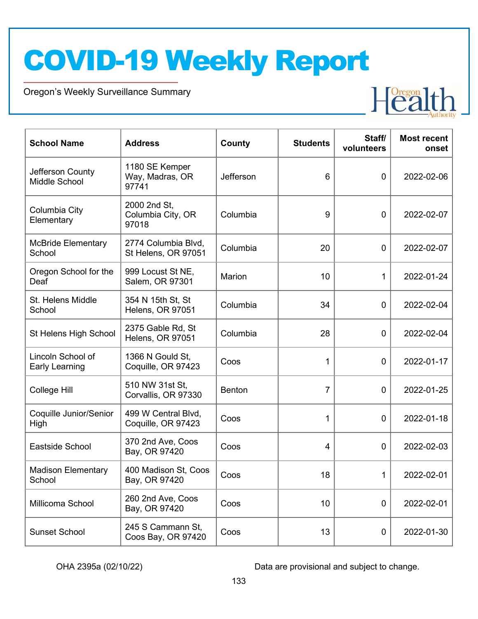Oregon's Weekly Surveillance Summary



| <b>School Name</b>                  | <b>Address</b>                             | County    | <b>Students</b> | Staff/<br>volunteers | <b>Most recent</b><br>onset |
|-------------------------------------|--------------------------------------------|-----------|-----------------|----------------------|-----------------------------|
| Jefferson County<br>Middle School   | 1180 SE Kemper<br>Way, Madras, OR<br>97741 | Jefferson | 6               | $\mathbf 0$          | 2022-02-06                  |
| Columbia City<br>Elementary         | 2000 2nd St,<br>Columbia City, OR<br>97018 | Columbia  | 9               | $\mathbf 0$          | 2022-02-07                  |
| <b>McBride Elementary</b><br>School | 2774 Columbia Blvd,<br>St Helens, OR 97051 | Columbia  | 20              | $\mathbf 0$          | 2022-02-07                  |
| Oregon School for the<br>Deaf       | 999 Locust St NE,<br>Salem, OR 97301       | Marion    | 10              | 1                    | 2022-01-24                  |
| St. Helens Middle<br>School         | 354 N 15th St, St<br>Helens, OR 97051      | Columbia  | 34              | $\mathbf 0$          | 2022-02-04                  |
| St Helens High School               | 2375 Gable Rd, St<br>Helens, OR 97051      | Columbia  | 28              | $\mathbf 0$          | 2022-02-04                  |
| Lincoln School of<br>Early Learning | 1366 N Gould St,<br>Coquille, OR 97423     | Coos      | 1               | $\mathbf 0$          | 2022-01-17                  |
| College Hill                        | 510 NW 31st St,<br>Corvallis, OR 97330     | Benton    | $\overline{7}$  | $\mathbf 0$          | 2022-01-25                  |
| Coquille Junior/Senior<br>High      | 499 W Central Blvd,<br>Coquille, OR 97423  | Coos      | 1               | $\mathbf 0$          | 2022-01-18                  |
| Eastside School                     | 370 2nd Ave, Coos<br>Bay, OR 97420         | Coos      | 4               | $\mathbf 0$          | 2022-02-03                  |
| <b>Madison Elementary</b><br>School | 400 Madison St, Coos<br>Bay, OR 97420      | Coos      | 18              | 1                    | 2022-02-01                  |
| Millicoma School                    | 260 2nd Ave, Coos<br>Bay, OR 97420         | Coos      | 10              | $\mathbf 0$          | 2022-02-01                  |
| <b>Sunset School</b>                | 245 S Cammann St,<br>Coos Bay, OR 97420    | Coos      | 13              | 0                    | 2022-01-30                  |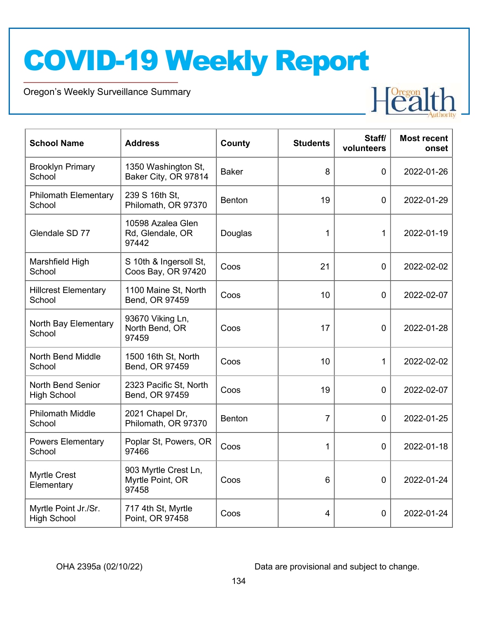Oregon's Weekly Surveillance Summary



| <b>School Name</b>                             | <b>Address</b>                                    | County       | <b>Students</b> | Staff/<br>volunteers | <b>Most recent</b><br>onset |
|------------------------------------------------|---------------------------------------------------|--------------|-----------------|----------------------|-----------------------------|
| <b>Brooklyn Primary</b><br>School              | 1350 Washington St,<br>Baker City, OR 97814       | <b>Baker</b> | 8               | $\mathbf 0$          | 2022-01-26                  |
| <b>Philomath Elementary</b><br>School          | 239 S 16th St,<br>Philomath, OR 97370             | Benton       | 19              | $\mathbf 0$          | 2022-01-29                  |
| Glendale SD 77                                 | 10598 Azalea Glen<br>Rd, Glendale, OR<br>97442    | Douglas      | 1               | $\mathbf{1}$         | 2022-01-19                  |
| Marshfield High<br>School                      | S 10th & Ingersoll St,<br>Coos Bay, OR 97420      | Coos         | 21              | $\mathbf 0$          | 2022-02-02                  |
| <b>Hillcrest Elementary</b><br>School          | 1100 Maine St, North<br>Bend, OR 97459            | Coos         | 10              | $\mathbf 0$          | 2022-02-07                  |
| North Bay Elementary<br>School                 | 93670 Viking Ln,<br>North Bend, OR<br>97459       | Coos         | 17              | $\mathbf 0$          | 2022-01-28                  |
| <b>North Bend Middle</b><br>School             | 1500 16th St, North<br>Bend, OR 97459             | Coos         | 10              | $\mathbf 1$          | 2022-02-02                  |
| <b>North Bend Senior</b><br><b>High School</b> | 2323 Pacific St, North<br>Bend, OR 97459          | Coos         | 19              | $\overline{0}$       | 2022-02-07                  |
| <b>Philomath Middle</b><br>School              | 2021 Chapel Dr,<br>Philomath, OR 97370            | Benton       | $\overline{7}$  | $\overline{0}$       | 2022-01-25                  |
| <b>Powers Elementary</b><br>School             | Poplar St, Powers, OR<br>97466                    | Coos         | $\mathbf 1$     | $\mathbf 0$          | 2022-01-18                  |
| <b>Myrtle Crest</b><br>Elementary              | 903 Myrtle Crest Ln,<br>Myrtle Point, OR<br>97458 | Coos         | 6               | $\mathbf 0$          | 2022-01-24                  |
| Myrtle Point Jr./Sr.<br><b>High School</b>     | 717 4th St, Myrtle<br>Point, OR 97458             | Coos         | 4               | $\mathbf 0$          | 2022-01-24                  |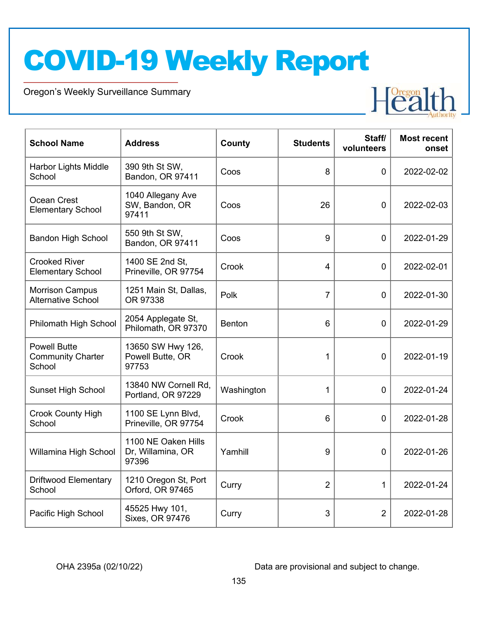Oregon's Weekly Surveillance Summary



| <b>School Name</b>                                        | <b>Address</b>                                    | County     | <b>Students</b> | Staff/<br>volunteers | <b>Most recent</b><br>onset |
|-----------------------------------------------------------|---------------------------------------------------|------------|-----------------|----------------------|-----------------------------|
| Harbor Lights Middle<br>School                            | 390 9th St SW,<br>Bandon, OR 97411                | Coos       | 8               | $\mathbf 0$          | 2022-02-02                  |
| Ocean Crest<br><b>Elementary School</b>                   | 1040 Allegany Ave<br>SW, Bandon, OR<br>97411      | Coos       | 26              | $\mathbf 0$          | 2022-02-03                  |
| <b>Bandon High School</b>                                 | 550 9th St SW,<br>Bandon, OR 97411                | Coos       | 9               | $\overline{0}$       | 2022-01-29                  |
| <b>Crooked River</b><br><b>Elementary School</b>          | 1400 SE 2nd St,<br>Prineville, OR 97754           | Crook      | 4               | $\mathbf 0$          | 2022-02-01                  |
| <b>Morrison Campus</b><br><b>Alternative School</b>       | 1251 Main St, Dallas,<br>OR 97338                 | Polk       | $\overline{7}$  | 0                    | 2022-01-30                  |
| Philomath High School                                     | 2054 Applegate St,<br>Philomath, OR 97370         | Benton     | 6               | $\mathbf 0$          | 2022-01-29                  |
| <b>Powell Butte</b><br><b>Community Charter</b><br>School | 13650 SW Hwy 126,<br>Powell Butte, OR<br>97753    | Crook      | 1               | $\mathbf 0$          | 2022-01-19                  |
| <b>Sunset High School</b>                                 | 13840 NW Cornell Rd,<br>Portland, OR 97229        | Washington | 1               | $\overline{0}$       | 2022-01-24                  |
| <b>Crook County High</b><br>School                        | 1100 SE Lynn Blvd,<br>Prineville, OR 97754        | Crook      | 6               | $\overline{0}$       | 2022-01-28                  |
| Willamina High School                                     | 1100 NE Oaken Hills<br>Dr, Willamina, OR<br>97396 | Yamhill    | 9               | $\overline{0}$       | 2022-01-26                  |
| <b>Driftwood Elementary</b><br>School                     | 1210 Oregon St, Port<br>Orford, OR 97465          | Curry      | $\overline{2}$  | $\mathbf 1$          | 2022-01-24                  |
| Pacific High School                                       | 45525 Hwy 101,<br>Sixes, OR 97476                 | Curry      | 3               | $\overline{2}$       | 2022-01-28                  |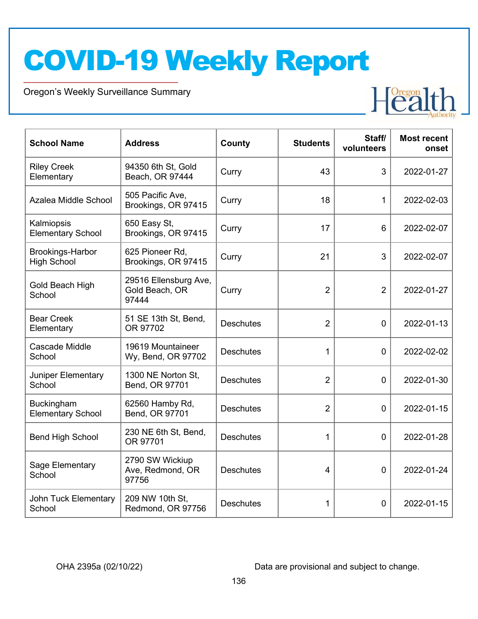Oregon's Weekly Surveillance Summary



| <b>School Name</b>                            | <b>Address</b>                                   | County           | <b>Students</b> | Staff/<br>volunteers | <b>Most recent</b><br>onset |
|-----------------------------------------------|--------------------------------------------------|------------------|-----------------|----------------------|-----------------------------|
| <b>Riley Creek</b><br>Elementary              | 94350 6th St, Gold<br>Beach, OR 97444            | Curry            | 43              | 3                    | 2022-01-27                  |
| Azalea Middle School                          | 505 Pacific Ave,<br>Brookings, OR 97415          | Curry            | 18              | 1                    | 2022-02-03                  |
| Kalmiopsis<br><b>Elementary School</b>        | 650 Easy St,<br>Brookings, OR 97415              | Curry            | 17              | 6                    | 2022-02-07                  |
| Brookings-Harbor<br><b>High School</b>        | 625 Pioneer Rd,<br>Brookings, OR 97415           | Curry            | 21              | 3                    | 2022-02-07                  |
| Gold Beach High<br>School                     | 29516 Ellensburg Ave,<br>Gold Beach, OR<br>97444 | Curry            | $\overline{2}$  | $\overline{2}$       | 2022-01-27                  |
| <b>Bear Creek</b><br>Elementary               | 51 SE 13th St, Bend,<br>OR 97702                 | <b>Deschutes</b> | $\overline{2}$  | $\mathbf 0$          | 2022-01-13                  |
| Cascade Middle<br>School                      | 19619 Mountaineer<br>Wy, Bend, OR 97702          | <b>Deschutes</b> | 1               | $\mathbf 0$          | 2022-02-02                  |
| Juniper Elementary<br>School                  | 1300 NE Norton St,<br>Bend, OR 97701             | <b>Deschutes</b> | $\overline{2}$  | $\overline{0}$       | 2022-01-30                  |
| <b>Buckingham</b><br><b>Elementary School</b> | 62560 Hamby Rd,<br>Bend, OR 97701                | <b>Deschutes</b> | $\overline{2}$  | $\overline{0}$       | 2022-01-15                  |
| <b>Bend High School</b>                       | 230 NE 6th St, Bend,<br>OR 97701                 | <b>Deschutes</b> | 1               | $\mathbf 0$          | 2022-01-28                  |
| Sage Elementary<br>School                     | 2790 SW Wickiup<br>Ave, Redmond, OR<br>97756     | <b>Deschutes</b> | 4               | $\mathbf 0$          | 2022-01-24                  |
| <b>John Tuck Elementary</b><br>School         | 209 NW 10th St.<br>Redmond, OR 97756             | <b>Deschutes</b> | 1               | 0                    | 2022-01-15                  |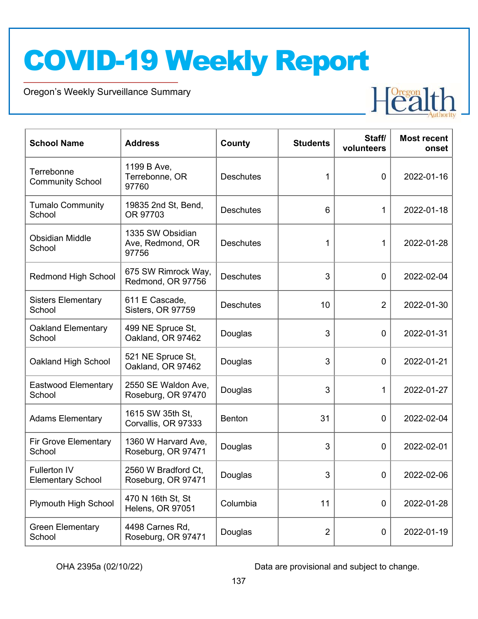Oregon's Weekly Surveillance Summary



| <b>School Name</b>                              | <b>Address</b>                                | <b>County</b>    | <b>Students</b> | Staff/<br>volunteers | <b>Most recent</b><br>onset |
|-------------------------------------------------|-----------------------------------------------|------------------|-----------------|----------------------|-----------------------------|
| Terrebonne<br><b>Community School</b>           | 1199 B Ave,<br>Terrebonne, OR<br>97760        | <b>Deschutes</b> | 1               | $\mathbf 0$          | 2022-01-16                  |
| <b>Tumalo Community</b><br>School               | 19835 2nd St, Bend,<br>OR 97703               | <b>Deschutes</b> | 6               | 1                    | 2022-01-18                  |
| <b>Obsidian Middle</b><br>School                | 1335 SW Obsidian<br>Ave, Redmond, OR<br>97756 | <b>Deschutes</b> | 1               | 1                    | 2022-01-28                  |
| <b>Redmond High School</b>                      | 675 SW Rimrock Way,<br>Redmond, OR 97756      | <b>Deschutes</b> | 3               | $\mathbf 0$          | 2022-02-04                  |
| <b>Sisters Elementary</b><br>School             | 611 E Cascade,<br>Sisters, OR 97759           | <b>Deschutes</b> | 10              | $\overline{2}$       | 2022-01-30                  |
| <b>Oakland Elementary</b><br>School             | 499 NE Spruce St,<br>Oakland, OR 97462        | Douglas          | 3               | $\mathbf 0$          | 2022-01-31                  |
| Oakland High School                             | 521 NE Spruce St,<br>Oakland, OR 97462        | Douglas          | 3               | $\mathbf 0$          | 2022-01-21                  |
| <b>Eastwood Elementary</b><br>School            | 2550 SE Waldon Ave,<br>Roseburg, OR 97470     | Douglas          | 3               | 1                    | 2022-01-27                  |
| <b>Adams Elementary</b>                         | 1615 SW 35th St,<br>Corvallis, OR 97333       | <b>Benton</b>    | 31              | $\mathbf 0$          | 2022-02-04                  |
| <b>Fir Grove Elementary</b><br>School           | 1360 W Harvard Ave,<br>Roseburg, OR 97471     | Douglas          | 3               | $\mathbf 0$          | 2022-02-01                  |
| <b>Fullerton IV</b><br><b>Elementary School</b> | 2560 W Bradford Ct,<br>Roseburg, OR 97471     | Douglas          | 3               | $\Omega$             | 2022-02-06                  |
| <b>Plymouth High School</b>                     | 470 N 16th St, St<br>Helens, OR 97051         | Columbia         | 11              | $\mathbf 0$          | 2022-01-28                  |
| <b>Green Elementary</b><br>School               | 4498 Carnes Rd,<br>Roseburg, OR 97471         | Douglas          | $\overline{2}$  | $\mathbf 0$          | 2022-01-19                  |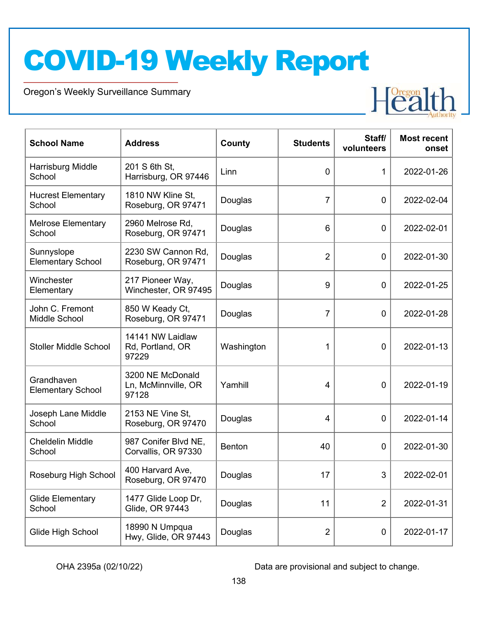Oregon's Weekly Surveillance Summary



| <b>School Name</b>                     | <b>Address</b>                                   | County        | <b>Students</b> | Staff/<br>volunteers | <b>Most recent</b><br>onset |
|----------------------------------------|--------------------------------------------------|---------------|-----------------|----------------------|-----------------------------|
| Harrisburg Middle<br>School            | 201 S 6th St,<br>Harrisburg, OR 97446            | Linn          | $\mathbf 0$     | 1                    | 2022-01-26                  |
| <b>Hucrest Elementary</b><br>School    | 1810 NW Kline St,<br>Roseburg, OR 97471          | Douglas       | 7               | $\mathbf 0$          | 2022-02-04                  |
| <b>Melrose Elementary</b><br>School    | 2960 Melrose Rd,<br>Roseburg, OR 97471           | Douglas       | 6               | $\mathbf 0$          | 2022-02-01                  |
| Sunnyslope<br><b>Elementary School</b> | 2230 SW Cannon Rd,<br>Roseburg, OR 97471         | Douglas       | $\overline{2}$  | $\mathbf 0$          | 2022-01-30                  |
| Winchester<br>Elementary               | 217 Pioneer Way,<br>Winchester, OR 97495         | Douglas       | 9               | $\mathbf 0$          | 2022-01-25                  |
| John C. Fremont<br>Middle School       | 850 W Keady Ct,<br>Roseburg, OR 97471            | Douglas       | 7               | $\mathbf 0$          | 2022-01-28                  |
| <b>Stoller Middle School</b>           | 14141 NW Laidlaw<br>Rd, Portland, OR<br>97229    | Washington    | 1               | $\mathbf 0$          | 2022-01-13                  |
| Grandhaven<br><b>Elementary School</b> | 3200 NE McDonald<br>Ln, McMinnville, OR<br>97128 | Yamhill       | 4               | $\mathbf 0$          | 2022-01-19                  |
| Joseph Lane Middle<br>School           | 2153 NE Vine St,<br>Roseburg, OR 97470           | Douglas       | 4               | $\mathbf 0$          | 2022-01-14                  |
| <b>Cheldelin Middle</b><br>School      | 987 Conifer Blvd NE,<br>Corvallis, OR 97330      | <b>Benton</b> | 40              | $\mathbf 0$          | 2022-01-30                  |
| Roseburg High School                   | 400 Harvard Ave,<br>Roseburg, OR 97470           | Douglas       | 17              | 3                    | 2022-02-01                  |
| <b>Glide Elementary</b><br>School      | 1477 Glide Loop Dr,<br>Glide, OR 97443           | Douglas       | 11              | $\overline{2}$       | 2022-01-31                  |
| Glide High School                      | 18990 N Umpqua<br>Hwy, Glide, OR 97443           | Douglas       | $\overline{2}$  | $\mathbf 0$          | 2022-01-17                  |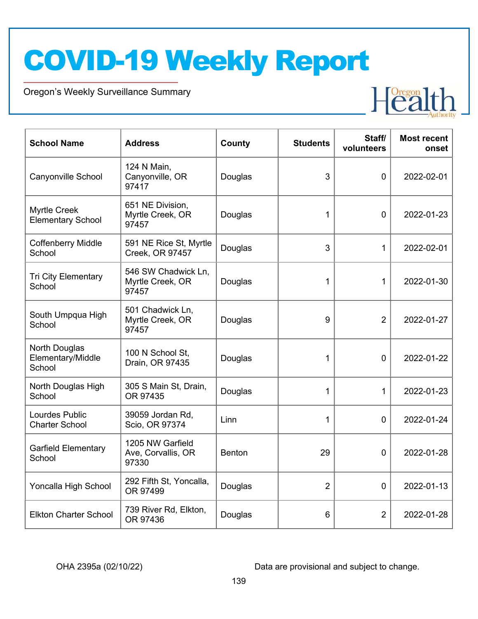Oregon's Weekly Surveillance Summary



| <b>School Name</b>                              | <b>Address</b>                                   | County        | <b>Students</b> | Staff/<br>volunteers | <b>Most recent</b><br>onset |
|-------------------------------------------------|--------------------------------------------------|---------------|-----------------|----------------------|-----------------------------|
| Canyonville School                              | 124 N Main,<br>Canyonville, OR<br>97417          | Douglas       | 3               | $\overline{0}$       | 2022-02-01                  |
| <b>Myrtle Creek</b><br><b>Elementary School</b> | 651 NE Division,<br>Myrtle Creek, OR<br>97457    | Douglas       | 1               | $\Omega$             | 2022-01-23                  |
| <b>Coffenberry Middle</b><br>School             | 591 NE Rice St, Myrtle<br>Creek, OR 97457        | Douglas       | 3               | 1                    | 2022-02-01                  |
| <b>Tri City Elementary</b><br>School            | 546 SW Chadwick Ln,<br>Myrtle Creek, OR<br>97457 | Douglas       | 1               | 1                    | 2022-01-30                  |
| South Umpqua High<br>School                     | 501 Chadwick Ln,<br>Myrtle Creek, OR<br>97457    | Douglas       | 9               | $\overline{2}$       | 2022-01-27                  |
| North Douglas<br>Elementary/Middle<br>School    | 100 N School St,<br>Drain, OR 97435              | Douglas       | 1               | $\Omega$             | 2022-01-22                  |
| North Douglas High<br>School                    | 305 S Main St, Drain,<br>OR 97435                | Douglas       | 1               | 1                    | 2022-01-23                  |
| <b>Lourdes Public</b><br><b>Charter School</b>  | 39059 Jordan Rd,<br>Scio, OR 97374               | Linn          | 1               | $\overline{0}$       | 2022-01-24                  |
| <b>Garfield Elementary</b><br>School            | 1205 NW Garfield<br>Ave, Corvallis, OR<br>97330  | <b>Benton</b> | 29              | $\Omega$             | 2022-01-28                  |
| Yoncalla High School                            | 292 Fifth St, Yoncalla,<br>OR 97499              | Douglas       | $\overline{2}$  | $\mathbf 0$          | 2022-01-13                  |
| <b>Elkton Charter School</b>                    | 739 River Rd, Elkton,<br>OR 97436                | Douglas       | 6               | $\overline{2}$       | 2022-01-28                  |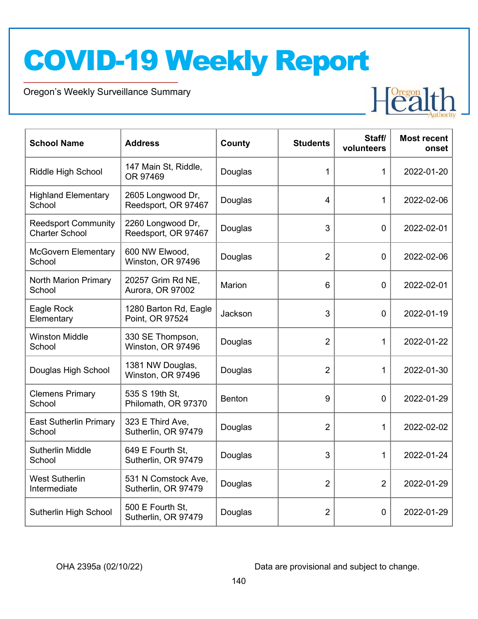Oregon's Weekly Surveillance Summary



| <b>School Name</b>                                  | <b>Address</b>                             | County        | <b>Students</b> | Staff/<br>volunteers | <b>Most recent</b><br>onset |
|-----------------------------------------------------|--------------------------------------------|---------------|-----------------|----------------------|-----------------------------|
| <b>Riddle High School</b>                           | 147 Main St, Riddle,<br>OR 97469           | Douglas       | 1               | 1                    | 2022-01-20                  |
| <b>Highland Elementary</b><br>School                | 2605 Longwood Dr,<br>Reedsport, OR 97467   | Douglas       | $\overline{4}$  | 1                    | 2022-02-06                  |
| <b>Reedsport Community</b><br><b>Charter School</b> | 2260 Longwood Dr,<br>Reedsport, OR 97467   | Douglas       | 3               | $\Omega$             | 2022-02-01                  |
| <b>McGovern Elementary</b><br>School                | 600 NW Elwood,<br>Winston, OR 97496        | Douglas       | $\overline{2}$  | $\overline{0}$       | 2022-02-06                  |
| North Marion Primary<br>School                      | 20257 Grim Rd NE,<br>Aurora, OR 97002      | Marion        | 6               | $\overline{0}$       | 2022-02-01                  |
| Eagle Rock<br>Elementary                            | 1280 Barton Rd, Eagle<br>Point, OR 97524   | Jackson       | 3               | $\mathbf 0$          | 2022-01-19                  |
| <b>Winston Middle</b><br>School                     | 330 SE Thompson,<br>Winston, OR 97496      | Douglas       | $\overline{2}$  | 1                    | 2022-01-22                  |
| Douglas High School                                 | 1381 NW Douglas,<br>Winston, OR 97496      | Douglas       | $\overline{2}$  | 1                    | 2022-01-30                  |
| <b>Clemens Primary</b><br>School                    | 535 S 19th St,<br>Philomath, OR 97370      | <b>Benton</b> | 9               | $\Omega$             | 2022-01-29                  |
| <b>East Sutherlin Primary</b><br>School             | 323 E Third Ave,<br>Sutherlin, OR 97479    | Douglas       | $\overline{2}$  | 1                    | 2022-02-02                  |
| <b>Sutherlin Middle</b><br>School                   | 649 E Fourth St,<br>Sutherlin, OR 97479    | Douglas       | 3               | 1                    | 2022-01-24                  |
| <b>West Sutherlin</b><br>Intermediate               | 531 N Comstock Ave,<br>Sutherlin, OR 97479 | Douglas       | $\overline{2}$  | 2                    | 2022-01-29                  |
| Sutherlin High School                               | 500 E Fourth St.<br>Sutherlin, OR 97479    | Douglas       | $\overline{2}$  | 0                    | 2022-01-29                  |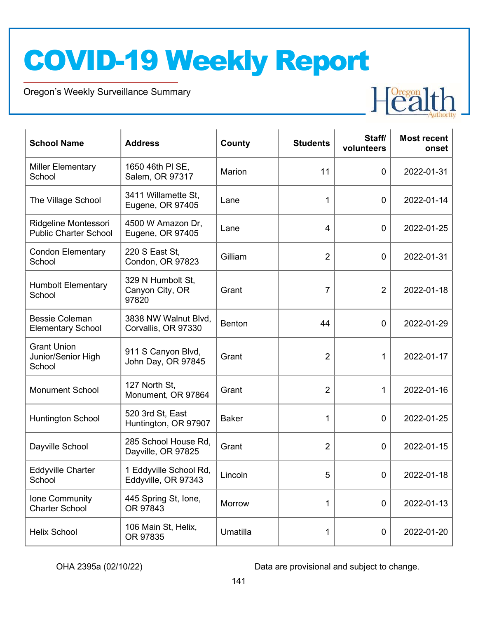Oregon's Weekly Surveillance Summary



| <b>School Name</b>                                   | <b>Address</b>                                | County        | <b>Students</b> | Staff/<br>volunteers | <b>Most recent</b><br>onset |
|------------------------------------------------------|-----------------------------------------------|---------------|-----------------|----------------------|-----------------------------|
| <b>Miller Elementary</b><br>School                   | 1650 46th PI SE,<br>Salem, OR 97317           | Marion        | 11              | $\mathbf 0$          | 2022-01-31                  |
| The Village School                                   | 3411 Willamette St,<br>Eugene, OR 97405       | Lane          | 1               | $\mathbf 0$          | 2022-01-14                  |
| Ridgeline Montessori<br><b>Public Charter School</b> | 4500 W Amazon Dr,<br>Eugene, OR 97405         | Lane          | 4               | $\mathbf 0$          | 2022-01-25                  |
| <b>Condon Elementary</b><br>School                   | 220 S East St,<br>Condon, OR 97823            | Gilliam       | $\overline{2}$  | $\mathbf 0$          | 2022-01-31                  |
| <b>Humbolt Elementary</b><br>School                  | 329 N Humbolt St,<br>Canyon City, OR<br>97820 | Grant         | $\overline{7}$  | $\overline{2}$       | 2022-01-18                  |
| <b>Bessie Coleman</b><br><b>Elementary School</b>    | 3838 NW Walnut Blvd,<br>Corvallis, OR 97330   | <b>Benton</b> | 44              | $\mathbf 0$          | 2022-01-29                  |
| <b>Grant Union</b><br>Junior/Senior High<br>School   | 911 S Canyon Blvd,<br>John Day, OR 97845      | Grant         | $\overline{2}$  | 1                    | 2022-01-17                  |
| <b>Monument School</b>                               | 127 North St,<br>Monument, OR 97864           | Grant         | $\overline{2}$  | 1                    | 2022-01-16                  |
| <b>Huntington School</b>                             | 520 3rd St, East<br>Huntington, OR 97907      | <b>Baker</b>  | 1               | $\mathbf 0$          | 2022-01-25                  |
| Dayville School                                      | 285 School House Rd,<br>Dayville, OR 97825    | Grant         | $\overline{2}$  | $\mathbf 0$          | 2022-01-15                  |
| <b>Eddyville Charter</b><br>School                   | 1 Eddyville School Rd,<br>Eddyville, OR 97343 | Lincoln       | 5               | $\Omega$             | 2022-01-18                  |
| Ione Community<br><b>Charter School</b>              | 445 Spring St, Ione,<br>OR 97843              | Morrow        | 1               | $\mathbf 0$          | 2022-01-13                  |
| <b>Helix School</b>                                  | 106 Main St, Helix,<br>OR 97835               | Umatilla      | 1               | $\mathbf 0$          | 2022-01-20                  |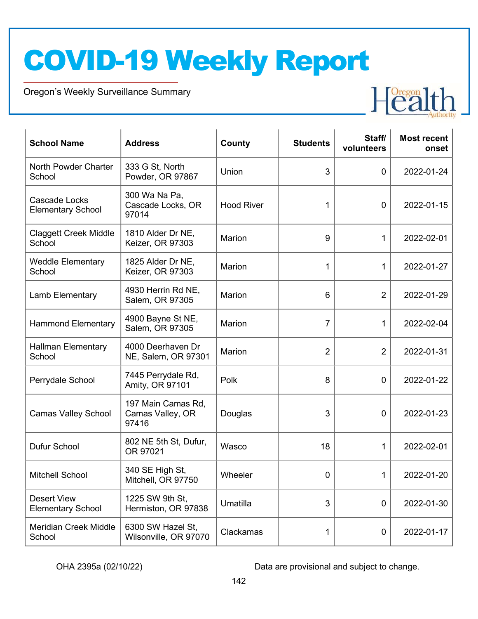Oregon's Weekly Surveillance Summary



| <b>School Name</b>                               | <b>Address</b>                                  | County            | <b>Students</b> | Staff/<br>volunteers | <b>Most recent</b><br>onset |
|--------------------------------------------------|-------------------------------------------------|-------------------|-----------------|----------------------|-----------------------------|
| North Powder Charter<br>School                   | 333 G St, North<br>Powder, OR 97867             | Union             | 3               | $\mathbf 0$          | 2022-01-24                  |
| <b>Cascade Locks</b><br><b>Elementary School</b> | 300 Wa Na Pa,<br>Cascade Locks, OR<br>97014     | <b>Hood River</b> | 1               | $\mathbf 0$          | 2022-01-15                  |
| <b>Claggett Creek Middle</b><br>School           | 1810 Alder Dr NE,<br>Keizer, OR 97303           | Marion            | 9               | 1                    | 2022-02-01                  |
| <b>Weddle Elementary</b><br>School               | 1825 Alder Dr NE,<br>Keizer, OR 97303           | Marion            | 1               | 1                    | 2022-01-27                  |
| Lamb Elementary                                  | 4930 Herrin Rd NE,<br>Salem, OR 97305           | Marion            | 6               | $\overline{2}$       | 2022-01-29                  |
| <b>Hammond Elementary</b>                        | 4900 Bayne St NE,<br>Salem, OR 97305            | Marion            | $\overline{7}$  | 1                    | 2022-02-04                  |
| <b>Hallman Elementary</b><br>School              | 4000 Deerhaven Dr<br>NE, Salem, OR 97301        | <b>Marion</b>     | $\overline{2}$  | $\overline{2}$       | 2022-01-31                  |
| Perrydale School                                 | 7445 Perrydale Rd,<br>Amity, OR 97101           | Polk              | 8               | $\mathbf 0$          | 2022-01-22                  |
| <b>Camas Valley School</b>                       | 197 Main Camas Rd,<br>Camas Valley, OR<br>97416 | Douglas           | 3               | $\mathbf 0$          | 2022-01-23                  |
| Dufur School                                     | 802 NE 5th St, Dufur,<br>OR 97021               | Wasco             | 18              | 1                    | 2022-02-01                  |
| <b>Mitchell School</b>                           | 340 SE High St,<br>Mitchell, OR 97750           | Wheeler           | 0               | 1                    | 2022-01-20                  |
| <b>Desert View</b><br><b>Elementary School</b>   | 1225 SW 9th St,<br>Hermiston, OR 97838          | Umatilla          | 3               | 0                    | 2022-01-30                  |
| <b>Meridian Creek Middle</b><br>School           | 6300 SW Hazel St,<br>Wilsonville, OR 97070      | Clackamas         | 1               | 0                    | 2022-01-17                  |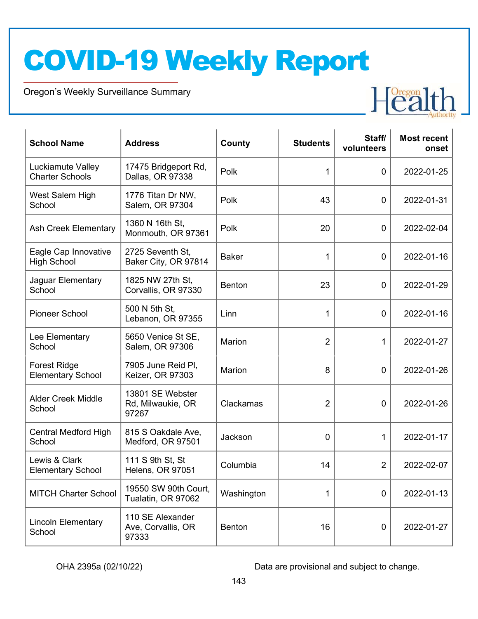Oregon's Weekly Surveillance Summary



| <b>School Name</b>                              | <b>Address</b>                                  | County        | <b>Students</b> | Staff/<br>volunteers | <b>Most recent</b><br>onset |
|-------------------------------------------------|-------------------------------------------------|---------------|-----------------|----------------------|-----------------------------|
| Luckiamute Valley<br><b>Charter Schools</b>     | 17475 Bridgeport Rd,<br>Dallas, OR 97338        | Polk          | $\mathbf 1$     | $\mathbf 0$          | 2022-01-25                  |
| West Salem High<br>School                       | 1776 Titan Dr NW,<br>Salem, OR 97304            | Polk          | 43              | $\mathbf 0$          | 2022-01-31                  |
| Ash Creek Elementary                            | 1360 N 16th St,<br>Monmouth, OR 97361           | Polk          | 20              | $\mathbf 0$          | 2022-02-04                  |
| Eagle Cap Innovative<br><b>High School</b>      | 2725 Seventh St,<br>Baker City, OR 97814        | <b>Baker</b>  | $\mathbf 1$     | $\mathbf 0$          | 2022-01-16                  |
| Jaguar Elementary<br>School                     | 1825 NW 27th St,<br>Corvallis, OR 97330         | <b>Benton</b> | 23              | $\mathbf 0$          | 2022-01-29                  |
| <b>Pioneer School</b>                           | 500 N 5th St,<br>Lebanon, OR 97355              | Linn          | 1               | $\mathbf 0$          | 2022-01-16                  |
| Lee Elementary<br>School                        | 5650 Venice St SE,<br>Salem, OR 97306           | Marion        | $\overline{2}$  | 1                    | 2022-01-27                  |
| <b>Forest Ridge</b><br><b>Elementary School</b> | 7905 June Reid Pl,<br>Keizer, OR 97303          | Marion        | 8               | $\mathbf 0$          | 2022-01-26                  |
| <b>Alder Creek Middle</b><br>School             | 13801 SE Webster<br>Rd, Milwaukie, OR<br>97267  | Clackamas     | $\overline{2}$  | $\mathbf 0$          | 2022-01-26                  |
| <b>Central Medford High</b><br>School           | 815 S Oakdale Ave,<br>Medford, OR 97501         | Jackson       | 0               | 1                    | 2022-01-17                  |
| Lewis & Clark<br><b>Elementary School</b>       | 111 S 9th St, St<br>Helens, OR 97051            | Columbia      | 14              | $\overline{2}$       | 2022-02-07                  |
| <b>MITCH Charter School</b>                     | 19550 SW 90th Court,<br>Tualatin, OR 97062      | Washington    | 1               | $\mathbf 0$          | 2022-01-13                  |
| <b>Lincoln Elementary</b><br>School             | 110 SE Alexander<br>Ave, Corvallis, OR<br>97333 | Benton        | 16              | $\boldsymbol{0}$     | 2022-01-27                  |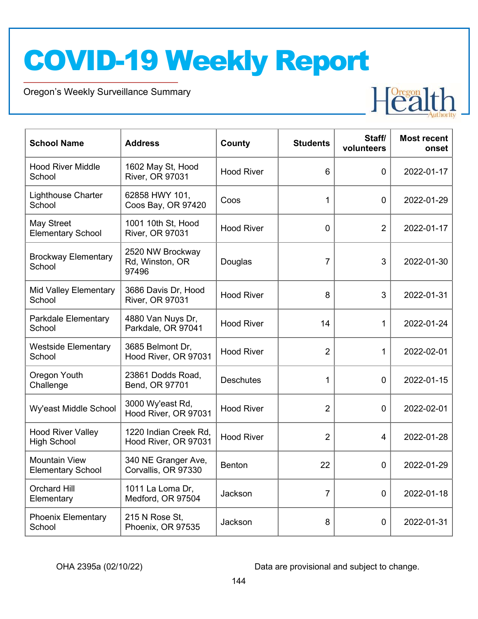Oregon's Weekly Surveillance Summary



| <b>School Name</b>                               | <b>Address</b>                                | County            | <b>Students</b> | Staff/<br>volunteers | <b>Most recent</b><br>onset |
|--------------------------------------------------|-----------------------------------------------|-------------------|-----------------|----------------------|-----------------------------|
| <b>Hood River Middle</b><br>School               | 1602 May St, Hood<br><b>River, OR 97031</b>   | <b>Hood River</b> | 6               | $\Omega$             | 2022-01-17                  |
| <b>Lighthouse Charter</b><br>School              | 62858 HWY 101,<br>Coos Bay, OR 97420          | Coos              | 1               | $\mathbf 0$          | 2022-01-29                  |
| May Street<br><b>Elementary School</b>           | 1001 10th St, Hood<br>River, OR 97031         | <b>Hood River</b> | $\Omega$        | $\overline{2}$       | 2022-01-17                  |
| <b>Brockway Elementary</b><br>School             | 2520 NW Brockway<br>Rd, Winston, OR<br>97496  | Douglas           | $\overline{7}$  | 3                    | 2022-01-30                  |
| <b>Mid Valley Elementary</b><br>School           | 3686 Davis Dr, Hood<br>River, OR 97031        | <b>Hood River</b> | 8               | 3                    | 2022-01-31                  |
| Parkdale Elementary<br>School                    | 4880 Van Nuys Dr,<br>Parkdale, OR 97041       | <b>Hood River</b> | 14              | 1                    | 2022-01-24                  |
| <b>Westside Elementary</b><br>School             | 3685 Belmont Dr.<br>Hood River, OR 97031      | <b>Hood River</b> | $\overline{2}$  | 1                    | 2022-02-01                  |
| Oregon Youth<br>Challenge                        | 23861 Dodds Road,<br>Bend, OR 97701           | <b>Deschutes</b>  | 1               | 0                    | 2022-01-15                  |
| Wy'east Middle School                            | 3000 Wy'east Rd,<br>Hood River, OR 97031      | <b>Hood River</b> | $\overline{2}$  | $\mathbf 0$          | 2022-02-01                  |
| <b>Hood River Valley</b><br><b>High School</b>   | 1220 Indian Creek Rd,<br>Hood River, OR 97031 | <b>Hood River</b> | $\overline{2}$  | 4                    | 2022-01-28                  |
| <b>Mountain View</b><br><b>Elementary School</b> | 340 NE Granger Ave,<br>Corvallis, OR 97330    | <b>Benton</b>     | 22              | $\mathbf 0$          | 2022-01-29                  |
| <b>Orchard Hill</b><br>Elementary                | 1011 La Loma Dr,<br>Medford, OR 97504         | Jackson           | $\overline{7}$  | $\mathbf 0$          | 2022-01-18                  |
| <b>Phoenix Elementary</b><br>School              | 215 N Rose St,<br>Phoenix, OR 97535           | Jackson           | 8               | 0                    | 2022-01-31                  |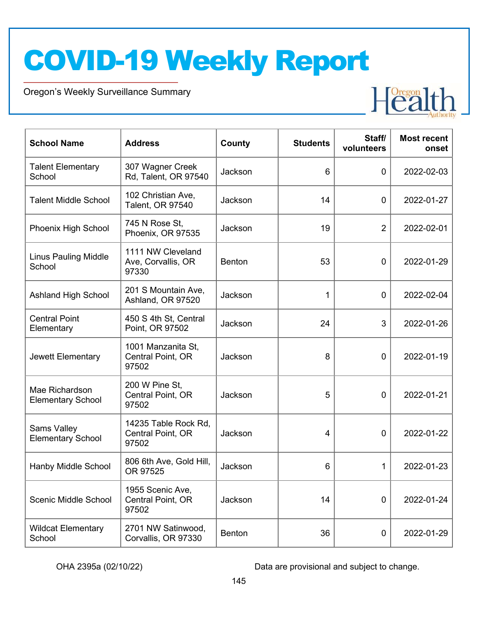Oregon's Weekly Surveillance Summary



| <b>School Name</b>                             | <b>Address</b>                                     | County        | <b>Students</b> | Staff/<br>volunteers | <b>Most recent</b><br>onset |
|------------------------------------------------|----------------------------------------------------|---------------|-----------------|----------------------|-----------------------------|
| <b>Talent Elementary</b><br>School             | 307 Wagner Creek<br>Rd, Talent, OR 97540           | Jackson       | 6               | 0                    | 2022-02-03                  |
| <b>Talent Middle School</b>                    | 102 Christian Ave,<br>Talent, OR 97540             | Jackson       | 14              | $\overline{0}$       | 2022-01-27                  |
| Phoenix High School                            | 745 N Rose St.<br>Phoenix, OR 97535                | Jackson       | 19              | $\overline{2}$       | 2022-02-01                  |
| <b>Linus Pauling Middle</b><br>School          | 1111 NW Cleveland<br>Ave, Corvallis, OR<br>97330   | <b>Benton</b> | 53              | $\mathbf 0$          | 2022-01-29                  |
| <b>Ashland High School</b>                     | 201 S Mountain Ave,<br>Ashland, OR 97520           | Jackson       | 1               | $\mathbf 0$          | 2022-02-04                  |
| <b>Central Point</b><br>Elementary             | 450 S 4th St, Central<br>Point, OR 97502           | Jackson       | 24              | 3                    | 2022-01-26                  |
| Jewett Elementary                              | 1001 Manzanita St,<br>Central Point, OR<br>97502   | Jackson       | 8               | 0                    | 2022-01-19                  |
| Mae Richardson<br><b>Elementary School</b>     | 200 W Pine St,<br>Central Point, OR<br>97502       | Jackson       | 5               | 0                    | 2022-01-21                  |
| <b>Sams Valley</b><br><b>Elementary School</b> | 14235 Table Rock Rd,<br>Central Point, OR<br>97502 | Jackson       | 4               | $\mathbf 0$          | 2022-01-22                  |
| Hanby Middle School                            | 806 6th Ave, Gold Hill,<br>OR 97525                | Jackson       | 6               | 1                    | 2022-01-23                  |
| Scenic Middle School                           | 1955 Scenic Ave,<br>Central Point, OR<br>97502     | Jackson       | 14              | $\mathbf 0$          | 2022-01-24                  |
| <b>Wildcat Elementary</b><br>School            | 2701 NW Satinwood,<br>Corvallis, OR 97330          | Benton        | 36              | 0                    | 2022-01-29                  |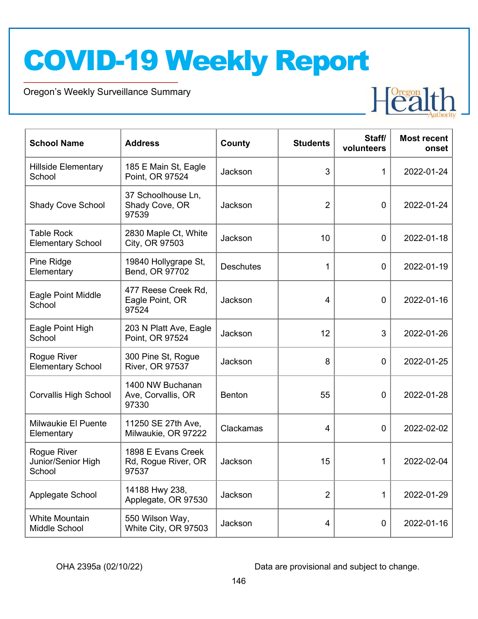Oregon's Weekly Surveillance Summary



| <b>School Name</b>                            | <b>Address</b>                                     | <b>County</b>    | <b>Students</b> | Staff/<br>volunteers | <b>Most recent</b><br>onset |
|-----------------------------------------------|----------------------------------------------------|------------------|-----------------|----------------------|-----------------------------|
| <b>Hillside Elementary</b><br>School          | 185 E Main St, Eagle<br>Point, OR 97524            | Jackson          | 3               | 1                    | 2022-01-24                  |
| <b>Shady Cove School</b>                      | 37 Schoolhouse Ln,<br>Shady Cove, OR<br>97539      | Jackson          | $\overline{2}$  | $\mathbf 0$          | 2022-01-24                  |
| <b>Table Rock</b><br><b>Elementary School</b> | 2830 Maple Ct, White<br>City, OR 97503             | Jackson          | 10              | $\overline{0}$       | 2022-01-18                  |
| Pine Ridge<br>Elementary                      | 19840 Hollygrape St,<br>Bend, OR 97702             | <b>Deschutes</b> | 1               | $\mathbf 0$          | 2022-01-19                  |
| Eagle Point Middle<br>School                  | 477 Reese Creek Rd,<br>Eagle Point, OR<br>97524    | Jackson          | $\overline{4}$  | $\mathbf 0$          | 2022-01-16                  |
| Eagle Point High<br>School                    | 203 N Platt Ave, Eagle<br>Point, OR 97524          | Jackson          | 12              | 3                    | 2022-01-26                  |
| Rogue River<br><b>Elementary School</b>       | 300 Pine St, Rogue<br>River, OR 97537              | Jackson          | 8               | $\mathbf 0$          | 2022-01-25                  |
| <b>Corvallis High School</b>                  | 1400 NW Buchanan<br>Ave, Corvallis, OR<br>97330    | <b>Benton</b>    | 55              | $\mathbf 0$          | 2022-01-28                  |
| <b>Milwaukie El Puente</b><br>Elementary      | 11250 SE 27th Ave,<br>Milwaukie, OR 97222          | Clackamas        | 4               | $\mathbf 0$          | 2022-02-02                  |
| Rogue River<br>Junior/Senior High<br>School   | 1898 E Evans Creek<br>Rd, Rogue River, OR<br>97537 | Jackson          | 15              | 1                    | 2022-02-04                  |
| Applegate School                              | 14188 Hwy 238,<br>Applegate, OR 97530              | Jackson          | $\overline{2}$  | 1                    | 2022-01-29                  |
| <b>White Mountain</b><br>Middle School        | 550 Wilson Way,<br>White City, OR 97503            | Jackson          | 4               | $\mathbf 0$          | 2022-01-16                  |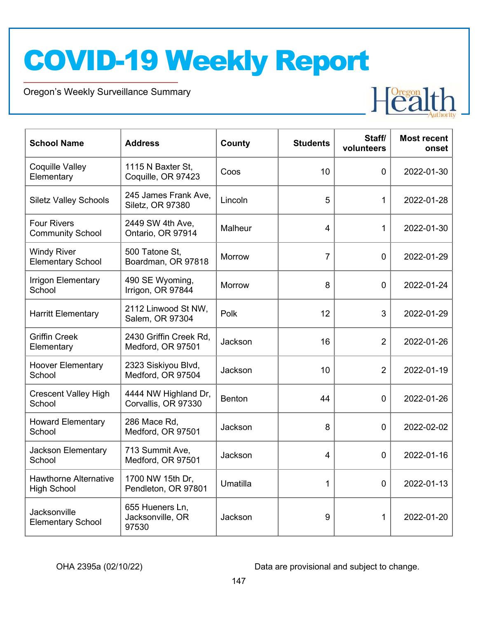Oregon's Weekly Surveillance Summary



| <b>School Name</b>                                 | <b>Address</b>                               | County        | <b>Students</b> | Staff/<br>volunteers | <b>Most recent</b><br>onset |
|----------------------------------------------------|----------------------------------------------|---------------|-----------------|----------------------|-----------------------------|
| <b>Coquille Valley</b><br>Elementary               | 1115 N Baxter St,<br>Coquille, OR 97423      | Coos          | 10              | $\overline{0}$       | 2022-01-30                  |
| <b>Siletz Valley Schools</b>                       | 245 James Frank Ave,<br>Siletz, OR 97380     | Lincoln       | 5               | 1                    | 2022-01-28                  |
| <b>Four Rivers</b><br><b>Community School</b>      | 2449 SW 4th Ave,<br>Ontario, OR 97914        | Malheur       | 4               | $\mathbf{1}$         | 2022-01-30                  |
| <b>Windy River</b><br><b>Elementary School</b>     | 500 Tatone St.<br>Boardman, OR 97818         | Morrow        | $\overline{7}$  | 0                    | 2022-01-29                  |
| <b>Irrigon Elementary</b><br>School                | 490 SE Wyoming,<br>Irrigon, OR 97844         | Morrow        | 8               | $\overline{0}$       | 2022-01-24                  |
| <b>Harritt Elementary</b>                          | 2112 Linwood St NW,<br>Salem, OR 97304       | Polk          | 12              | 3                    | 2022-01-29                  |
| <b>Griffin Creek</b><br>Elementary                 | 2430 Griffin Creek Rd,<br>Medford, OR 97501  | Jackson       | 16              | $\overline{2}$       | 2022-01-26                  |
| <b>Hoover Elementary</b><br>School                 | 2323 Siskiyou Blvd,<br>Medford, OR 97504     | Jackson       | 10              | $\overline{2}$       | 2022-01-19                  |
| <b>Crescent Valley High</b><br>School              | 4444 NW Highland Dr,<br>Corvallis, OR 97330  | <b>Benton</b> | 44              | $\overline{0}$       | 2022-01-26                  |
| <b>Howard Elementary</b><br>School                 | 286 Mace Rd,<br>Medford, OR 97501            | Jackson       | 8               | 0                    | 2022-02-02                  |
| Jackson Elementary<br>School                       | 713 Summit Ave,<br>Medford, OR 97501         | Jackson       | 4               | $\mathbf 0$          | 2022-01-16                  |
| <b>Hawthorne Alternative</b><br><b>High School</b> | 1700 NW 15th Dr,<br>Pendleton, OR 97801      | Umatilla      | $\mathbf 1$     | $\overline{0}$       | 2022-01-13                  |
| Jacksonville<br><b>Elementary School</b>           | 655 Hueners Ln,<br>Jacksonville, OR<br>97530 | Jackson       | 9               | $\mathbf 1$          | 2022-01-20                  |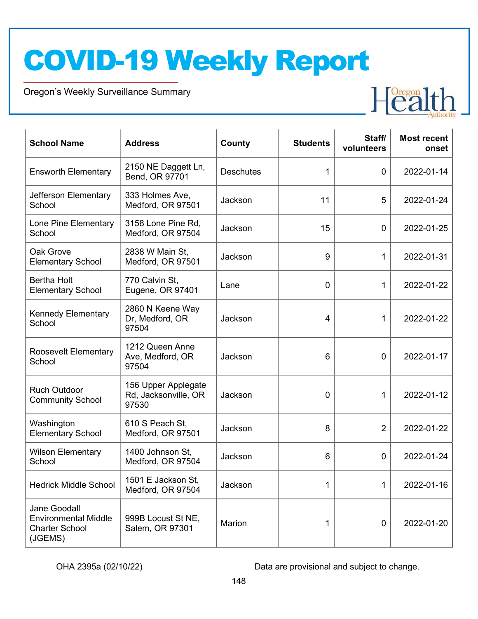Oregon's Weekly Surveillance Summary



| <b>School Name</b>                                                              | <b>Address</b>                                       | County           | <b>Students</b> | Staff/<br>volunteers | <b>Most recent</b><br>onset |
|---------------------------------------------------------------------------------|------------------------------------------------------|------------------|-----------------|----------------------|-----------------------------|
| <b>Ensworth Elementary</b>                                                      | 2150 NE Daggett Ln,<br>Bend, OR 97701                | <b>Deschutes</b> | 1               | $\mathbf 0$          | 2022-01-14                  |
| Jefferson Elementary<br>School                                                  | 333 Holmes Ave,<br>Medford, OR 97501                 | Jackson          | 11              | 5                    | 2022-01-24                  |
| Lone Pine Elementary<br>School                                                  | 3158 Lone Pine Rd,<br>Medford, OR 97504              | Jackson          | 15              | 0                    | 2022-01-25                  |
| Oak Grove<br><b>Elementary School</b>                                           | 2838 W Main St,<br>Medford, OR 97501                 | Jackson          | 9               | 1                    | 2022-01-31                  |
| <b>Bertha Holt</b><br><b>Elementary School</b>                                  | 770 Calvin St,<br>Eugene, OR 97401                   | Lane             | 0               | 1                    | 2022-01-22                  |
| <b>Kennedy Elementary</b><br>School                                             | 2860 N Keene Way<br>Dr, Medford, OR<br>97504         | Jackson          | 4               | 1                    | 2022-01-22                  |
| <b>Roosevelt Elementary</b><br>School                                           | 1212 Queen Anne<br>Ave, Medford, OR<br>97504         | Jackson          | 6               | $\mathbf 0$          | 2022-01-17                  |
| <b>Ruch Outdoor</b><br><b>Community School</b>                                  | 156 Upper Applegate<br>Rd, Jacksonville, OR<br>97530 | Jackson          | 0               | 1                    | 2022-01-12                  |
| Washington<br><b>Elementary School</b>                                          | 610 S Peach St,<br>Medford, OR 97501                 | Jackson          | 8               | $\overline{2}$       | 2022-01-22                  |
| <b>Wilson Elementary</b><br>School                                              | 1400 Johnson St,<br>Medford, OR 97504                | Jackson          | 6               | $\mathbf 0$          | 2022-01-24                  |
| <b>Hedrick Middle School</b>                                                    | 1501 E Jackson St,<br>Medford, OR 97504              | Jackson          | 1               | 1                    | 2022-01-16                  |
| Jane Goodall<br><b>Environmental Middle</b><br><b>Charter School</b><br>(JGEMS) | 999B Locust St NE,<br>Salem, OR 97301                | Marion           | 1               | 0                    | 2022-01-20                  |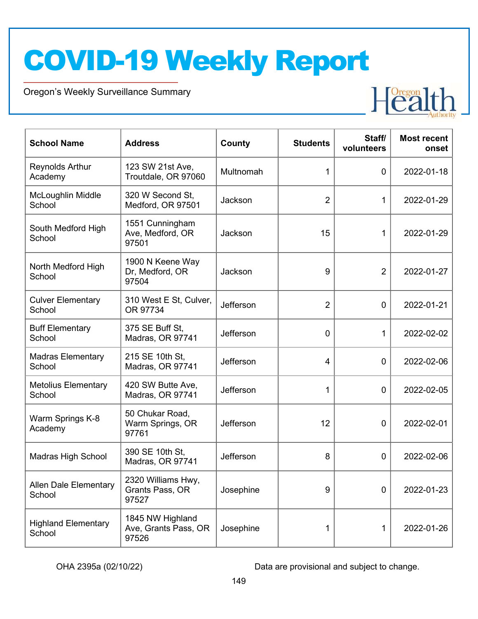Oregon's Weekly Surveillance Summary



| <b>School Name</b>                     | <b>Address</b>                                    | County    | <b>Students</b> | Staff/<br>volunteers | <b>Most recent</b><br>onset |
|----------------------------------------|---------------------------------------------------|-----------|-----------------|----------------------|-----------------------------|
| <b>Reynolds Arthur</b><br>Academy      | 123 SW 21st Ave,<br>Troutdale, OR 97060           | Multnomah | 1               | $\mathbf 0$          | 2022-01-18                  |
| McLoughlin Middle<br>School            | 320 W Second St,<br>Medford, OR 97501             | Jackson   | $\overline{2}$  | 1                    | 2022-01-29                  |
| South Medford High<br>School           | 1551 Cunningham<br>Ave, Medford, OR<br>97501      | Jackson   | 15              | 1                    | 2022-01-29                  |
| North Medford High<br>School           | 1900 N Keene Way<br>Dr, Medford, OR<br>97504      | Jackson   | 9               | $\overline{2}$       | 2022-01-27                  |
| <b>Culver Elementary</b><br>School     | 310 West E St, Culver,<br>OR 97734                | Jefferson | $\overline{2}$  | $\mathbf 0$          | 2022-01-21                  |
| <b>Buff Elementary</b><br>School       | 375 SE Buff St,<br>Madras, OR 97741               | Jefferson | $\mathbf 0$     | 1                    | 2022-02-02                  |
| <b>Madras Elementary</b><br>School     | 215 SE 10th St,<br>Madras, OR 97741               | Jefferson | $\overline{4}$  | $\mathbf 0$          | 2022-02-06                  |
| <b>Metolius Elementary</b><br>School   | 420 SW Butte Ave,<br>Madras, OR 97741             | Jefferson | 1               | 0                    | 2022-02-05                  |
| Warm Springs K-8<br>Academy            | 50 Chukar Road,<br>Warm Springs, OR<br>97761      | Jefferson | 12              | $\mathbf 0$          | 2022-02-01                  |
| <b>Madras High School</b>              | 390 SE 10th St,<br>Madras, OR 97741               | Jefferson | 8               | 0                    | 2022-02-06                  |
| <b>Allen Dale Elementary</b><br>School | 2320 Williams Hwy,<br>Grants Pass, OR<br>97527    | Josephine | 9               | $\mathbf 0$          | 2022-01-23                  |
| <b>Highland Elementary</b><br>School   | 1845 NW Highland<br>Ave, Grants Pass, OR<br>97526 | Josephine | 1               | 1                    | 2022-01-26                  |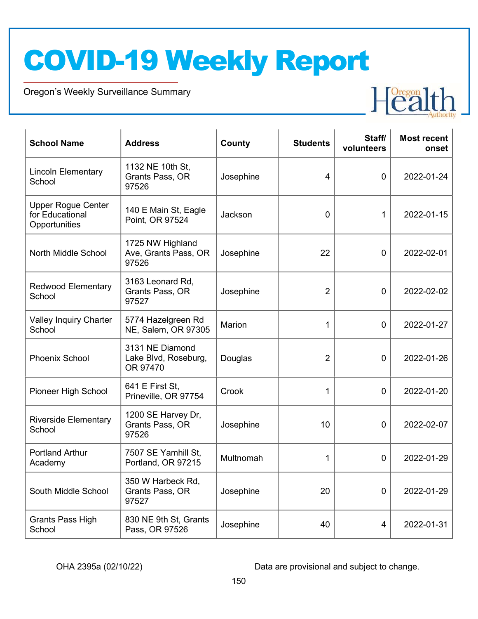Oregon's Weekly Surveillance Summary



| <b>School Name</b>                                            | <b>Address</b>                                      | County        | <b>Students</b> | Staff/<br>volunteers | <b>Most recent</b><br>onset |
|---------------------------------------------------------------|-----------------------------------------------------|---------------|-----------------|----------------------|-----------------------------|
| <b>Lincoln Elementary</b><br>School                           | 1132 NE 10th St,<br>Grants Pass, OR<br>97526        | Josephine     | $\overline{4}$  | $\overline{0}$       | 2022-01-24                  |
| <b>Upper Rogue Center</b><br>for Educational<br>Opportunities | 140 E Main St, Eagle<br>Point, OR 97524             | Jackson       | 0               | 1                    | 2022-01-15                  |
| North Middle School                                           | 1725 NW Highland<br>Ave, Grants Pass, OR<br>97526   | Josephine     | 22              | 0                    | 2022-02-01                  |
| <b>Redwood Elementary</b><br>School                           | 3163 Leonard Rd,<br>Grants Pass, OR<br>97527        | Josephine     | 2               | $\mathbf 0$          | 2022-02-02                  |
| <b>Valley Inquiry Charter</b><br>School                       | 5774 Hazelgreen Rd<br>NE, Salem, OR 97305           | <b>Marion</b> | 1               | $\overline{0}$       | 2022-01-27                  |
| <b>Phoenix School</b>                                         | 3131 NE Diamond<br>Lake Blvd, Roseburg,<br>OR 97470 | Douglas       | 2               | $\mathbf 0$          | 2022-01-26                  |
| Pioneer High School                                           | 641 E First St,<br>Prineville, OR 97754             | Crook         | 1               | 0                    | 2022-01-20                  |
| <b>Riverside Elementary</b><br>School                         | 1200 SE Harvey Dr,<br>Grants Pass, OR<br>97526      | Josephine     | 10              | 0                    | 2022-02-07                  |
| <b>Portland Arthur</b><br>Academy                             | 7507 SE Yamhill St,<br>Portland, OR 97215           | Multnomah     | 1               | 0                    | 2022-01-29                  |
| South Middle School                                           | 350 W Harbeck Rd,<br>Grants Pass, OR<br>97527       | Josephine     | 20              | $\mathbf 0$          | 2022-01-29                  |
| <b>Grants Pass High</b><br>School                             | 830 NE 9th St, Grants<br>Pass, OR 97526             | Josephine     | 40              | 4                    | 2022-01-31                  |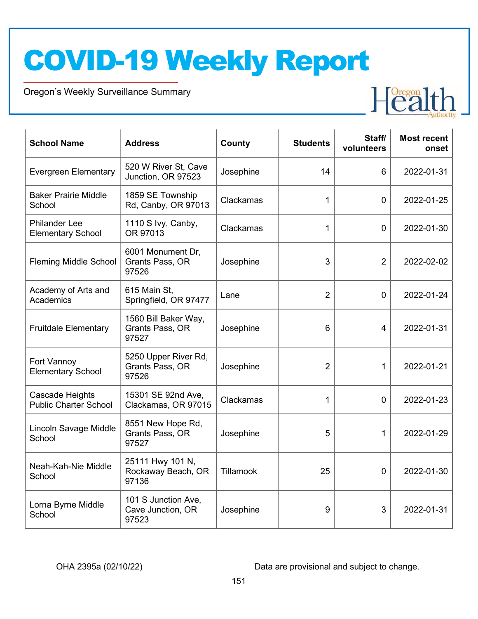Oregon's Weekly Surveillance Summary



| <b>School Name</b>                               | <b>Address</b>                                    | County    | <b>Students</b> | Staff/<br>volunteers | <b>Most recent</b><br>onset |
|--------------------------------------------------|---------------------------------------------------|-----------|-----------------|----------------------|-----------------------------|
| <b>Evergreen Elementary</b>                      | 520 W River St, Cave<br>Junction, OR 97523        | Josephine | 14              | 6                    | 2022-01-31                  |
| <b>Baker Prairie Middle</b><br>School            | 1859 SE Township<br>Rd, Canby, OR 97013           | Clackamas | 1               | $\mathbf{0}$         | 2022-01-25                  |
| <b>Philander Lee</b><br><b>Elementary School</b> | 1110 S Ivy, Canby,<br>OR 97013                    | Clackamas | 1               | $\overline{0}$       | 2022-01-30                  |
| <b>Fleming Middle School</b>                     | 6001 Monument Dr,<br>Grants Pass, OR<br>97526     | Josephine | 3               | $\overline{2}$       | 2022-02-02                  |
| Academy of Arts and<br>Academics                 | 615 Main St,<br>Springfield, OR 97477             | Lane      | $\overline{2}$  | $\overline{0}$       | 2022-01-24                  |
| <b>Fruitdale Elementary</b>                      | 1560 Bill Baker Way,<br>Grants Pass, OR<br>97527  | Josephine | 6               | 4                    | 2022-01-31                  |
| Fort Vannoy<br><b>Elementary School</b>          | 5250 Upper River Rd,<br>Grants Pass, OR<br>97526  | Josephine | $\overline{2}$  | 1                    | 2022-01-21                  |
| Cascade Heights<br><b>Public Charter School</b>  | 15301 SE 92nd Ave,<br>Clackamas, OR 97015         | Clackamas | 1               | 0                    | 2022-01-23                  |
| Lincoln Savage Middle<br>School                  | 8551 New Hope Rd,<br>Grants Pass, OR<br>97527     | Josephine | 5               | 1                    | 2022-01-29                  |
| Neah-Kah-Nie Middle<br>School                    | 25111 Hwy 101 N,<br>Rockaway Beach, OR<br>97136   | Tillamook | 25              | 0                    | 2022-01-30                  |
| Lorna Byrne Middle<br>School                     | 101 S Junction Ave,<br>Cave Junction, OR<br>97523 | Josephine | 9               | 3                    | 2022-01-31                  |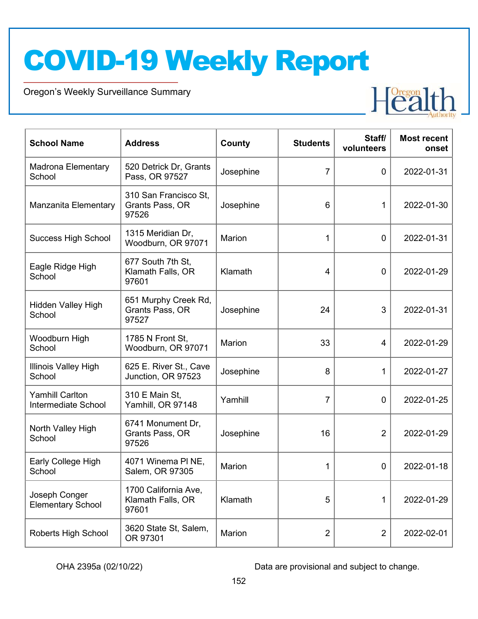Oregon's Weekly Surveillance Summary



| <b>School Name</b>                            | <b>Address</b>                                     | County        | <b>Students</b> | Staff/<br>volunteers | <b>Most recent</b><br>onset |
|-----------------------------------------------|----------------------------------------------------|---------------|-----------------|----------------------|-----------------------------|
| Madrona Elementary<br>School                  | 520 Detrick Dr, Grants<br>Pass, OR 97527           | Josephine     | $\overline{7}$  | 0                    | 2022-01-31                  |
| Manzanita Elementary                          | 310 San Francisco St,<br>Grants Pass, OR<br>97526  | Josephine     | 6               | 1                    | 2022-01-30                  |
| <b>Success High School</b>                    | 1315 Meridian Dr,<br>Woodburn, OR 97071            | <b>Marion</b> | 1               | $\mathbf 0$          | 2022-01-31                  |
| Eagle Ridge High<br>School                    | 677 South 7th St,<br>Klamath Falls, OR<br>97601    | Klamath       | 4               | $\mathbf 0$          | 2022-01-29                  |
| <b>Hidden Valley High</b><br>School           | 651 Murphy Creek Rd,<br>Grants Pass, OR<br>97527   | Josephine     | 24              | 3                    | 2022-01-31                  |
| Woodburn High<br>School                       | 1785 N Front St,<br>Woodburn, OR 97071             | Marion        | 33              | $\overline{4}$       | 2022-01-29                  |
| Illinois Valley High<br>School                | 625 E. River St., Cave<br>Junction, OR 97523       | Josephine     | 8               | 1                    | 2022-01-27                  |
| <b>Yamhill Carlton</b><br>Intermediate School | 310 E Main St,<br>Yamhill, OR 97148                | Yamhill       | 7               | $\mathbf 0$          | 2022-01-25                  |
| North Valley High<br>School                   | 6741 Monument Dr,<br>Grants Pass, OR<br>97526      | Josephine     | 16              | $\overline{2}$       | 2022-01-29                  |
| Early College High<br>School                  | 4071 Winema PI NE,<br>Salem, OR 97305              | Marion        | 1               | 0                    | 2022-01-18                  |
| Joseph Conger<br><b>Elementary School</b>     | 1700 California Ave,<br>Klamath Falls, OR<br>97601 | Klamath       | 5               | 1                    | 2022-01-29                  |
| Roberts High School                           | 3620 State St, Salem,<br>OR 97301                  | Marion        | $\overline{2}$  | $\overline{2}$       | 2022-02-01                  |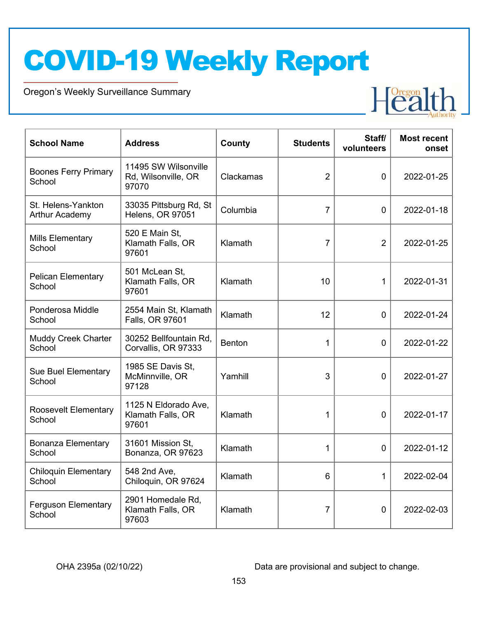Oregon's Weekly Surveillance Summary



| <b>School Name</b>                          | <b>Address</b>                                       | County        | <b>Students</b> | Staff/<br>volunteers | <b>Most recent</b><br>onset |
|---------------------------------------------|------------------------------------------------------|---------------|-----------------|----------------------|-----------------------------|
| <b>Boones Ferry Primary</b><br>School       | 11495 SW Wilsonville<br>Rd, Wilsonville, OR<br>97070 | Clackamas     | $\overline{2}$  | $\mathbf 0$          | 2022-01-25                  |
| St. Helens-Yankton<br><b>Arthur Academy</b> | 33035 Pittsburg Rd, St<br><b>Helens, OR 97051</b>    | Columbia      | $\overline{7}$  | $\mathbf{0}$         | 2022-01-18                  |
| <b>Mills Elementary</b><br>School           | 520 E Main St,<br>Klamath Falls, OR<br>97601         | Klamath       | $\overline{7}$  | $\overline{2}$       | 2022-01-25                  |
| <b>Pelican Elementary</b><br>School         | 501 McLean St,<br>Klamath Falls, OR<br>97601         | Klamath       | 10              | 1                    | 2022-01-31                  |
| Ponderosa Middle<br>School                  | 2554 Main St, Klamath<br>Falls, OR 97601             | Klamath       | 12              | $\overline{0}$       | 2022-01-24                  |
| <b>Muddy Creek Charter</b><br>School        | 30252 Bellfountain Rd,<br>Corvallis, OR 97333        | <b>Benton</b> | 1               | $\overline{0}$       | 2022-01-22                  |
| <b>Sue Buel Elementary</b><br>School        | 1985 SE Davis St,<br>McMinnville, OR<br>97128        | Yamhill       | 3               | $\mathbf 0$          | 2022-01-27                  |
| <b>Roosevelt Elementary</b><br>School       | 1125 N Eldorado Ave,<br>Klamath Falls, OR<br>97601   | Klamath       | $\mathbf{1}$    | $\overline{0}$       | 2022-01-17                  |
| <b>Bonanza Elementary</b><br>School         | 31601 Mission St,<br>Bonanza, OR 97623               | Klamath       | $\mathbf 1$     | $\overline{0}$       | 2022-01-12                  |
| <b>Chiloquin Elementary</b><br>School       | 548 2nd Ave,<br>Chiloquin, OR 97624                  | Klamath       | 6               | $\mathbf{1}$         | 2022-02-04                  |
| <b>Ferguson Elementary</b><br>School        | 2901 Homedale Rd,<br>Klamath Falls, OR<br>97603      | Klamath       | $\overline{7}$  | $\overline{0}$       | 2022-02-03                  |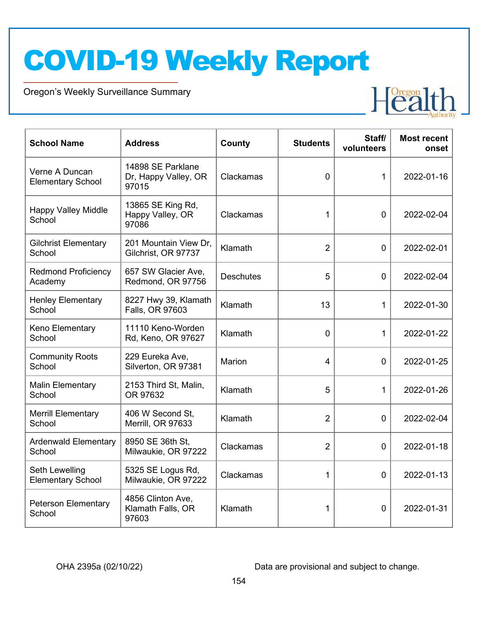Oregon's Weekly Surveillance Summary



| <b>School Name</b>                         | <b>Address</b>                                     | County           | <b>Students</b> | Staff/<br>volunteers | <b>Most recent</b><br>onset |
|--------------------------------------------|----------------------------------------------------|------------------|-----------------|----------------------|-----------------------------|
| Verne A Duncan<br><b>Elementary School</b> | 14898 SE Parklane<br>Dr, Happy Valley, OR<br>97015 | Clackamas        | $\overline{0}$  | 1                    | 2022-01-16                  |
| <b>Happy Valley Middle</b><br>School       | 13865 SE King Rd,<br>Happy Valley, OR<br>97086     | Clackamas        | 1               | $\overline{0}$       | 2022-02-04                  |
| <b>Gilchrist Elementary</b><br>School      | 201 Mountain View Dr,<br>Gilchrist, OR 97737       | Klamath          | $\overline{2}$  | $\overline{0}$       | 2022-02-01                  |
| <b>Redmond Proficiency</b><br>Academy      | 657 SW Glacier Ave,<br>Redmond, OR 97756           | <b>Deschutes</b> | 5               | $\Omega$             | 2022-02-04                  |
| <b>Henley Elementary</b><br>School         | 8227 Hwy 39, Klamath<br>Falls, OR 97603            | Klamath          | 13              | 1                    | 2022-01-30                  |
| Keno Elementary<br>School                  | 11110 Keno-Worden<br>Rd, Keno, OR 97627            | Klamath          | 0               | 1                    | 2022-01-22                  |
| <b>Community Roots</b><br>School           | 229 Eureka Ave,<br>Silverton, OR 97381             | Marion           | 4               | $\overline{0}$       | 2022-01-25                  |
| <b>Malin Elementary</b><br>School          | 2153 Third St, Malin,<br>OR 97632                  | Klamath          | 5               | 1                    | 2022-01-26                  |
| <b>Merrill Elementary</b><br>School        | 406 W Second St,<br>Merrill, OR 97633              | Klamath          | $\overline{2}$  | 0                    | 2022-02-04                  |
| <b>Ardenwald Elementary</b><br>School      | 8950 SE 36th St,<br>Milwaukie, OR 97222            | Clackamas        | $\overline{2}$  | $\overline{0}$       | 2022-01-18                  |
| Seth Lewelling<br><b>Elementary School</b> | 5325 SE Logus Rd,<br>Milwaukie, OR 97222           | Clackamas        | 1               | $\Omega$             | 2022-01-13                  |
| <b>Peterson Elementary</b><br>School       | 4856 Clinton Ave,<br>Klamath Falls, OR<br>97603    | Klamath          | 1               | $\Omega$             | 2022-01-31                  |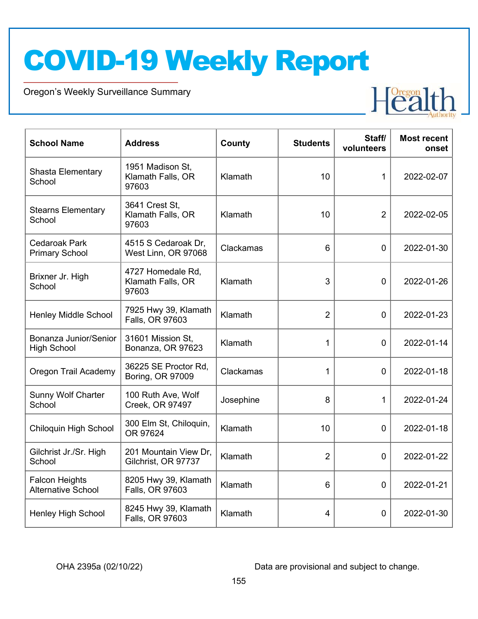Oregon's Weekly Surveillance Summary



| <b>School Name</b>                                 | <b>Address</b>                                  | County    | <b>Students</b> | Staff/<br>volunteers | <b>Most recent</b><br>onset |
|----------------------------------------------------|-------------------------------------------------|-----------|-----------------|----------------------|-----------------------------|
| Shasta Elementary<br>School                        | 1951 Madison St,<br>Klamath Falls, OR<br>97603  | Klamath   | 10              | 1                    | 2022-02-07                  |
| <b>Stearns Elementary</b><br>School                | 3641 Crest St,<br>Klamath Falls, OR<br>97603    | Klamath   | 10              | $\overline{2}$       | 2022-02-05                  |
| <b>Cedaroak Park</b><br><b>Primary School</b>      | 4515 S Cedaroak Dr,<br>West Linn, OR 97068      | Clackamas | 6               | $\mathbf 0$          | 2022-01-30                  |
| Brixner Jr. High<br>School                         | 4727 Homedale Rd,<br>Klamath Falls, OR<br>97603 | Klamath   | 3               | $\Omega$             | 2022-01-26                  |
| <b>Henley Middle School</b>                        | 7925 Hwy 39, Klamath<br>Falls, OR 97603         | Klamath   | $\overline{2}$  | $\mathbf 0$          | 2022-01-23                  |
| Bonanza Junior/Senior<br><b>High School</b>        | 31601 Mission St,<br>Bonanza, OR 97623          | Klamath   | 1               | 0                    | 2022-01-14                  |
| Oregon Trail Academy                               | 36225 SE Proctor Rd,<br>Boring, OR 97009        | Clackamas | $\mathbf{1}$    | $\mathbf 0$          | 2022-01-18                  |
| Sunny Wolf Charter<br>School                       | 100 Ruth Ave, Wolf<br>Creek, OR 97497           | Josephine | 8               | 1                    | 2022-01-24                  |
| Chiloquin High School                              | 300 Elm St, Chiloquin,<br>OR 97624              | Klamath   | 10              | 0                    | 2022-01-18                  |
| Gilchrist Jr./Sr. High<br>School                   | 201 Mountain View Dr,<br>Gilchrist, OR 97737    | Klamath   | $\overline{2}$  | $\mathbf 0$          | 2022-01-22                  |
| <b>Falcon Heights</b><br><b>Alternative School</b> | 8205 Hwy 39, Klamath<br>Falls, OR 97603         | Klamath   | 6               | $\Omega$             | 2022-01-21                  |
| <b>Henley High School</b>                          | 8245 Hwy 39, Klamath<br>Falls, OR 97603         | Klamath   | 4               | $\Omega$             | 2022-01-30                  |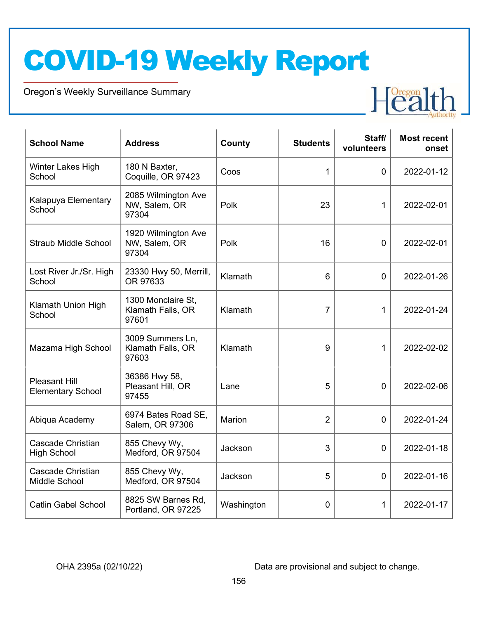Oregon's Weekly Surveillance Summary



| <b>School Name</b>                               | <b>Address</b>                                   | County        | <b>Students</b> | Staff/<br>volunteers | <b>Most recent</b><br>onset |
|--------------------------------------------------|--------------------------------------------------|---------------|-----------------|----------------------|-----------------------------|
| Winter Lakes High<br>School                      | 180 N Baxter,<br>Coquille, OR 97423              | Coos          | 1               | $\mathbf{0}$         | 2022-01-12                  |
| Kalapuya Elementary<br>School                    | 2085 Wilmington Ave<br>NW, Salem, OR<br>97304    | Polk          | 23              | 1                    | 2022-02-01                  |
| <b>Straub Middle School</b>                      | 1920 Wilmington Ave<br>NW, Salem, OR<br>97304    | Polk          | 16              | 0                    | 2022-02-01                  |
| Lost River Jr./Sr. High<br>School                | 23330 Hwy 50, Merrill,<br>OR 97633               | Klamath       | 6               | $\overline{0}$       | 2022-01-26                  |
| Klamath Union High<br>School                     | 1300 Monclaire St.<br>Klamath Falls, OR<br>97601 | Klamath       | $\overline{7}$  | 1                    | 2022-01-24                  |
| Mazama High School                               | 3009 Summers Ln,<br>Klamath Falls, OR<br>97603   | Klamath       | 9               | 1                    | 2022-02-02                  |
| <b>Pleasant Hill</b><br><b>Elementary School</b> | 36386 Hwy 58,<br>Pleasant Hill, OR<br>97455      | Lane          | 5               | $\overline{0}$       | 2022-02-06                  |
| Abiqua Academy                                   | 6974 Bates Road SE,<br>Salem, OR 97306           | <b>Marion</b> | $\overline{2}$  | $\overline{0}$       | 2022-01-24                  |
| <b>Cascade Christian</b><br><b>High School</b>   | 855 Chevy Wy,<br>Medford, OR 97504               | Jackson       | 3               | $\overline{0}$       | 2022-01-18                  |
| <b>Cascade Christian</b><br>Middle School        | 855 Chevy Wy,<br>Medford, OR 97504               | Jackson       | 5               | $\mathbf 0$          | 2022-01-16                  |
| <b>Catlin Gabel School</b>                       | 8825 SW Barnes Rd,<br>Portland, OR 97225         | Washington    | 0               | 1                    | 2022-01-17                  |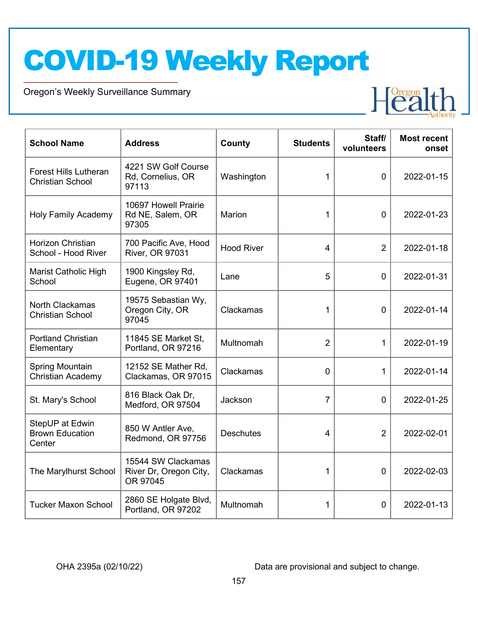Oregon's Weekly Surveillance Summary



| <b>School Name</b>                                      | <b>Address</b>                                           | County            | <b>Students</b> | Staff/<br>volunteers | <b>Most recent</b><br>onset |
|---------------------------------------------------------|----------------------------------------------------------|-------------------|-----------------|----------------------|-----------------------------|
| <b>Forest Hills Lutheran</b><br><b>Christian School</b> | 4221 SW Golf Course<br>Rd, Cornelius, OR<br>97113        | Washington        | 1               | $\mathbf{0}$         | 2022-01-15                  |
| <b>Holy Family Academy</b>                              | 10697 Howell Prairie<br>Rd NE, Salem, OR<br>97305        | <b>Marion</b>     | 1               | $\overline{0}$       | 2022-01-23                  |
| Horizon Christian<br>School - Hood River                | 700 Pacific Ave, Hood<br>River, OR 97031                 | <b>Hood River</b> | $\overline{4}$  | $\overline{2}$       | 2022-01-18                  |
| <b>Marist Catholic High</b><br>School                   | 1900 Kingsley Rd,<br>Eugene, OR 97401                    | Lane              | 5               | $\mathbf 0$          | 2022-01-31                  |
| North Clackamas<br><b>Christian School</b>              | 19575 Sebastian Wy,<br>Oregon City, OR<br>97045          | Clackamas         | 1               | $\overline{0}$       | 2022-01-14                  |
| <b>Portland Christian</b><br>Elementary                 | 11845 SE Market St,<br>Portland, OR 97216                | Multnomah         | $\overline{2}$  | 1                    | 2022-01-19                  |
| <b>Spring Mountain</b><br><b>Christian Academy</b>      | 12152 SE Mather Rd,<br>Clackamas, OR 97015               | Clackamas         | 0               | 1                    | 2022-01-14                  |
| St. Mary's School                                       | 816 Black Oak Dr,<br>Medford, OR 97504                   | Jackson           | 7               | $\overline{0}$       | 2022-01-25                  |
| StepUP at Edwin<br><b>Brown Education</b><br>Center     | 850 W Antler Ave,<br>Redmond, OR 97756                   | <b>Deschutes</b>  | 4               | $\overline{2}$       | 2022-02-01                  |
| The Marylhurst School                                   | 15544 SW Clackamas<br>River Dr, Oregon City,<br>OR 97045 | Clackamas         | 1               | $\mathbf 0$          | 2022-02-03                  |
| <b>Tucker Maxon School</b>                              | 2860 SE Holgate Blvd,<br>Portland, OR 97202              | Multnomah         | 1               | 0                    | 2022-01-13                  |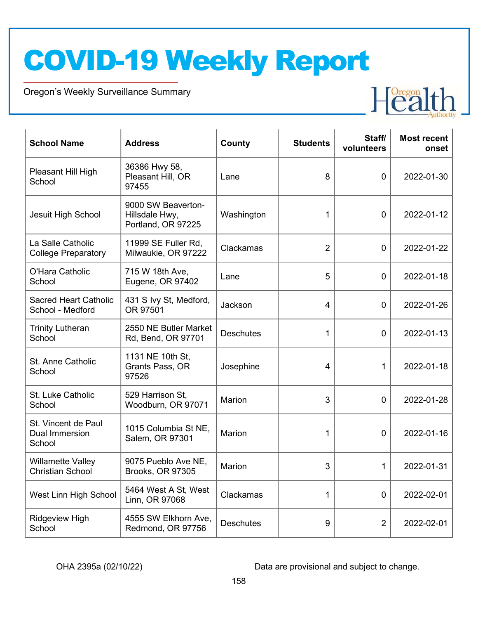Oregon's Weekly Surveillance Summary



| <b>School Name</b>                                     | <b>Address</b>                                             | County           | <b>Students</b> | Staff/<br>volunteers | <b>Most recent</b><br>onset |
|--------------------------------------------------------|------------------------------------------------------------|------------------|-----------------|----------------------|-----------------------------|
| Pleasant Hill High<br>School                           | 36386 Hwy 58,<br>Pleasant Hill, OR<br>97455                | Lane             | 8               | $\overline{0}$       | 2022-01-30                  |
| Jesuit High School                                     | 9000 SW Beaverton-<br>Hillsdale Hwy,<br>Portland, OR 97225 | Washington       | 1               | 0                    | 2022-01-12                  |
| La Salle Catholic<br><b>College Preparatory</b>        | 11999 SE Fuller Rd,<br>Milwaukie, OR 97222                 | Clackamas        | $\overline{2}$  | 0                    | 2022-01-22                  |
| O'Hara Catholic<br>School                              | 715 W 18th Ave,<br>Eugene, OR 97402                        | Lane             | 5               | $\mathbf 0$          | 2022-01-18                  |
| <b>Sacred Heart Catholic</b><br>School - Medford       | 431 S Ivy St, Medford,<br>OR 97501                         | Jackson          | 4               | $\overline{0}$       | 2022-01-26                  |
| <b>Trinity Lutheran</b><br>School                      | 2550 NE Butler Market<br>Rd, Bend, OR 97701                | <b>Deschutes</b> | 1               | $\overline{0}$       | 2022-01-13                  |
| St. Anne Catholic<br>School                            | 1131 NE 10th St,<br>Grants Pass, OR<br>97526               | Josephine        | 4               | 1                    | 2022-01-18                  |
| St. Luke Catholic<br>School                            | 529 Harrison St,<br>Woodburn, OR 97071                     | <b>Marion</b>    | 3               | $\overline{0}$       | 2022-01-28                  |
| St. Vincent de Paul<br><b>Dual Immersion</b><br>School | 1015 Columbia St NE,<br>Salem, OR 97301                    | Marion           | 1               | 0                    | 2022-01-16                  |
| <b>Willamette Valley</b><br><b>Christian School</b>    | 9075 Pueblo Ave NE,<br><b>Brooks, OR 97305</b>             | Marion           | 3               | $\mathbf{1}$         | 2022-01-31                  |
| West Linn High School                                  | 5464 West A St, West<br>Linn, OR 97068                     | Clackamas        | 1               | 0                    | 2022-02-01                  |
| <b>Ridgeview High</b><br>School                        | 4555 SW Elkhorn Ave,<br>Redmond, OR 97756                  | <b>Deschutes</b> | 9               | $\overline{2}$       | 2022-02-01                  |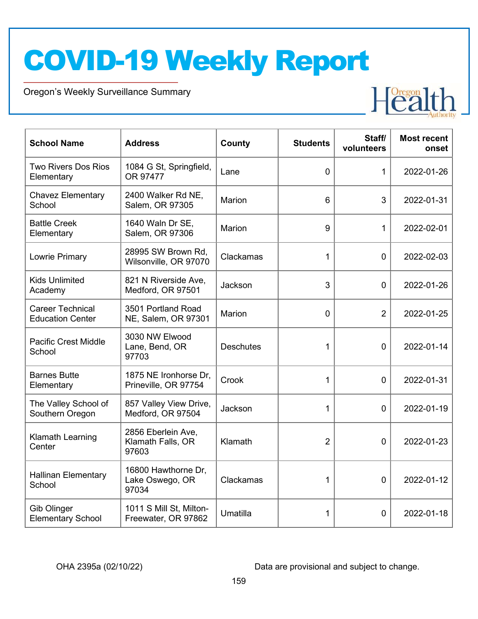Oregon's Weekly Surveillance Summary



| <b>School Name</b>                                 | <b>Address</b>                                   | County           | <b>Students</b> | Staff/<br>volunteers | <b>Most recent</b><br>onset |
|----------------------------------------------------|--------------------------------------------------|------------------|-----------------|----------------------|-----------------------------|
| <b>Two Rivers Dos Rios</b><br>Elementary           | 1084 G St, Springfield,<br>OR 97477              | Lane             | 0               | $\mathbf{1}$         | 2022-01-26                  |
| <b>Chavez Elementary</b><br>School                 | 2400 Walker Rd NE,<br>Salem, OR 97305            | <b>Marion</b>    | 6               | 3                    | 2022-01-31                  |
| <b>Battle Creek</b><br>Elementary                  | 1640 Waln Dr SE,<br>Salem, OR 97306              | <b>Marion</b>    | 9               | 1                    | 2022-02-01                  |
| Lowrie Primary                                     | 28995 SW Brown Rd,<br>Wilsonville, OR 97070      | Clackamas        | 1               | $\mathbf 0$          | 2022-02-03                  |
| <b>Kids Unlimited</b><br>Academy                   | 821 N Riverside Ave,<br>Medford, OR 97501        | Jackson          | 3               | $\overline{0}$       | 2022-01-26                  |
| <b>Career Technical</b><br><b>Education Center</b> | 3501 Portland Road<br>NE, Salem, OR 97301        | <b>Marion</b>    | $\overline{0}$  | $\overline{2}$       | 2022-01-25                  |
| <b>Pacific Crest Middle</b><br>School              | 3030 NW Elwood<br>Lane, Bend, OR<br>97703        | <b>Deschutes</b> | 1               | 0                    | 2022-01-14                  |
| <b>Barnes Butte</b><br>Elementary                  | 1875 NE Ironhorse Dr,<br>Prineville, OR 97754    | Crook            | 1               | $\overline{0}$       | 2022-01-31                  |
| The Valley School of<br>Southern Oregon            | 857 Valley View Drive,<br>Medford, OR 97504      | Jackson          | 1               | $\overline{0}$       | 2022-01-19                  |
| <b>Klamath Learning</b><br>Center                  | 2856 Eberlein Ave,<br>Klamath Falls, OR<br>97603 | Klamath          | $\overline{2}$  | $\overline{0}$       | 2022-01-23                  |
| <b>Hallinan Elementary</b><br>School               | 16800 Hawthorne Dr,<br>Lake Oswego, OR<br>97034  | Clackamas        | 1               | 0                    | 2022-01-12                  |
| <b>Gib Olinger</b><br><b>Elementary School</b>     | 1011 S Mill St, Milton-<br>Freewater, OR 97862   | Umatilla         | 1               | $\mathbf 0$          | 2022-01-18                  |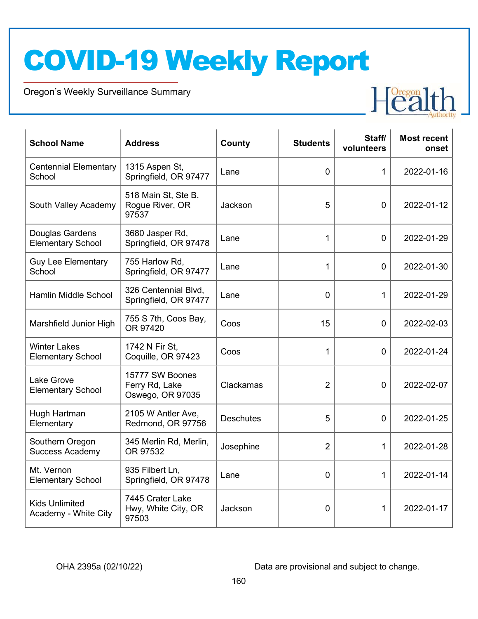Oregon's Weekly Surveillance Summary



| <b>School Name</b>                              | <b>Address</b>                                        | County           | <b>Students</b> | Staff/<br>volunteers | <b>Most recent</b><br>onset |
|-------------------------------------------------|-------------------------------------------------------|------------------|-----------------|----------------------|-----------------------------|
| <b>Centennial Elementary</b><br>School          | 1315 Aspen St,<br>Springfield, OR 97477               | Lane             | 0               | 1                    | 2022-01-16                  |
| South Valley Academy                            | 518 Main St, Ste B,<br>Rogue River, OR<br>97537       | Jackson          | 5               | $\overline{0}$       | 2022-01-12                  |
| Douglas Gardens<br><b>Elementary School</b>     | 3680 Jasper Rd,<br>Springfield, OR 97478              | Lane             | 1               | $\overline{0}$       | 2022-01-29                  |
| <b>Guy Lee Elementary</b><br>School             | 755 Harlow Rd,<br>Springfield, OR 97477               | Lane             | 1               | $\mathbf 0$          | 2022-01-30                  |
| Hamlin Middle School                            | 326 Centennial Blvd,<br>Springfield, OR 97477         | Lane             | $\overline{0}$  | 1                    | 2022-01-29                  |
| Marshfield Junior High                          | 755 S 7th, Coos Bay,<br>OR 97420                      | Coos             | 15              | $\Omega$             | 2022-02-03                  |
| <b>Winter Lakes</b><br><b>Elementary School</b> | 1742 N Fir St,<br>Coquille, OR 97423                  | Coos             | 1               | $\overline{0}$       | 2022-01-24                  |
| <b>Lake Grove</b><br><b>Elementary School</b>   | 15777 SW Boones<br>Ferry Rd, Lake<br>Oswego, OR 97035 | Clackamas        | $\overline{2}$  | 0                    | 2022-02-07                  |
| Hugh Hartman<br>Elementary                      | 2105 W Antler Ave,<br>Redmond, OR 97756               | <b>Deschutes</b> | 5               | $\overline{0}$       | 2022-01-25                  |
| Southern Oregon<br><b>Success Academy</b>       | 345 Merlin Rd, Merlin,<br>OR 97532                    | Josephine        | $\overline{2}$  | $\mathbf{1}$         | 2022-01-28                  |
| Mt. Vernon<br><b>Elementary School</b>          | 935 Filbert Ln,<br>Springfield, OR 97478              | Lane             | $\overline{0}$  | 1                    | 2022-01-14                  |
| <b>Kids Unlimited</b><br>Academy - White City   | 7445 Crater Lake<br>Hwy, White City, OR<br>97503      | Jackson          | 0               | 1                    | 2022-01-17                  |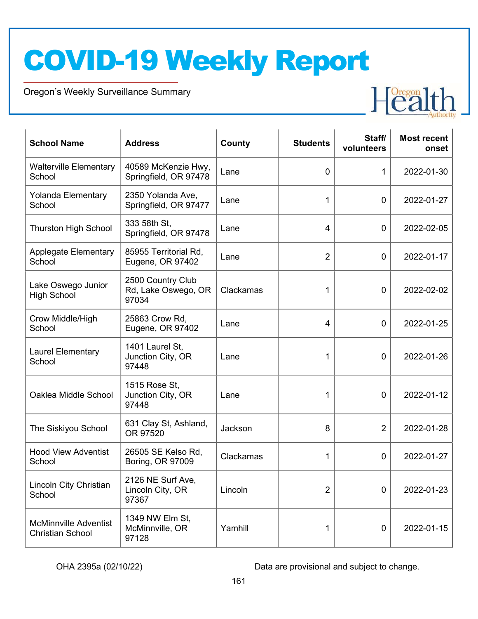Oregon's Weekly Surveillance Summary



| <b>School Name</b>                                      | <b>Address</b>                                    | County    | <b>Students</b> | Staff/<br>volunteers | <b>Most recent</b><br>onset |
|---------------------------------------------------------|---------------------------------------------------|-----------|-----------------|----------------------|-----------------------------|
| <b>Walterville Elementary</b><br>School                 | 40589 McKenzie Hwy,<br>Springfield, OR 97478      | Lane      | 0               | 1                    | 2022-01-30                  |
| Yolanda Elementary<br>School                            | 2350 Yolanda Ave,<br>Springfield, OR 97477        | Lane      | 1               | $\overline{0}$       | 2022-01-27                  |
| <b>Thurston High School</b>                             | 333 58th St,<br>Springfield, OR 97478             | Lane      | 4               | $\mathbf 0$          | 2022-02-05                  |
| <b>Applegate Elementary</b><br>School                   | 85955 Territorial Rd,<br>Eugene, OR 97402         | Lane      | $\overline{2}$  | $\overline{0}$       | 2022-01-17                  |
| Lake Oswego Junior<br><b>High School</b>                | 2500 Country Club<br>Rd, Lake Oswego, OR<br>97034 | Clackamas | 1               | $\overline{0}$       | 2022-02-02                  |
| Crow Middle/High<br>School                              | 25863 Crow Rd,<br>Eugene, OR 97402                | Lane      | 4               | 0                    | 2022-01-25                  |
| <b>Laurel Elementary</b><br>School                      | 1401 Laurel St,<br>Junction City, OR<br>97448     | Lane      | 1               | 0                    | 2022-01-26                  |
| Oaklea Middle School                                    | 1515 Rose St,<br>Junction City, OR<br>97448       | Lane      | 1               | $\mathbf 0$          | 2022-01-12                  |
| The Siskiyou School                                     | 631 Clay St, Ashland,<br>OR 97520                 | Jackson   | 8               | $\overline{2}$       | 2022-01-28                  |
| <b>Hood View Adventist</b><br>School                    | 26505 SE Kelso Rd,<br>Boring, OR 97009            | Clackamas | 1               | 0                    | 2022-01-27                  |
| Lincoln City Christian<br>School                        | 2126 NE Surf Ave,<br>Lincoln City, OR<br>97367    | Lincoln   | $\overline{2}$  | $\mathbf 0$          | 2022-01-23                  |
| <b>McMinnville Adventist</b><br><b>Christian School</b> | 1349 NW Elm St,<br>McMinnville, OR<br>97128       | Yamhill   | 1               | $\pmb{0}$            | 2022-01-15                  |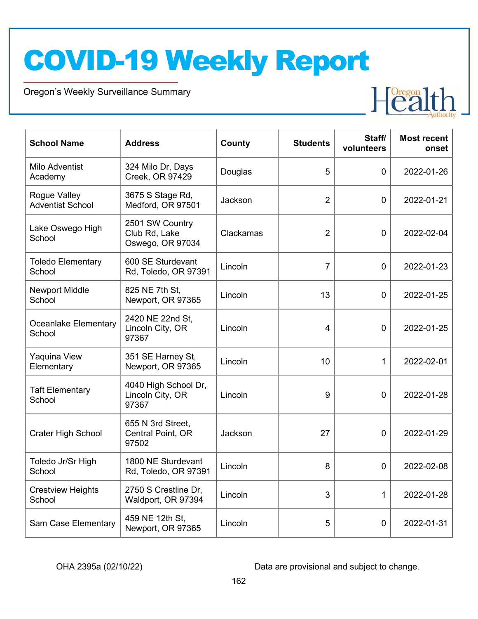Oregon's Weekly Surveillance Summary



| <b>School Name</b>                      | <b>Address</b>                                       | County    | <b>Students</b> | Staff/<br>volunteers | <b>Most recent</b><br>onset |
|-----------------------------------------|------------------------------------------------------|-----------|-----------------|----------------------|-----------------------------|
| Milo Adventist<br>Academy               | 324 Milo Dr, Days<br>Creek, OR 97429                 | Douglas   | 5               | 0                    | 2022-01-26                  |
| Rogue Valley<br><b>Adventist School</b> | 3675 S Stage Rd,<br>Medford, OR 97501                | Jackson   | $\overline{2}$  | 0                    | 2022-01-21                  |
| Lake Oswego High<br>School              | 2501 SW Country<br>Club Rd, Lake<br>Oswego, OR 97034 | Clackamas | $\overline{2}$  | $\overline{0}$       | 2022-02-04                  |
| <b>Toledo Elementary</b><br>School      | 600 SE Sturdevant<br>Rd, Toledo, OR 97391            | Lincoln   | $\overline{7}$  | $\overline{0}$       | 2022-01-23                  |
| <b>Newport Middle</b><br>School         | 825 NE 7th St,<br>Newport, OR 97365                  | Lincoln   | 13              | 0                    | 2022-01-25                  |
| Oceanlake Elementary<br>School          | 2420 NE 22nd St,<br>Lincoln City, OR<br>97367        | Lincoln   | 4               | 0                    | 2022-01-25                  |
| <b>Yaquina View</b><br>Elementary       | 351 SE Harney St,<br>Newport, OR 97365               | Lincoln   | 10              | 1                    | 2022-02-01                  |
| <b>Taft Elementary</b><br>School        | 4040 High School Dr,<br>Lincoln City, OR<br>97367    | Lincoln   | 9               | $\mathbf 0$          | 2022-01-28                  |
| <b>Crater High School</b>               | 655 N 3rd Street,<br>Central Point, OR<br>97502      | Jackson   | 27              | 0                    | 2022-01-29                  |
| Toledo Jr/Sr High<br>School             | 1800 NE Sturdevant<br>Rd, Toledo, OR 97391           | Lincoln   | 8               | 0                    | 2022-02-08                  |
| <b>Crestview Heights</b><br>School      | 2750 S Crestline Dr,<br>Waldport, OR 97394           | Lincoln   | 3               | 1                    | 2022-01-28                  |
| Sam Case Elementary                     | 459 NE 12th St,<br>Newport, OR 97365                 | Lincoln   | 5               | $\mathbf 0$          | 2022-01-31                  |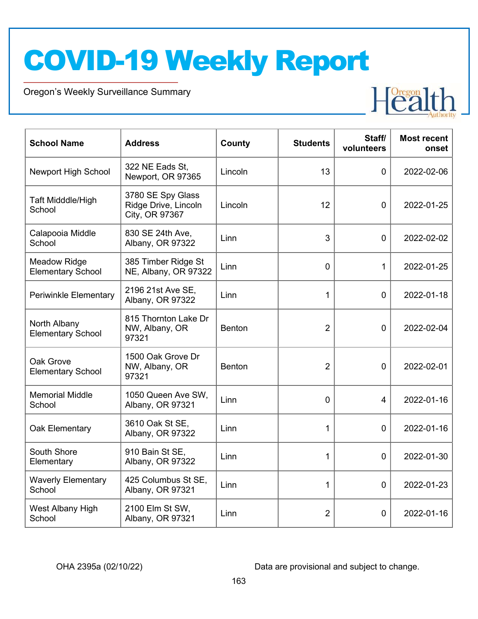Oregon's Weekly Surveillance Summary



| <b>School Name</b>                              | <b>Address</b>                                              | <b>County</b> | <b>Students</b> | Staff/<br>volunteers | <b>Most recent</b><br>onset |
|-------------------------------------------------|-------------------------------------------------------------|---------------|-----------------|----------------------|-----------------------------|
| <b>Newport High School</b>                      | 322 NE Eads St.<br>Newport, OR 97365                        | Lincoln       | 13              | $\Omega$             | 2022-02-06                  |
| Taft Midddle/High<br>School                     | 3780 SE Spy Glass<br>Ridge Drive, Lincoln<br>City, OR 97367 | Lincoln       | 12              | $\mathbf 0$          | 2022-01-25                  |
| Calapooia Middle<br>School                      | 830 SE 24th Ave,<br>Albany, OR 97322                        | Linn          | 3               | $\mathbf 0$          | 2022-02-02                  |
| <b>Meadow Ridge</b><br><b>Elementary School</b> | 385 Timber Ridge St<br>NE, Albany, OR 97322                 | Linn          | 0               | 1                    | 2022-01-25                  |
| Periwinkle Elementary                           | 2196 21st Ave SE,<br>Albany, OR 97322                       | Linn          | 1               | $\mathbf{0}$         | 2022-01-18                  |
| North Albany<br><b>Elementary School</b>        | 815 Thornton Lake Dr<br>NW, Albany, OR<br>97321             | Benton        | $\overline{2}$  | $\mathbf 0$          | 2022-02-04                  |
| Oak Grove<br><b>Elementary School</b>           | 1500 Oak Grove Dr<br>NW, Albany, OR<br>97321                | <b>Benton</b> | $\overline{2}$  | $\Omega$             | 2022-02-01                  |
| <b>Memorial Middle</b><br>School                | 1050 Queen Ave SW,<br>Albany, OR 97321                      | Linn          | 0               | 4                    | 2022-01-16                  |
| Oak Elementary                                  | 3610 Oak St SE,<br>Albany, OR 97322                         | Linn          | 1               | $\mathbf 0$          | 2022-01-16                  |
| South Shore<br>Elementary                       | 910 Bain St SE,<br>Albany, OR 97322                         | Linn          | 1               | $\mathbf 0$          | 2022-01-30                  |
| <b>Waverly Elementary</b><br>School             | 425 Columbus St SE,<br>Albany, OR 97321                     | Linn          | $\mathbf{1}$    | 0                    | 2022-01-23                  |
| West Albany High<br>School                      | 2100 Elm St SW,<br>Albany, OR 97321                         | Linn          | $\overline{2}$  | $\mathbf 0$          | 2022-01-16                  |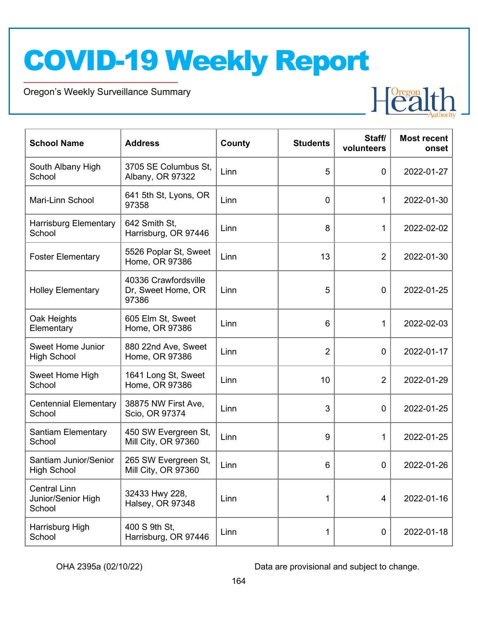Oregon's Weekly Surveillance Summary



| <b>School Name</b>                                  | <b>Address</b>                                      | County | <b>Students</b> | Staff/<br>volunteers | <b>Most recent</b><br>onset |
|-----------------------------------------------------|-----------------------------------------------------|--------|-----------------|----------------------|-----------------------------|
| South Albany High<br>School                         | 3705 SE Columbus St.<br>Albany, OR 97322            | Linn   | 5               | $\mathbf 0$          | 2022-01-27                  |
| Mari-Linn School                                    | 641 5th St, Lyons, OR<br>97358                      | Linn   | 0               | 1                    | 2022-01-30                  |
| <b>Harrisburg Elementary</b><br>School              | 642 Smith St,<br>Harrisburg, OR 97446               | Linn   | 8               | 1                    | 2022-02-02                  |
| <b>Foster Elementary</b>                            | 5526 Poplar St, Sweet<br>Home, OR 97386             | Linn   | 13              | $\overline{2}$       | 2022-01-30                  |
| <b>Holley Elementary</b>                            | 40336 Crawfordsville<br>Dr, Sweet Home, OR<br>97386 | Linn   | 5               | $\mathbf 0$          | 2022-01-25                  |
| Oak Heights<br>Elementary                           | 605 Elm St, Sweet<br>Home, OR 97386                 | Linn   | 6               | 1                    | 2022-02-03                  |
| <b>Sweet Home Junior</b><br><b>High School</b>      | 880 22nd Ave, Sweet<br>Home, OR 97386               | Linn   | $\overline{2}$  | $\mathbf 0$          | 2022-01-17                  |
| Sweet Home High<br>School                           | 1641 Long St, Sweet<br>Home, OR 97386               | Linn   | 10              | $\overline{2}$       | 2022-01-29                  |
| <b>Centennial Elementary</b><br>School              | 38875 NW First Ave,<br>Scio, OR 97374               | Linn   | 3               | $\mathbf 0$          | 2022-01-25                  |
| <b>Santiam Elementary</b><br>School                 | 450 SW Evergreen St,<br>Mill City, OR 97360         | Linn   | 9               | 1                    | 2022-01-25                  |
| Santiam Junior/Senior<br><b>High School</b>         | 265 SW Evergreen St,<br>Mill City, OR 97360         | Linn   | 6               | 0                    | 2022-01-26                  |
| <b>Central Linn</b><br>Junior/Senior High<br>School | 32433 Hwy 228,<br>Halsey, OR 97348                  | Linn   | 1               | 4                    | 2022-01-16                  |
| Harrisburg High<br>School                           | 400 S 9th St,<br>Harrisburg, OR 97446               | Linn   | 1               | $\pmb{0}$            | 2022-01-18                  |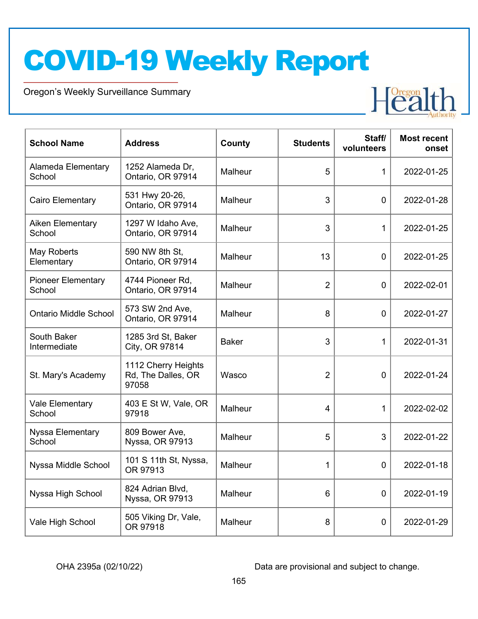Oregon's Weekly Surveillance Summary



| <b>School Name</b>                  | <b>Address</b>                                     | County       | <b>Students</b>         | Staff/<br>volunteers | <b>Most recent</b><br>onset |
|-------------------------------------|----------------------------------------------------|--------------|-------------------------|----------------------|-----------------------------|
| Alameda Elementary<br>School        | 1252 Alameda Dr,<br>Ontario, OR 97914              | Malheur      | 5                       | $\mathbf{1}$         | 2022-01-25                  |
| Cairo Elementary                    | 531 Hwy 20-26,<br>Ontario, OR 97914                | Malheur      | 3                       | $\mathbf 0$          | 2022-01-28                  |
| Aiken Elementary<br>School          | 1297 W Idaho Ave,<br>Ontario, OR 97914             | Malheur      | 3                       | 1                    | 2022-01-25                  |
| May Roberts<br>Elementary           | 590 NW 8th St,<br>Ontario, OR 97914                | Malheur      | 13                      | $\overline{0}$       | 2022-01-25                  |
| <b>Pioneer Elementary</b><br>School | 4744 Pioneer Rd,<br>Ontario, OR 97914              | Malheur      | $\overline{2}$          | 0                    | 2022-02-01                  |
| <b>Ontario Middle School</b>        | 573 SW 2nd Ave,<br>Ontario, OR 97914               | Malheur      | 8                       | $\mathbf 0$          | 2022-01-27                  |
| South Baker<br>Intermediate         | 1285 3rd St, Baker<br>City, OR 97814               | <b>Baker</b> | 3                       | 1                    | 2022-01-31                  |
| St. Mary's Academy                  | 1112 Cherry Heights<br>Rd, The Dalles, OR<br>97058 | Wasco        | $\overline{2}$          | $\overline{0}$       | 2022-01-24                  |
| Vale Elementary<br>School           | 403 E St W, Vale, OR<br>97918                      | Malheur      | $\overline{\mathbf{4}}$ | 1                    | 2022-02-02                  |
| <b>Nyssa Elementary</b><br>School   | 809 Bower Ave,<br>Nyssa, OR 97913                  | Malheur      | 5                       | 3                    | 2022-01-22                  |
| Nyssa Middle School                 | 101 S 11th St, Nyssa,<br>OR 97913                  | Malheur      | 1                       | 0                    | 2022-01-18                  |
| Nyssa High School                   | 824 Adrian Blvd,<br>Nyssa, OR 97913                | Malheur      | 6                       | $\mathbf 0$          | 2022-01-19                  |
| Vale High School                    | 505 Viking Dr, Vale,<br>OR 97918                   | Malheur      | 8                       | $\mathbf 0$          | 2022-01-29                  |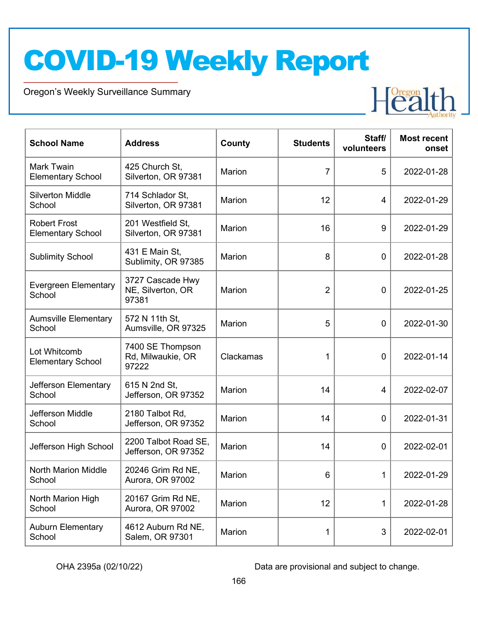Oregon's Weekly Surveillance Summary



| <b>School Name</b>                              | <b>Address</b>                                 | County        | <b>Students</b> | Staff/<br>volunteers | <b>Most recent</b><br>onset |
|-------------------------------------------------|------------------------------------------------|---------------|-----------------|----------------------|-----------------------------|
| Mark Twain<br><b>Elementary School</b>          | 425 Church St,<br>Silverton, OR 97381          | Marion        | $\overline{7}$  | 5                    | 2022-01-28                  |
| <b>Silverton Middle</b><br>School               | 714 Schlador St,<br>Silverton, OR 97381        | <b>Marion</b> | 12              | 4                    | 2022-01-29                  |
| <b>Robert Frost</b><br><b>Elementary School</b> | 201 Westfield St,<br>Silverton, OR 97381       | Marion        | 16              | 9                    | 2022-01-29                  |
| <b>Sublimity School</b>                         | 431 E Main St,<br>Sublimity, OR 97385          | Marion        | 8               | $\mathbf 0$          | 2022-01-28                  |
| <b>Evergreen Elementary</b><br>School           | 3727 Cascade Hwy<br>NE, Silverton, OR<br>97381 | Marion        | $\overline{2}$  | $\mathbf 0$          | 2022-01-25                  |
| <b>Aumsville Elementary</b><br>School           | 572 N 11th St,<br>Aumsville, OR 97325          | Marion        | 5               | $\mathbf 0$          | 2022-01-30                  |
| Lot Whitcomb<br><b>Elementary School</b>        | 7400 SE Thompson<br>Rd, Milwaukie, OR<br>97222 | Clackamas     | 1               | $\mathbf 0$          | 2022-01-14                  |
| Jefferson Elementary<br>School                  | 615 N 2nd St,<br>Jefferson, OR 97352           | Marion        | 14              | 4                    | 2022-02-07                  |
| Jefferson Middle<br>School                      | 2180 Talbot Rd,<br>Jefferson, OR 97352         | Marion        | 14              | $\mathbf 0$          | 2022-01-31                  |
| Jefferson High School                           | 2200 Talbot Road SE,<br>Jefferson, OR 97352    | Marion        | 14              | $\mathbf 0$          | 2022-02-01                  |
| <b>North Marion Middle</b><br>School            | 20246 Grim Rd NE,<br>Aurora, OR 97002          | Marion        | 6               | 1                    | 2022-01-29                  |
| North Marion High<br>School                     | 20167 Grim Rd NE,<br>Aurora, OR 97002          | Marion        | 12              | 1                    | 2022-01-28                  |
| <b>Auburn Elementary</b><br>School              | 4612 Auburn Rd NE,<br>Salem, OR 97301          | Marion        | 1               | 3                    | 2022-02-01                  |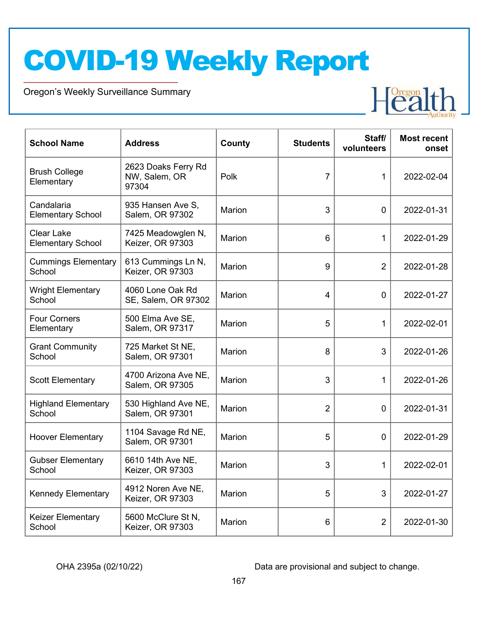Oregon's Weekly Surveillance Summary



| <b>School Name</b>                            | <b>Address</b>                                | County        | <b>Students</b> | Staff/<br>volunteers | <b>Most recent</b><br>onset |
|-----------------------------------------------|-----------------------------------------------|---------------|-----------------|----------------------|-----------------------------|
| <b>Brush College</b><br>Elementary            | 2623 Doaks Ferry Rd<br>NW, Salem, OR<br>97304 | Polk          | 7               | 1                    | 2022-02-04                  |
| Candalaria<br><b>Elementary School</b>        | 935 Hansen Ave S,<br>Salem, OR 97302          | Marion        | 3               | $\mathbf 0$          | 2022-01-31                  |
| <b>Clear Lake</b><br><b>Elementary School</b> | 7425 Meadowglen N,<br>Keizer, OR 97303        | Marion        | 6               | 1                    | 2022-01-29                  |
| <b>Cummings Elementary</b><br>School          | 613 Cummings Ln N,<br>Keizer, OR 97303        | Marion        | 9               | $\overline{2}$       | 2022-01-28                  |
| <b>Wright Elementary</b><br>School            | 4060 Lone Oak Rd<br>SE, Salem, OR 97302       | <b>Marion</b> | 4               | $\mathbf 0$          | 2022-01-27                  |
| <b>Four Corners</b><br>Elementary             | 500 Elma Ave SE,<br>Salem, OR 97317           | Marion        | 5               | $\mathbf{1}$         | 2022-02-01                  |
| <b>Grant Community</b><br>School              | 725 Market St NE,<br>Salem, OR 97301          | Marion        | 8               | 3                    | 2022-01-26                  |
| <b>Scott Elementary</b>                       | 4700 Arizona Ave NE,<br>Salem, OR 97305       | Marion        | 3               | 1                    | 2022-01-26                  |
| <b>Highland Elementary</b><br>School          | 530 Highland Ave NE,<br>Salem, OR 97301       | Marion        | $\overline{2}$  | $\mathbf 0$          | 2022-01-31                  |
| <b>Hoover Elementary</b>                      | 1104 Savage Rd NE,<br>Salem, OR 97301         | Marion        | 5               | $\mathbf 0$          | 2022-01-29                  |
| <b>Gubser Elementary</b><br>School            | 6610 14th Ave NE,<br>Keizer, OR 97303         | <b>Marion</b> | 3               | $\mathbf{1}$         | 2022-02-01                  |
| <b>Kennedy Elementary</b>                     | 4912 Noren Ave NE,<br>Keizer, OR 97303        | Marion        | 5               | 3                    | 2022-01-27                  |
| Keizer Elementary<br>School                   | 5600 McClure St N,<br>Keizer, OR 97303        | Marion        | 6               | $\overline{2}$       | 2022-01-30                  |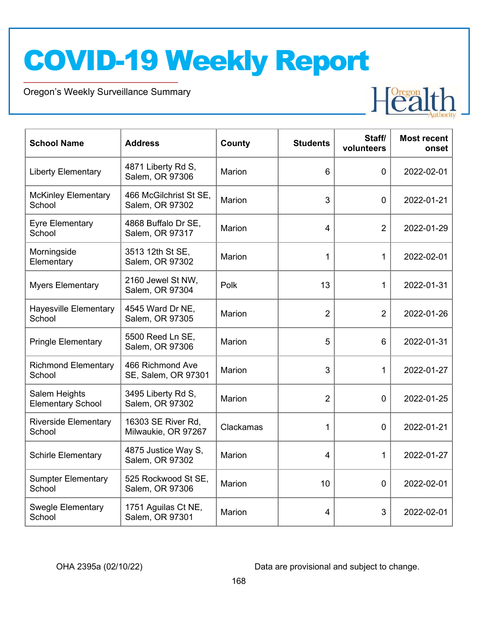Oregon's Weekly Surveillance Summary



| <b>School Name</b>                        | <b>Address</b>                            | County        | <b>Students</b> | Staff/<br>volunteers | <b>Most recent</b><br>onset |
|-------------------------------------------|-------------------------------------------|---------------|-----------------|----------------------|-----------------------------|
| <b>Liberty Elementary</b>                 | 4871 Liberty Rd S,<br>Salem, OR 97306     | Marion        | 6               | $\mathbf 0$          | 2022-02-01                  |
| <b>McKinley Elementary</b><br>School      | 466 McGilchrist St SE,<br>Salem, OR 97302 | Marion        | 3               | 0                    | 2022-01-21                  |
| <b>Eyre Elementary</b><br>School          | 4868 Buffalo Dr SE,<br>Salem, OR 97317    | Marion        | 4               | $\overline{2}$       | 2022-01-29                  |
| Morningside<br>Elementary                 | 3513 12th St SE,<br>Salem, OR 97302       | Marion        | 1               | 1                    | 2022-02-01                  |
| <b>Myers Elementary</b>                   | 2160 Jewel St NW,<br>Salem, OR 97304      | Polk          | 13              | 1                    | 2022-01-31                  |
| <b>Hayesville Elementary</b><br>School    | 4545 Ward Dr NE,<br>Salem, OR 97305       | Marion        | $\overline{2}$  | $\overline{2}$       | 2022-01-26                  |
| <b>Pringle Elementary</b>                 | 5500 Reed Ln SE,<br>Salem, OR 97306       | Marion        | 5               | 6                    | 2022-01-31                  |
| <b>Richmond Elementary</b><br>School      | 466 Richmond Ave<br>SE, Salem, OR 97301   | Marion        | 3               | 1                    | 2022-01-27                  |
| Salem Heights<br><b>Elementary School</b> | 3495 Liberty Rd S,<br>Salem, OR 97302     | Marion        | $\overline{2}$  | 0                    | 2022-01-25                  |
| <b>Riverside Elementary</b><br>School     | 16303 SE River Rd,<br>Milwaukie, OR 97267 | Clackamas     | 1               | 0                    | 2022-01-21                  |
| <b>Schirle Elementary</b>                 | 4875 Justice Way S,<br>Salem, OR 97302    | Marion        | 4               | $\mathbf{1}$         | 2022-01-27                  |
| <b>Sumpter Elementary</b><br>School       | 525 Rockwood St SE,<br>Salem, OR 97306    | Marion        | 10              | 0                    | 2022-02-01                  |
| <b>Swegle Elementary</b><br>School        | 1751 Aguilas Ct NE,<br>Salem, OR 97301    | <b>Marion</b> | 4               | 3                    | 2022-02-01                  |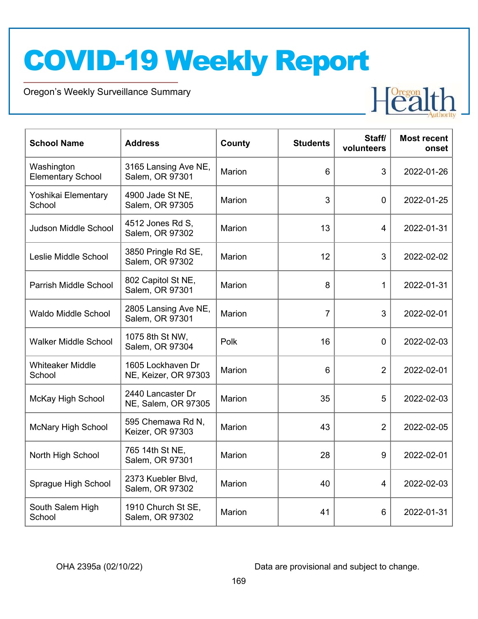Oregon's Weekly Surveillance Summary



| <b>School Name</b>                     | <b>Address</b>                            | County        | <b>Students</b> | Staff/<br>volunteers | <b>Most recent</b><br>onset |
|----------------------------------------|-------------------------------------------|---------------|-----------------|----------------------|-----------------------------|
| Washington<br><b>Elementary School</b> | 3165 Lansing Ave NE,<br>Salem, OR 97301   | Marion        | 6               | 3                    | 2022-01-26                  |
| Yoshikai Elementary<br>School          | 4900 Jade St NE,<br>Salem, OR 97305       | <b>Marion</b> | 3               | 0                    | 2022-01-25                  |
| Judson Middle School                   | 4512 Jones Rd S,<br>Salem, OR 97302       | Marion        | 13              | 4                    | 2022-01-31                  |
| Leslie Middle School                   | 3850 Pringle Rd SE,<br>Salem, OR 97302    | Marion        | 12              | 3                    | 2022-02-02                  |
| Parrish Middle School                  | 802 Capitol St NE,<br>Salem, OR 97301     | <b>Marion</b> | 8               | $\mathbf{1}$         | 2022-01-31                  |
| <b>Waldo Middle School</b>             | 2805 Lansing Ave NE,<br>Salem, OR 97301   | Marion        | $\overline{7}$  | 3                    | 2022-02-01                  |
| <b>Walker Middle School</b>            | 1075 8th St NW,<br>Salem, OR 97304        | Polk          | 16              | $\mathbf 0$          | 2022-02-03                  |
| <b>Whiteaker Middle</b><br>School      | 1605 Lockhaven Dr<br>NE, Keizer, OR 97303 | <b>Marion</b> | 6               | $\overline{2}$       | 2022-02-01                  |
| <b>McKay High School</b>               | 2440 Lancaster Dr<br>NE, Salem, OR 97305  | Marion        | 35              | 5                    | 2022-02-03                  |
| <b>McNary High School</b>              | 595 Chemawa Rd N,<br>Keizer, OR 97303     | Marion        | 43              | $\overline{2}$       | 2022-02-05                  |
| North High School                      | 765 14th St NE,<br>Salem, OR 97301        | Marion        | 28              | 9                    | 2022-02-01                  |
| Sprague High School                    | 2373 Kuebler Blvd,<br>Salem, OR 97302     | Marion        | 40              | 4                    | 2022-02-03                  |
| South Salem High<br>School             | 1910 Church St SE,<br>Salem, OR 97302     | <b>Marion</b> | 41              | 6                    | 2022-01-31                  |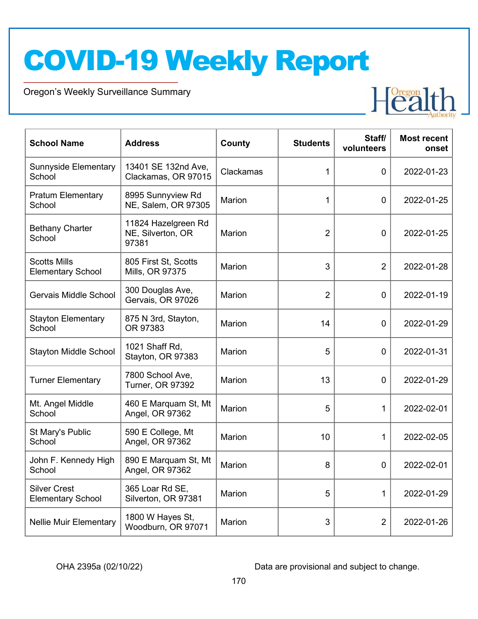Oregon's Weekly Surveillance Summary



| <b>School Name</b>                              | <b>Address</b>                                    | County        | <b>Students</b> | Staff/<br>volunteers | <b>Most recent</b><br>onset |
|-------------------------------------------------|---------------------------------------------------|---------------|-----------------|----------------------|-----------------------------|
| <b>Sunnyside Elementary</b><br>School           | 13401 SE 132nd Ave,<br>Clackamas, OR 97015        | Clackamas     | 1               | 0                    | 2022-01-23                  |
| <b>Pratum Elementary</b><br>School              | 8995 Sunnyview Rd<br>NE, Salem, OR 97305          | Marion        | 1               | 0                    | 2022-01-25                  |
| <b>Bethany Charter</b><br>School                | 11824 Hazelgreen Rd<br>NE, Silverton, OR<br>97381 | Marion        | $\overline{2}$  | $\overline{0}$       | 2022-01-25                  |
| <b>Scotts Mills</b><br><b>Elementary School</b> | 805 First St, Scotts<br>Mills, OR 97375           | <b>Marion</b> | 3               | $\overline{2}$       | 2022-01-28                  |
| Gervais Middle School                           | 300 Douglas Ave,<br>Gervais, OR 97026             | <b>Marion</b> | $\overline{2}$  | $\overline{0}$       | 2022-01-19                  |
| <b>Stayton Elementary</b><br>School             | 875 N 3rd, Stayton,<br>OR 97383                   | Marion        | 14              | 0                    | 2022-01-29                  |
| <b>Stayton Middle School</b>                    | 1021 Shaff Rd,<br>Stayton, OR 97383               | <b>Marion</b> | 5               | 0                    | 2022-01-31                  |
| <b>Turner Elementary</b>                        | 7800 School Ave,<br><b>Turner, OR 97392</b>       | Marion        | 13              | $\mathbf 0$          | 2022-01-29                  |
| Mt. Angel Middle<br>School                      | 460 E Marquam St, Mt<br>Angel, OR 97362           | <b>Marion</b> | 5               | 1                    | 2022-02-01                  |
| St Mary's Public<br>School                      | 590 E College, Mt<br>Angel, OR 97362              | Marion        | 10              | 1                    | 2022-02-05                  |
| John F. Kennedy High<br>School                  | 890 E Marquam St, Mt<br>Angel, OR 97362           | <b>Marion</b> | 8               | 0                    | 2022-02-01                  |
| <b>Silver Crest</b><br><b>Elementary School</b> | 365 Loar Rd SE,<br>Silverton, OR 97381            | Marion        | 5               | 1                    | 2022-01-29                  |
| <b>Nellie Muir Elementary</b>                   | 1800 W Hayes St,<br>Woodburn, OR 97071            | Marion        | 3               | $\overline{2}$       | 2022-01-26                  |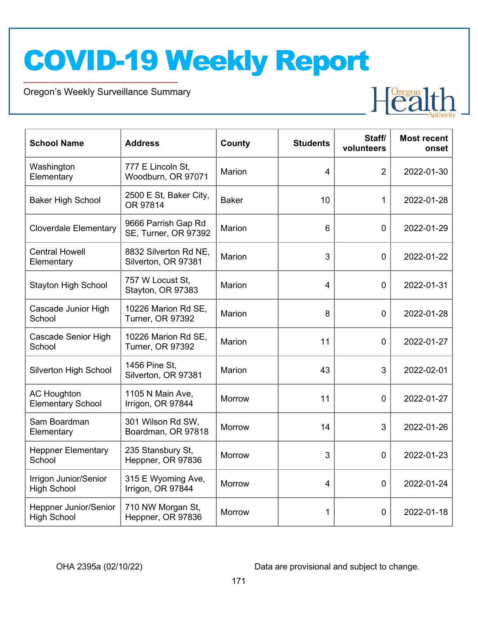Oregon's Weekly Surveillance Summary



| <b>School Name</b>                                 | <b>Address</b>                                 | County        | <b>Students</b> | Staff/<br>volunteers | <b>Most recent</b><br>onset |
|----------------------------------------------------|------------------------------------------------|---------------|-----------------|----------------------|-----------------------------|
| Washington<br>Elementary                           | 777 E Lincoln St,<br>Woodburn, OR 97071        | <b>Marion</b> | 4               | $\overline{2}$       | 2022-01-30                  |
| <b>Baker High School</b>                           | 2500 E St, Baker City,<br>OR 97814             | <b>Baker</b>  | 10              | 1                    | 2022-01-28                  |
| <b>Cloverdale Elementary</b>                       | 9666 Parrish Gap Rd<br>SE, Turner, OR 97392    | Marion        | 6               | $\mathbf 0$          | 2022-01-29                  |
| <b>Central Howell</b><br>Elementary                | 8832 Silverton Rd NE,<br>Silverton, OR 97381   | <b>Marion</b> | 3               | $\overline{0}$       | 2022-01-22                  |
| <b>Stayton High School</b>                         | 757 W Locust St.<br>Stayton, OR 97383          | Marion        | 4               | $\overline{0}$       | 2022-01-31                  |
| Cascade Junior High<br>School                      | 10226 Marion Rd SE,<br><b>Turner, OR 97392</b> | <b>Marion</b> | 8               | $\overline{0}$       | 2022-01-28                  |
| <b>Cascade Senior High</b><br>School               | 10226 Marion Rd SE,<br><b>Turner, OR 97392</b> | Marion        | 11              | $\mathbf 0$          | 2022-01-27                  |
| Silverton High School                              | 1456 Pine St,<br>Silverton, OR 97381           | Marion        | 43              | 3                    | 2022-02-01                  |
| <b>AC Houghton</b><br><b>Elementary School</b>     | 1105 N Main Ave,<br>Irrigon, OR 97844          | <b>Morrow</b> | 11              | $\mathbf 0$          | 2022-01-27                  |
| Sam Boardman<br>Elementary                         | 301 Wilson Rd SW,<br>Boardman, OR 97818        | <b>Morrow</b> | 14              | 3                    | 2022-01-26                  |
| <b>Heppner Elementary</b><br>School                | 235 Stansbury St,<br>Heppner, OR 97836         | <b>Morrow</b> | 3               | $\mathbf 0$          | 2022-01-23                  |
| Irrigon Junior/Senior<br><b>High School</b>        | 315 E Wyoming Ave,<br>Irrigon, OR 97844        | <b>Morrow</b> | 4               | $\overline{0}$       | 2022-01-24                  |
| <b>Heppner Junior/Senior</b><br><b>High School</b> | 710 NW Morgan St,<br>Heppner, OR 97836         | <b>Morrow</b> | 1               | 0                    | 2022-01-18                  |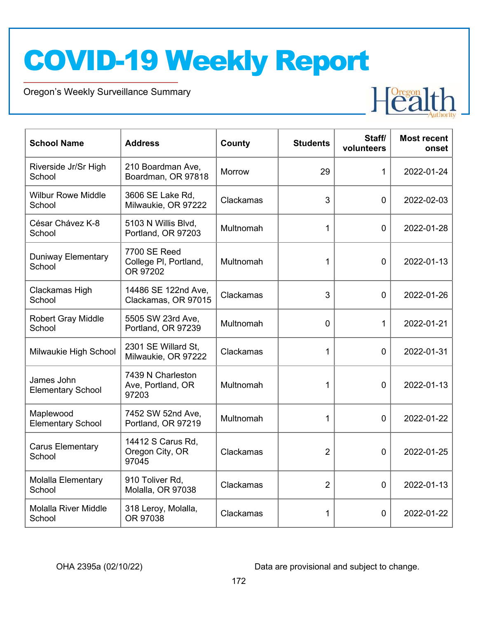Oregon's Weekly Surveillance Summary



| <b>School Name</b>                     | <b>Address</b>                                    | County    | <b>Students</b> | Staff/<br>volunteers | <b>Most recent</b><br>onset |
|----------------------------------------|---------------------------------------------------|-----------|-----------------|----------------------|-----------------------------|
| Riverside Jr/Sr High<br>School         | 210 Boardman Ave,<br>Boardman, OR 97818           | Morrow    | 29              | 1                    | 2022-01-24                  |
| <b>Wilbur Rowe Middle</b><br>School    | 3606 SE Lake Rd,<br>Milwaukie, OR 97222           | Clackamas | 3               | $\Omega$             | 2022-02-03                  |
| César Chávez K-8<br>School             | 5103 N Willis Blvd,<br>Portland, OR 97203         | Multnomah | $\mathbf{1}$    | $\Omega$             | 2022-01-28                  |
| <b>Duniway Elementary</b><br>School    | 7700 SE Reed<br>College PI, Portland,<br>OR 97202 | Multnomah | 1               | $\mathbf 0$          | 2022-01-13                  |
| Clackamas High<br>School               | 14486 SE 122nd Ave,<br>Clackamas, OR 97015        | Clackamas | 3               | $\Omega$             | 2022-01-26                  |
| <b>Robert Gray Middle</b><br>School    | 5505 SW 23rd Ave,<br>Portland, OR 97239           | Multnomah | $\Omega$        | 1                    | 2022-01-21                  |
| Milwaukie High School                  | 2301 SE Willard St.<br>Milwaukie, OR 97222        | Clackamas | 1               | $\overline{0}$       | 2022-01-31                  |
| James John<br><b>Elementary School</b> | 7439 N Charleston<br>Ave, Portland, OR<br>97203   | Multnomah | 1               | $\overline{0}$       | 2022-01-13                  |
| Maplewood<br><b>Elementary School</b>  | 7452 SW 52nd Ave,<br>Portland, OR 97219           | Multnomah | 1               | $\Omega$             | 2022-01-22                  |
| <b>Carus Elementary</b><br>School      | 14412 S Carus Rd,<br>Oregon City, OR<br>97045     | Clackamas | $\overline{2}$  | $\mathbf 0$          | 2022-01-25                  |
| <b>Molalla Elementary</b><br>School    | 910 Toliver Rd,<br>Molalla, OR 97038              | Clackamas | $\overline{2}$  | $\mathbf 0$          | 2022-01-13                  |
| <b>Molalla River Middle</b><br>School  | 318 Leroy, Molalla,<br>OR 97038                   | Clackamas | 1               | 0                    | 2022-01-22                  |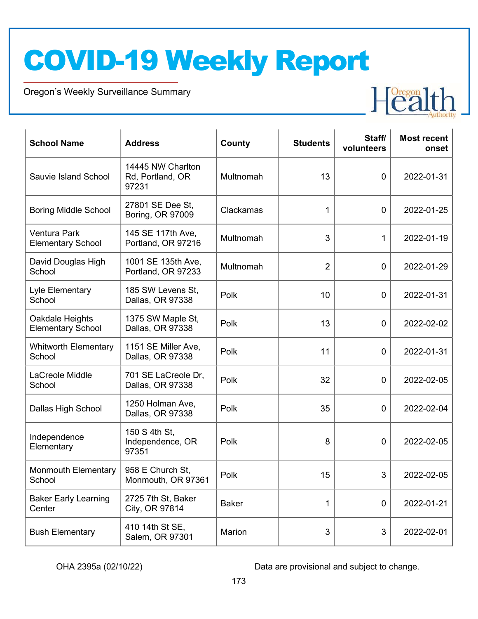Oregon's Weekly Surveillance Summary



| <b>School Name</b>                              | <b>Address</b>                                 | County       | <b>Students</b> | Staff/<br>volunteers | <b>Most recent</b><br>onset |
|-------------------------------------------------|------------------------------------------------|--------------|-----------------|----------------------|-----------------------------|
| Sauvie Island School                            | 14445 NW Charlton<br>Rd, Portland, OR<br>97231 | Multnomah    | 13              | $\mathbf 0$          | 2022-01-31                  |
| <b>Boring Middle School</b>                     | 27801 SE Dee St,<br>Boring, OR 97009           | Clackamas    | $\mathbf 1$     | $\mathbf 0$          | 2022-01-25                  |
| <b>Ventura Park</b><br><b>Elementary School</b> | 145 SE 117th Ave,<br>Portland, OR 97216        | Multnomah    | 3               | $\mathbf 1$          | 2022-01-19                  |
| David Douglas High<br>School                    | 1001 SE 135th Ave,<br>Portland, OR 97233       | Multnomah    | $\overline{2}$  | $\mathbf 0$          | 2022-01-29                  |
| Lyle Elementary<br>School                       | 185 SW Levens St.<br>Dallas, OR 97338          | Polk         | 10              | $\mathbf 0$          | 2022-01-31                  |
| Oakdale Heights<br><b>Elementary School</b>     | 1375 SW Maple St,<br>Dallas, OR 97338          | Polk         | 13              | $\mathbf 0$          | 2022-02-02                  |
| <b>Whitworth Elementary</b><br>School           | 1151 SE Miller Ave,<br>Dallas, OR 97338        | Polk         | 11              | $\mathbf 0$          | 2022-01-31                  |
| LaCreole Middle<br>School                       | 701 SE LaCreole Dr,<br>Dallas, OR 97338        | Polk         | 32              | $\mathbf 0$          | 2022-02-05                  |
| Dallas High School                              | 1250 Holman Ave,<br>Dallas, OR 97338           | Polk         | 35              | $\mathbf 0$          | 2022-02-04                  |
| Independence<br>Elementary                      | 150 S 4th St,<br>Independence, OR<br>97351     | Polk         | 8               | 0                    | 2022-02-05                  |
| <b>Monmouth Elementary</b><br>School            | 958 E Church St,<br>Monmouth, OR 97361         | Polk         | 15              | 3                    | 2022-02-05                  |
| <b>Baker Early Learning</b><br>Center           | 2725 7th St, Baker<br>City, OR 97814           | <b>Baker</b> | 1               | $\mathbf 0$          | 2022-01-21                  |
| <b>Bush Elementary</b>                          | 410 14th St SE,<br>Salem, OR 97301             | Marion       | 3               | 3                    | 2022-02-01                  |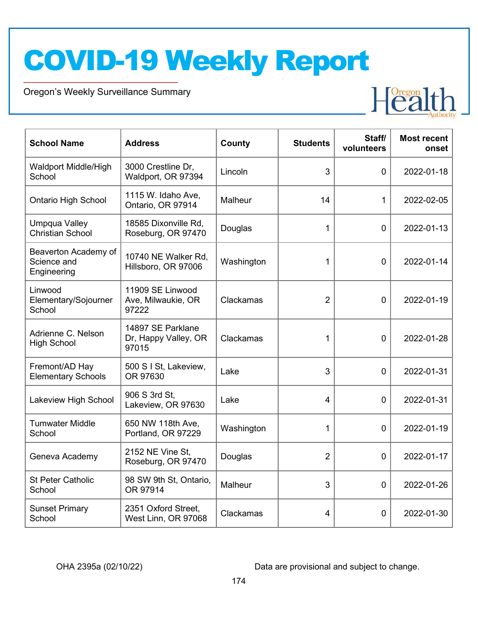Oregon's Weekly Surveillance Summary



| <b>School Name</b>                                 | <b>Address</b>                                     | County     | <b>Students</b> | Staff/<br>volunteers | <b>Most recent</b><br>onset |
|----------------------------------------------------|----------------------------------------------------|------------|-----------------|----------------------|-----------------------------|
| Waldport Middle/High<br>School                     | 3000 Crestline Dr,<br>Waldport, OR 97394           | Lincoln    | 3               | $\overline{0}$       | 2022-01-18                  |
| <b>Ontario High School</b>                         | 1115 W. Idaho Ave,<br>Ontario, OR 97914            | Malheur    | 14              | 1                    | 2022-02-05                  |
| Umpqua Valley<br><b>Christian School</b>           | 18585 Dixonville Rd,<br>Roseburg, OR 97470         | Douglas    | 1               | $\overline{0}$       | 2022-01-13                  |
| Beaverton Academy of<br>Science and<br>Engineering | 10740 NE Walker Rd,<br>Hillsboro, OR 97006         | Washington | 1               | 0                    | 2022-01-14                  |
| Linwood<br>Elementary/Sojourner<br>School          | 11909 SE Linwood<br>Ave, Milwaukie, OR<br>97222    | Clackamas  | $\overline{2}$  | 0                    | 2022-01-19                  |
| Adrienne C. Nelson<br><b>High School</b>           | 14897 SE Parklane<br>Dr, Happy Valley, OR<br>97015 | Clackamas  | 1               | $\overline{0}$       | 2022-01-28                  |
| Fremont/AD Hay<br><b>Elementary Schools</b>        | 500 S I St, Lakeview,<br>OR 97630                  | Lake       | 3               | $\overline{0}$       | 2022-01-31                  |
| Lakeview High School                               | 906 S 3rd St,<br>Lakeview, OR 97630                | Lake       | $\overline{4}$  | $\Omega$             | 2022-01-31                  |
| <b>Tumwater Middle</b><br>School                   | 650 NW 118th Ave,<br>Portland, OR 97229            | Washington | 1               | $\overline{0}$       | 2022-01-19                  |
| Geneva Academy                                     | 2152 NE Vine St,<br>Roseburg, OR 97470             | Douglas    | $\overline{2}$  | $\overline{0}$       | 2022-01-17                  |
| <b>St Peter Catholic</b><br>School                 | 98 SW 9th St, Ontario,<br>OR 97914                 | Malheur    | 3               | $\overline{0}$       | 2022-01-26                  |
| <b>Sunset Primary</b><br>School                    | 2351 Oxford Street,<br>West Linn, OR 97068         | Clackamas  | 4               | 0                    | 2022-01-30                  |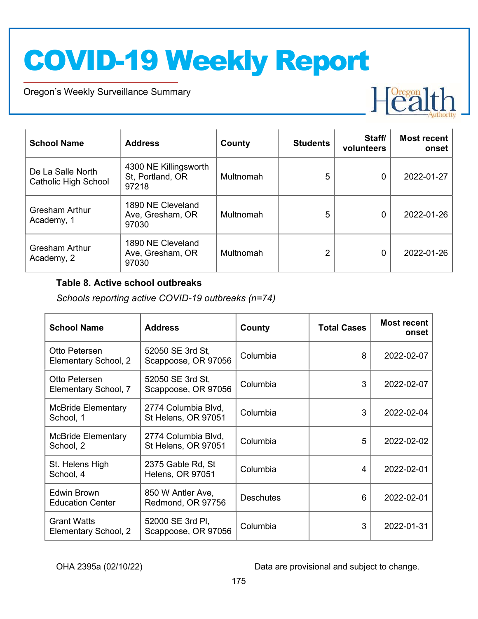Oregon's Weekly Surveillance Summary



| <b>School Name</b>                               | <b>Address</b>                                     | County    | <b>Students</b> | Staff/<br>volunteers | <b>Most recent</b><br>onset |
|--------------------------------------------------|----------------------------------------------------|-----------|-----------------|----------------------|-----------------------------|
| De La Salle North<br><b>Catholic High School</b> | 4300 NE Killingsworth<br>St, Portland, OR<br>97218 | Multnomah | 5               | 0                    | 2022-01-27                  |
| <b>Gresham Arthur</b><br>Academy, 1              | 1890 NE Cleveland<br>Ave, Gresham, OR<br>97030     | Multnomah | 5               | 0                    | 2022-01-26                  |
| <b>Gresham Arthur</b><br>Academy, 2              | 1890 NE Cleveland<br>Ave, Gresham, OR<br>97030     | Multnomah | 2               | 0                    | 2022-01-26                  |

#### Table 8. Active school outbreaks

Schools reporting active COVID-19 outbreaks (n=74)

| <b>School Name</b>                         | <b>Address</b>                               | County           | <b>Total Cases</b> | <b>Most recent</b><br>onset |
|--------------------------------------------|----------------------------------------------|------------------|--------------------|-----------------------------|
| Otto Petersen<br>Elementary School, 2      | 52050 SE 3rd St,<br>Scappoose, OR 97056      | Columbia         | 8                  | 2022-02-07                  |
| Otto Petersen<br>Elementary School, 7      | 52050 SE 3rd St,<br>Scappoose, OR 97056      | Columbia         | 3                  | 2022-02-07                  |
| <b>McBride Elementary</b><br>School, 1     | 2774 Columbia Blvd,<br>St Helens, OR 97051   | Columbia         | 3                  | 2022-02-04                  |
| <b>McBride Elementary</b><br>School, 2     | 2774 Columbia Blvd,<br>St Helens, OR 97051   | Columbia         | 5                  | 2022-02-02                  |
| St. Helens High<br>School, 4               | 2375 Gable Rd, St<br><b>Helens, OR 97051</b> | Columbia         | 4                  | 2022-02-01                  |
| Edwin Brown<br><b>Education Center</b>     | 850 W Antler Ave,<br>Redmond, OR 97756       | <b>Deschutes</b> | 6                  | 2022-02-01                  |
| <b>Grant Watts</b><br>Elementary School, 2 | 52000 SE 3rd PI,<br>Scappoose, OR 97056      | Columbia         | 3                  | 2022-01-31                  |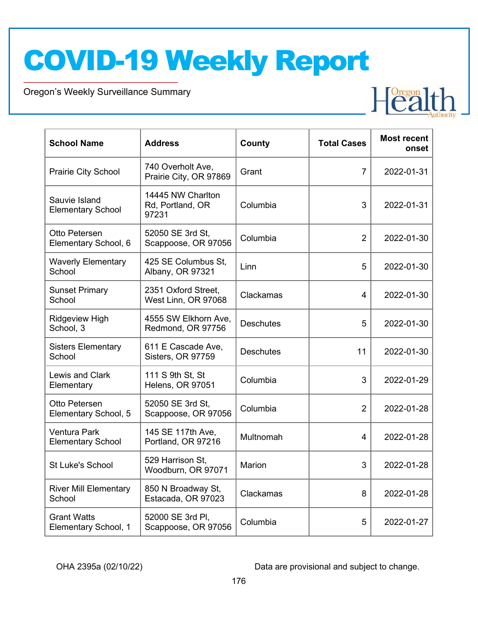Oregon's Weekly Surveillance Summary

| <b>School Name</b>                              | <b>Address</b>                                 | County           | <b>Total Cases</b> | <b>Most recent</b><br>onset |
|-------------------------------------------------|------------------------------------------------|------------------|--------------------|-----------------------------|
| Prairie City School                             | 740 Overholt Ave,<br>Prairie City, OR 97869    | Grant            | 7                  | 2022-01-31                  |
| Sauvie Island<br><b>Elementary School</b>       | 14445 NW Charlton<br>Rd, Portland, OR<br>97231 | Columbia         | 3                  | 2022-01-31                  |
| Otto Petersen<br>Elementary School, 6           | 52050 SE 3rd St,<br>Scappoose, OR 97056        | Columbia         | $\overline{2}$     | 2022-01-30                  |
| <b>Waverly Elementary</b><br>School             | 425 SE Columbus St,<br>Albany, OR 97321        | Linn             | 5                  | 2022-01-30                  |
| <b>Sunset Primary</b><br>School                 | 2351 Oxford Street,<br>West Linn, OR 97068     | Clackamas        | 4                  | 2022-01-30                  |
| <b>Ridgeview High</b><br>School, 3              | 4555 SW Elkhorn Ave,<br>Redmond, OR 97756      | <b>Deschutes</b> | 5                  | 2022-01-30                  |
| <b>Sisters Elementary</b><br>School             | 611 E Cascade Ave,<br>Sisters, OR 97759        | <b>Deschutes</b> | 11                 | 2022-01-30                  |
| Lewis and Clark<br>Elementary                   | 111 S 9th St, St<br>Helens, OR 97051           | Columbia         | 3                  | 2022-01-29                  |
| Otto Petersen<br>Elementary School, 5           | 52050 SE 3rd St,<br>Scappoose, OR 97056        | Columbia         | $\overline{2}$     | 2022-01-28                  |
| <b>Ventura Park</b><br><b>Elementary School</b> | 145 SE 117th Ave,<br>Portland, OR 97216        | Multnomah        | 4                  | 2022-01-28                  |
| <b>St Luke's School</b>                         | 529 Harrison St.<br>Woodburn, OR 97071         | Marion           | 3                  | 2022-01-28                  |
| <b>River Mill Elementary</b><br>School          | 850 N Broadway St,<br>Estacada, OR 97023       | Clackamas        | 8                  | 2022-01-28                  |
| <b>Grant Watts</b><br>Elementary School, 1      | 52000 SE 3rd Pl,<br>Scappoose, OR 97056        | Columbia         | 5                  | 2022-01-27                  |

OHA 2395a (02/10/22) Data are provisional and subject to change.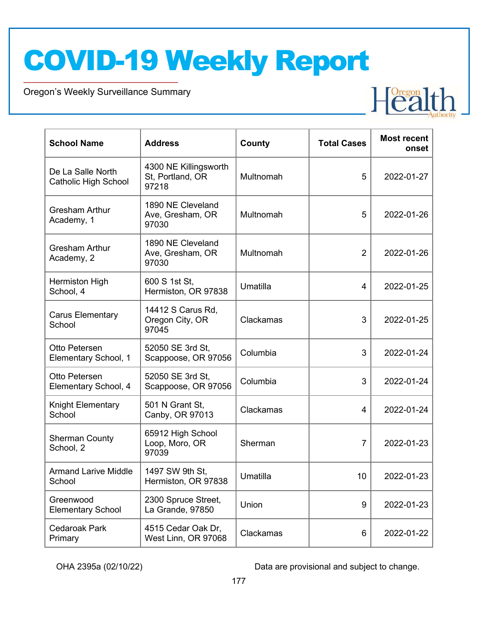Oregon's Weekly Surveillance Summary

| <b>School Name</b>                               | <b>Address</b>                                     | County    | <b>Total Cases</b> | <b>Most recent</b><br>onset |
|--------------------------------------------------|----------------------------------------------------|-----------|--------------------|-----------------------------|
| De La Salle North<br><b>Catholic High School</b> | 4300 NE Killingsworth<br>St, Portland, OR<br>97218 | Multnomah | 5                  | 2022-01-27                  |
| <b>Gresham Arthur</b><br>Academy, 1              | 1890 NE Cleveland<br>Ave, Gresham, OR<br>97030     | Multnomah | 5                  | 2022-01-26                  |
| <b>Gresham Arthur</b><br>Academy, 2              | 1890 NE Cleveland<br>Ave, Gresham, OR<br>97030     | Multnomah | $\overline{2}$     | 2022-01-26                  |
| Hermiston High<br>School, 4                      | 600 S 1st St,<br>Hermiston, OR 97838               | Umatilla  | 4                  | 2022-01-25                  |
| <b>Carus Elementary</b><br>School                | 14412 S Carus Rd,<br>Oregon City, OR<br>97045      | Clackamas | 3                  | 2022-01-25                  |
| Otto Petersen<br>Elementary School, 1            | 52050 SE 3rd St,<br>Scappoose, OR 97056            | Columbia  | 3                  | 2022-01-24                  |
| Otto Petersen<br>Elementary School, 4            | 52050 SE 3rd St,<br>Scappoose, OR 97056            | Columbia  | 3                  | 2022-01-24                  |
| Knight Elementary<br>School                      | 501 N Grant St,<br>Canby, OR 97013                 | Clackamas | 4                  | 2022-01-24                  |
| <b>Sherman County</b><br>School, 2               | 65912 High School<br>Loop, Moro, OR<br>97039       | Sherman   | $\overline{7}$     | 2022-01-23                  |
| <b>Armand Larive Middle</b><br>School            | 1497 SW 9th St,<br>Hermiston, OR 97838             | Umatilla  | 10                 | 2022-01-23                  |
| Greenwood<br><b>Elementary School</b>            | 2300 Spruce Street,<br>La Grande, 97850            | Union     | 9                  | 2022-01-23                  |
| <b>Cedaroak Park</b><br>Primary                  | 4515 Cedar Oak Dr,<br>West Linn, OR 97068          | Clackamas | 6                  | 2022-01-22                  |

OHA 2395a (02/10/22) Data are provisional and subject to change.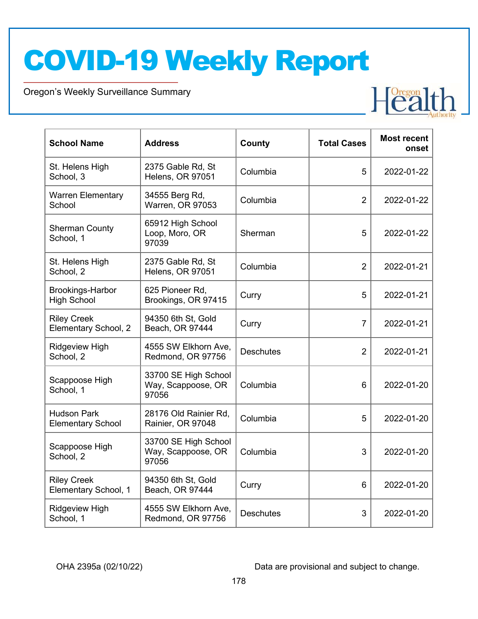Oregon's Weekly Surveillance Summary

| <b>School Name</b>                             | <b>Address</b>                                      | County           | <b>Total Cases</b> | <b>Most recent</b><br>onset |
|------------------------------------------------|-----------------------------------------------------|------------------|--------------------|-----------------------------|
| St. Helens High<br>School, 3                   | 2375 Gable Rd, St<br>Helens, OR 97051               | Columbia         | 5                  | 2022-01-22                  |
| <b>Warren Elementary</b><br>School             | 34555 Berg Rd,<br>Warren, OR 97053                  | Columbia         | $\overline{2}$     | 2022-01-22                  |
| <b>Sherman County</b><br>School, 1             | 65912 High School<br>Loop, Moro, OR<br>97039        | Sherman          | 5                  | 2022-01-22                  |
| St. Helens High<br>School, 2                   | 2375 Gable Rd, St<br>Helens, OR 97051               | Columbia         | $\overline{2}$     | 2022-01-21                  |
| <b>Brookings-Harbor</b><br><b>High School</b>  | 625 Pioneer Rd,<br>Brookings, OR 97415              | Curry            | 5                  | 2022-01-21                  |
| <b>Riley Creek</b><br>Elementary School, 2     | 94350 6th St, Gold<br>Beach, OR 97444               | Curry            | $\overline{7}$     | 2022-01-21                  |
| Ridgeview High<br>School, 2                    | 4555 SW Elkhorn Ave,<br>Redmond, OR 97756           | <b>Deschutes</b> | $\overline{2}$     | 2022-01-21                  |
| Scappoose High<br>School, 1                    | 33700 SE High School<br>Way, Scappoose, OR<br>97056 | Columbia         | $6\phantom{1}$     | 2022-01-20                  |
| <b>Hudson Park</b><br><b>Elementary School</b> | 28176 Old Rainier Rd,<br>Rainier, OR 97048          | Columbia         | 5                  | 2022-01-20                  |
| Scappoose High<br>School, 2                    | 33700 SE High School<br>Way, Scappoose, OR<br>97056 | Columbia         | 3                  | 2022-01-20                  |
| <b>Riley Creek</b><br>Elementary School, 1     | 94350 6th St, Gold<br>Beach, OR 97444               | Curry            | $6\phantom{1}$     | 2022-01-20                  |
| <b>Ridgeview High</b><br>School, 1             | 4555 SW Elkhorn Ave,<br>Redmond, OR 97756           | <b>Deschutes</b> | 3                  | 2022-01-20                  |

OHA 2395a (02/10/22) Data are provisional and subject to change.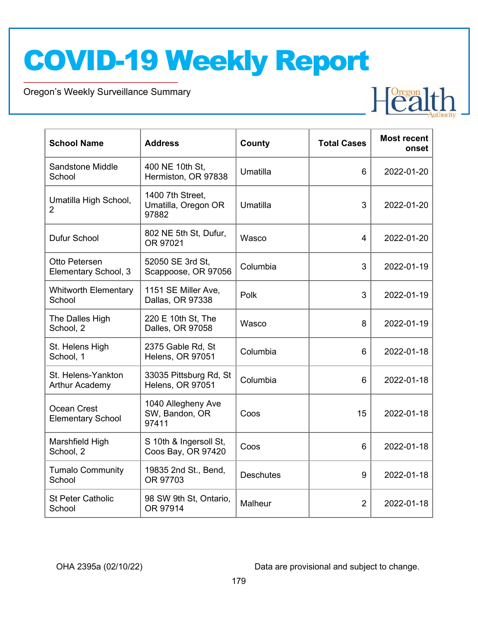Oregon's Weekly Surveillance Summary

| <b>School Name</b>                          | <b>Address</b>                                   | County           | <b>Total Cases</b> | <b>Most recent</b><br>onset |
|---------------------------------------------|--------------------------------------------------|------------------|--------------------|-----------------------------|
| <b>Sandstone Middle</b><br>School           | 400 NE 10th St,<br>Hermiston, OR 97838           | Umatilla         | 6                  | 2022-01-20                  |
| Umatilla High School,<br>$\overline{2}$     | 1400 7th Street,<br>Umatilla, Oregon OR<br>97882 | Umatilla         | 3                  | 2022-01-20                  |
| <b>Dufur School</b>                         | 802 NE 5th St, Dufur,<br>OR 97021                | Wasco            | $\overline{4}$     | 2022-01-20                  |
| Otto Petersen<br>Elementary School, 3       | 52050 SE 3rd St,<br>Scappoose, OR 97056          | Columbia         | 3                  | 2022-01-19                  |
| <b>Whitworth Elementary</b><br>School       | 1151 SE Miller Ave,<br>Dallas, OR 97338          | Polk             | 3                  | 2022-01-19                  |
| The Dalles High<br>School, 2                | 220 E 10th St, The<br>Dalles, OR 97058           | Wasco            | 8                  | 2022-01-19                  |
| St. Helens High<br>School, 1                | 2375 Gable Rd, St<br>Helens, OR 97051            | Columbia         | 6                  | 2022-01-18                  |
| St. Helens-Yankton<br><b>Arthur Academy</b> | 33035 Pittsburg Rd, St<br>Helens, OR 97051       | Columbia         | 6                  | 2022-01-18                  |
| Ocean Crest<br><b>Elementary School</b>     | 1040 Allegheny Ave<br>SW, Bandon, OR<br>97411    | Coos             | 15                 | 2022-01-18                  |
| Marshfield High<br>School, 2                | S 10th & Ingersoll St,<br>Coos Bay, OR 97420     | Coos             | 6                  | 2022-01-18                  |
| <b>Tumalo Community</b><br>School           | 19835 2nd St., Bend,<br>OR 97703                 | <b>Deschutes</b> | 9                  | 2022-01-18                  |
| <b>St Peter Catholic</b><br>School          | 98 SW 9th St, Ontario,<br>OR 97914               | Malheur          | $\overline{2}$     | 2022-01-18                  |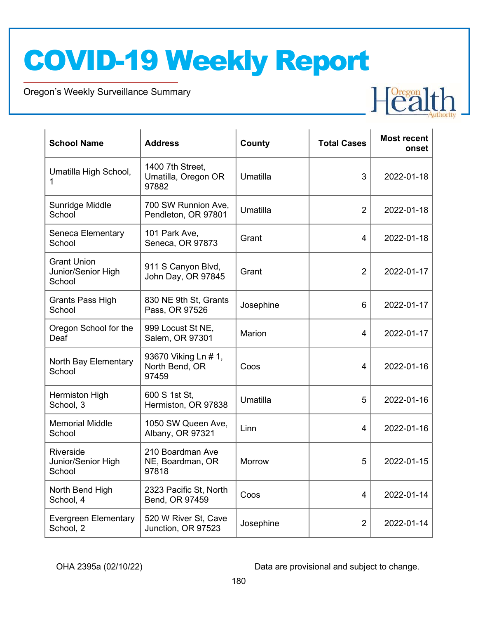Oregon's Weekly Surveillance Summary

| <b>School Name</b>                                 | <b>Address</b>                                   | County        | <b>Total Cases</b> | <b>Most recent</b><br>onset |
|----------------------------------------------------|--------------------------------------------------|---------------|--------------------|-----------------------------|
| Umatilla High School,<br>1                         | 1400 7th Street,<br>Umatilla, Oregon OR<br>97882 | Umatilla      | 3                  | 2022-01-18                  |
| Sunridge Middle<br>School                          | 700 SW Runnion Ave,<br>Pendleton, OR 97801       | Umatilla      | $\overline{2}$     | 2022-01-18                  |
| Seneca Elementary<br>School                        | 101 Park Ave,<br>Seneca, OR 97873                | Grant         | 4                  | 2022-01-18                  |
| <b>Grant Union</b><br>Junior/Senior High<br>School | 911 S Canyon Blvd,<br>John Day, OR 97845         | Grant         | $\overline{2}$     | 2022-01-17                  |
| <b>Grants Pass High</b><br>School                  | 830 NE 9th St, Grants<br>Pass, OR 97526          | Josephine     | 6                  | 2022-01-17                  |
| Oregon School for the<br>Deaf                      | 999 Locust St NE,<br>Salem, OR 97301             | Marion        | 4                  | 2022-01-17                  |
| North Bay Elementary<br>School                     | 93670 Viking Ln # 1,<br>North Bend, OR<br>97459  | Coos          | 4                  | 2022-01-16                  |
| Hermiston High<br>School, 3                        | 600 S 1st St,<br>Hermiston, OR 97838             | Umatilla      | 5                  | 2022-01-16                  |
| <b>Memorial Middle</b><br>School                   | 1050 SW Queen Ave,<br>Albany, OR 97321           | Linn          | 4                  | 2022-01-16                  |
| Riverside<br>Junior/Senior High<br>School          | 210 Boardman Ave<br>NE, Boardman, OR<br>97818    | <b>Morrow</b> | 5                  | 2022-01-15                  |
| North Bend High<br>School, 4                       | 2323 Pacific St, North<br>Bend, OR 97459         | Coos          | $\overline{4}$     | 2022-01-14                  |
| <b>Evergreen Elementary</b><br>School, 2           | 520 W River St, Cave<br>Junction, OR 97523       | Josephine     | $\overline{2}$     | 2022-01-14                  |

OHA 2395a (02/10/22) Data are provisional and subject to change.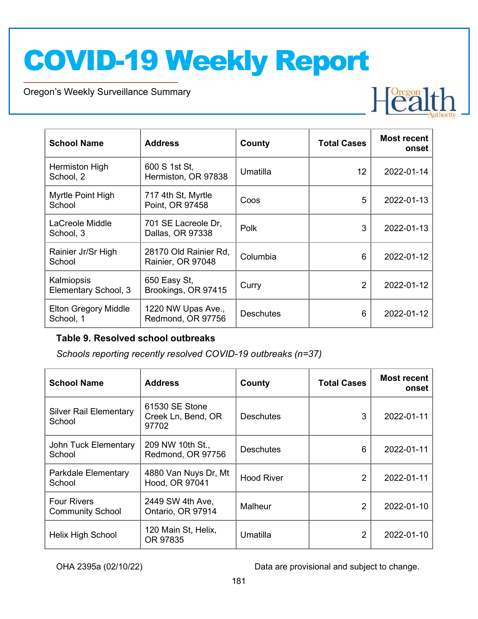Oregon's Weekly Surveillance Summary

| <b>School Name</b>                       | <b>Address</b>                             | County           | <b>Total Cases</b> | <b>Most recent</b><br>onset |
|------------------------------------------|--------------------------------------------|------------------|--------------------|-----------------------------|
| Hermiston High<br>School, 2              | 600 S 1st St,<br>Hermiston, OR 97838       | Umatilla         | 12                 | 2022-01-14                  |
| Myrtle Point High<br>School              | 717 4th St, Myrtle<br>Point, OR 97458      | Coos             | 5                  | 2022-01-13                  |
| LaCreole Middle<br>School, 3             | 701 SE Lacreole Dr,<br>Dallas, OR 97338    | Polk             | 3                  | 2022-01-13                  |
| Rainier Jr/Sr High<br>School             | 28170 Old Rainier Rd,<br>Rainier, OR 97048 | Columbia         | 6                  | 2022-01-12                  |
| Kalmiopsis<br>Elementary School, 3       | 650 Easy St,<br>Brookings, OR 97415        | Curry            | 2                  | 2022-01-12                  |
| <b>Elton Gregory Middle</b><br>School, 1 | 1220 NW Upas Ave.,<br>Redmond, OR 97756    | <b>Deschutes</b> | 6                  | 2022-01-12                  |

#### Table 9. Resolved school outbreaks

Schools reporting recently resolved COVID-19 outbreaks (n=37)

| <b>School Name</b>                            | <b>Address</b>                                | County            | <b>Total Cases</b> | <b>Most recent</b><br>onset |
|-----------------------------------------------|-----------------------------------------------|-------------------|--------------------|-----------------------------|
| <b>Silver Rail Elementary</b><br>School       | 61530 SE Stone<br>Creek Ln, Bend, OR<br>97702 | <b>Deschutes</b>  | 3                  | 2022-01-11                  |
| John Tuck Elementary<br>School                | 209 NW 10th St.,<br>Redmond, OR 97756         | <b>Deschutes</b>  | 6                  | 2022-01-11                  |
| Parkdale Elementary<br>School                 | 4880 Van Nuys Dr, Mt<br>Hood, OR 97041        | <b>Hood River</b> | 2                  | 2022-01-11                  |
| <b>Four Rivers</b><br><b>Community School</b> | 2449 SW 4th Ave,<br>Ontario, OR 97914         | Malheur           | $\overline{2}$     | 2022-01-10                  |
| Helix High School                             | 120 Main St, Helix,<br>OR 97835               | Umatilla          | $\mathcal{P}$      | 2022-01-10                  |

OHA 2395a (02/10/22) Data are provisional and subject to change.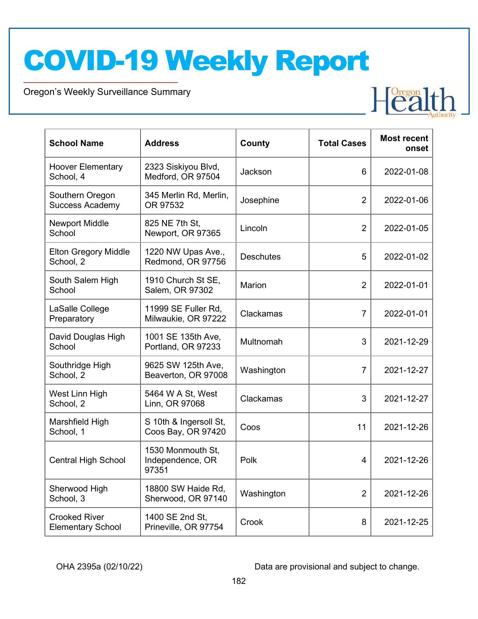Oregon's Weekly Surveillance Summary

| <b>School Name</b>                               | <b>Address</b>                                 | County           | <b>Total Cases</b> | <b>Most recent</b><br>onset |
|--------------------------------------------------|------------------------------------------------|------------------|--------------------|-----------------------------|
| <b>Hoover Elementary</b><br>School, 4            | 2323 Siskiyou Blvd,<br>Medford, OR 97504       | Jackson          | 6                  | 2022-01-08                  |
| Southern Oregon<br><b>Success Academy</b>        | 345 Merlin Rd, Merlin,<br>OR 97532             | Josephine        | $\overline{2}$     | 2022-01-06                  |
| <b>Newport Middle</b><br>School                  | 825 NE 7th St,<br>Newport, OR 97365            | Lincoln          | $\overline{2}$     | 2022-01-05                  |
| <b>Elton Gregory Middle</b><br>School, 2         | 1220 NW Upas Ave.,<br>Redmond, OR 97756        | <b>Deschutes</b> | 5                  | 2022-01-02                  |
| South Salem High<br>School                       | 1910 Church St SE,<br>Salem, OR 97302          | Marion           | $\overline{2}$     | 2022-01-01                  |
| LaSalle College<br>Preparatory                   | 11999 SE Fuller Rd,<br>Milwaukie, OR 97222     | Clackamas        | $\overline{7}$     | 2022-01-01                  |
| David Douglas High<br>School                     | 1001 SE 135th Ave,<br>Portland, OR 97233       | Multnomah        | 3                  | 2021-12-29                  |
| Southridge High<br>School, 2                     | 9625 SW 125th Ave,<br>Beaverton, OR 97008      | Washington       | $\overline{7}$     | 2021-12-27                  |
| West Linn High<br>School, 2                      | 5464 W A St, West<br>Linn, OR 97068            | Clackamas        | 3                  | 2021-12-27                  |
| Marshfield High<br>School, 1                     | S 10th & Ingersoll St,<br>Coos Bay, OR 97420   | Coos             | 11                 | 2021-12-26                  |
| <b>Central High School</b>                       | 1530 Monmouth St,<br>Independence, OR<br>97351 | Polk             | $\overline{4}$     | 2021-12-26                  |
| Sherwood High<br>School, 3                       | 18800 SW Haide Rd,<br>Sherwood, OR 97140       | Washington       | $\overline{2}$     | 2021-12-26                  |
| <b>Crooked River</b><br><b>Elementary School</b> | 1400 SE 2nd St,<br>Prineville, OR 97754        | Crook            | 8                  | 2021-12-25                  |

OHA 2395a (02/10/22) Data are provisional and subject to change.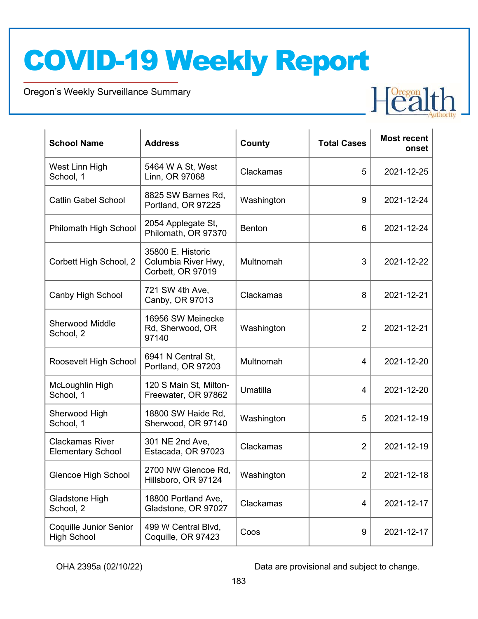Oregon's Weekly Surveillance Summary

| <b>School Name</b>                                  | <b>Address</b>                                                | County     | <b>Total Cases</b> | <b>Most recent</b><br>onset |
|-----------------------------------------------------|---------------------------------------------------------------|------------|--------------------|-----------------------------|
| West Linn High<br>School, 1                         | 5464 W A St, West<br>Linn, OR 97068                           | Clackamas  | 5                  | 2021-12-25                  |
| <b>Catlin Gabel School</b>                          | 8825 SW Barnes Rd,<br>Portland, OR 97225                      | Washington | 9                  | 2021-12-24                  |
| Philomath High School                               | 2054 Applegate St,<br>Philomath, OR 97370                     | Benton     | 6                  | 2021-12-24                  |
| Corbett High School, 2                              | 35800 E. Historic<br>Columbia River Hwy,<br>Corbett, OR 97019 | Multnomah  | 3                  | 2021-12-22                  |
| Canby High School                                   | 721 SW 4th Ave,<br>Canby, OR 97013                            | Clackamas  | 8                  | 2021-12-21                  |
| <b>Sherwood Middle</b><br>School, 2                 | 16956 SW Meinecke<br>Rd, Sherwood, OR<br>97140                | Washington | $\overline{2}$     | 2021-12-21                  |
| Roosevelt High School                               | 6941 N Central St,<br>Portland, OR 97203                      | Multnomah  | 4                  | 2021-12-20                  |
| McLoughlin High<br>School, 1                        | 120 S Main St, Milton-<br>Freewater, OR 97862                 | Umatilla   | 4                  | 2021-12-20                  |
| Sherwood High<br>School, 1                          | 18800 SW Haide Rd,<br>Sherwood, OR 97140                      | Washington | 5                  | 2021-12-19                  |
| <b>Clackamas River</b><br><b>Elementary School</b>  | 301 NE 2nd Ave,<br>Estacada, OR 97023                         | Clackamas  | $\overline{2}$     | 2021-12-19                  |
| <b>Glencoe High School</b>                          | 2700 NW Glencoe Rd,<br>Hillsboro, OR 97124                    | Washington | $\overline{2}$     | 2021-12-18                  |
| <b>Gladstone High</b><br>School, 2                  | 18800 Portland Ave,<br>Gladstone, OR 97027                    | Clackamas  | 4                  | 2021-12-17                  |
| <b>Coquille Junior Senior</b><br><b>High School</b> | 499 W Central Blvd,<br>Coquille, OR 97423                     | Coos       | 9                  | 2021-12-17                  |

OHA 2395a (02/10/22) Data are provisional and subject to change.